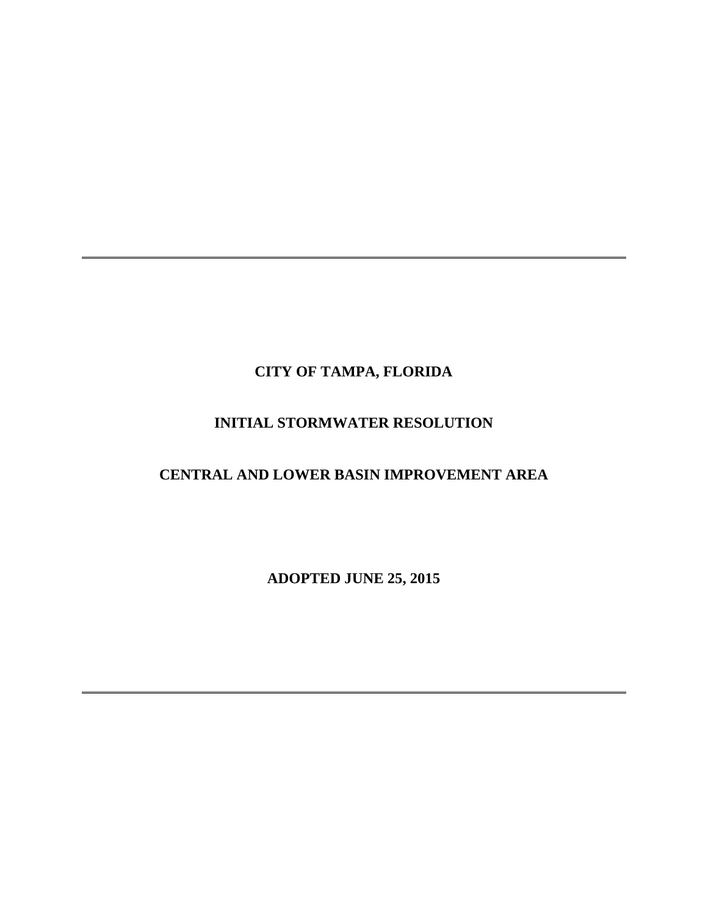## **CITY OF TAMPA, FLORIDA**

## **INITIAL STORMWATER RESOLUTION**

## **CENTRAL AND LOWER BASIN IMPROVEMENT AREA**

**ADOPTED JUNE 25, 2015**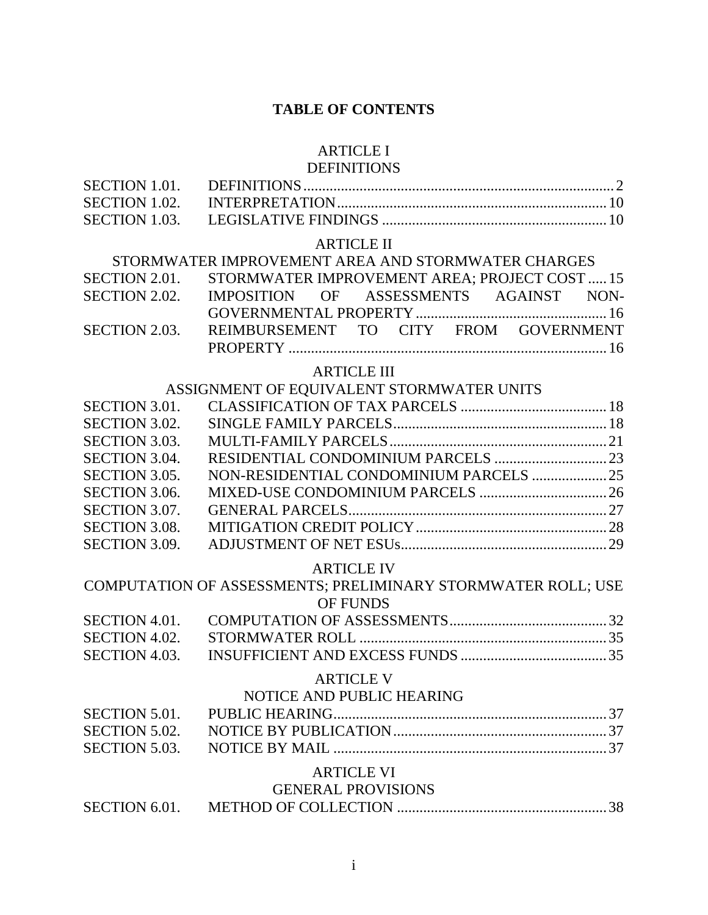## **TABLE OF CONTENTS**

# [ARTICLE I](#page-4-0)

## DEFINITIONS

| <b>SECTION 1.01.</b> |                                                              |
|----------------------|--------------------------------------------------------------|
| SECTION 1.02.        |                                                              |
| SECTION 1.03.        |                                                              |
|                      | <b>ARTICLE II</b>                                            |
|                      | STORMWATER IMPROVEMENT AREA AND STORMWATER CHARGES           |
| SECTION 2.01.        | STORMWATER IMPROVEMENT AREA; PROJECT COST  15                |
| <b>SECTION 2.02.</b> | OF ASSESSMENTS AGAINST NON-<br><b>IMPOSITION</b>             |
|                      |                                                              |
| SECTION 2.03.        | REIMBURSEMENT TO CITY FROM GOVERNMENT                        |
|                      |                                                              |
|                      | <b>ARTICLE III</b>                                           |
|                      | ASSIGNMENT OF EQUIVALENT STORMWATER UNITS                    |
| SECTION 3.01.        |                                                              |
| SECTION 3.02.        |                                                              |
| SECTION 3.03.        |                                                              |
| SECTION 3.04.        |                                                              |
| SECTION 3.05.        | NON-RESIDENTIAL CONDOMINIUM PARCELS  25                      |
| SECTION 3.06.        |                                                              |
| SECTION 3.07.        |                                                              |
| <b>SECTION 3.08.</b> |                                                              |
| SECTION 3.09.        |                                                              |
|                      | <b>ARTICLE IV</b>                                            |
|                      | COMPUTATION OF ASSESSMENTS; PRELIMINARY STORMWATER ROLL; USE |
|                      | OF FUNDS                                                     |
| <b>SECTION 4.01.</b> |                                                              |
| SECTION 4.02.        |                                                              |
| SECTION 4.03.        |                                                              |
|                      | <b>ARTICLE V</b>                                             |
|                      | NOTICE AND PUBLIC HEARING                                    |
| <b>SECTION 5.01.</b> |                                                              |
| <b>SECTION 5.02.</b> |                                                              |
| <b>SECTION 5.03.</b> |                                                              |
|                      | <b>ARTICLE VI</b>                                            |
|                      | <b>GENERAL PROVISIONS</b>                                    |
| <b>SECTION 6.01.</b> |                                                              |
|                      |                                                              |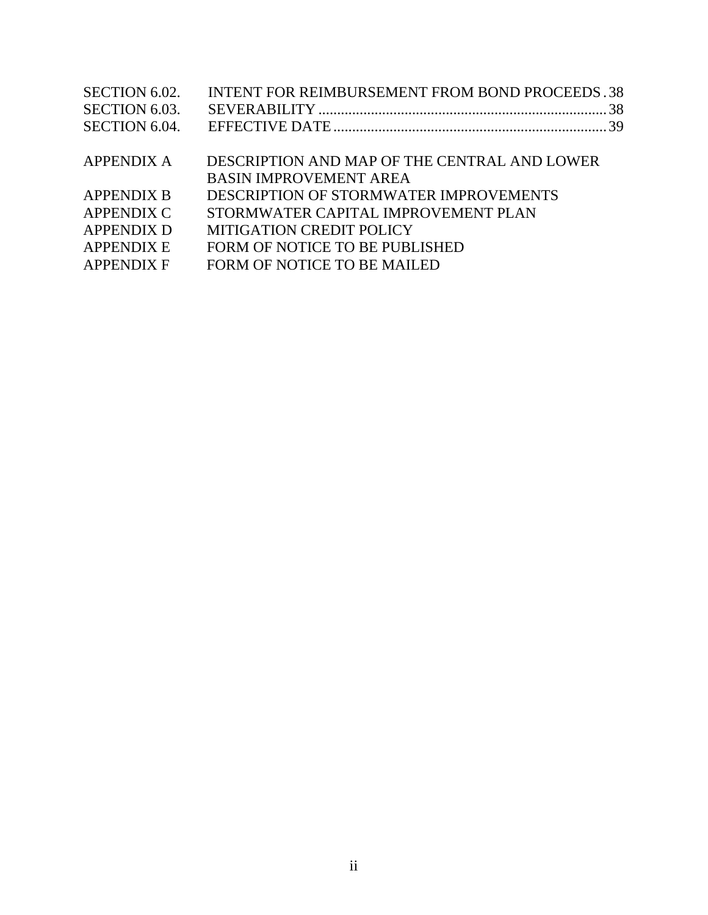| SECTION 6.02.     | <b>INTENT FOR REIMBURSEMENT FROM BOND PROCEEDS.38</b> |  |
|-------------------|-------------------------------------------------------|--|
| SECTION 6.03.     |                                                       |  |
| SECTION 6.04.     |                                                       |  |
|                   |                                                       |  |
| <b>APPENDIX A</b> | DESCRIPTION AND MAP OF THE CENTRAL AND LOWER          |  |
|                   | <b>BASIN IMPROVEMENT AREA</b>                         |  |
| <b>APPENDIX B</b> | DESCRIPTION OF STORMWATER IMPROVEMENTS                |  |
| <b>APPENDIX C</b> | STORMWATER CAPITAL IMPROVEMENT PLAN                   |  |
| <b>APPENDIX D</b> | <b>MITIGATION CREDIT POLICY</b>                       |  |
| <b>APPENDIX E</b> | FORM OF NOTICE TO BE PUBLISHED                        |  |
| <b>APPENDIX F</b> | <b>FORM OF NOTICE TO BE MAILED</b>                    |  |
|                   |                                                       |  |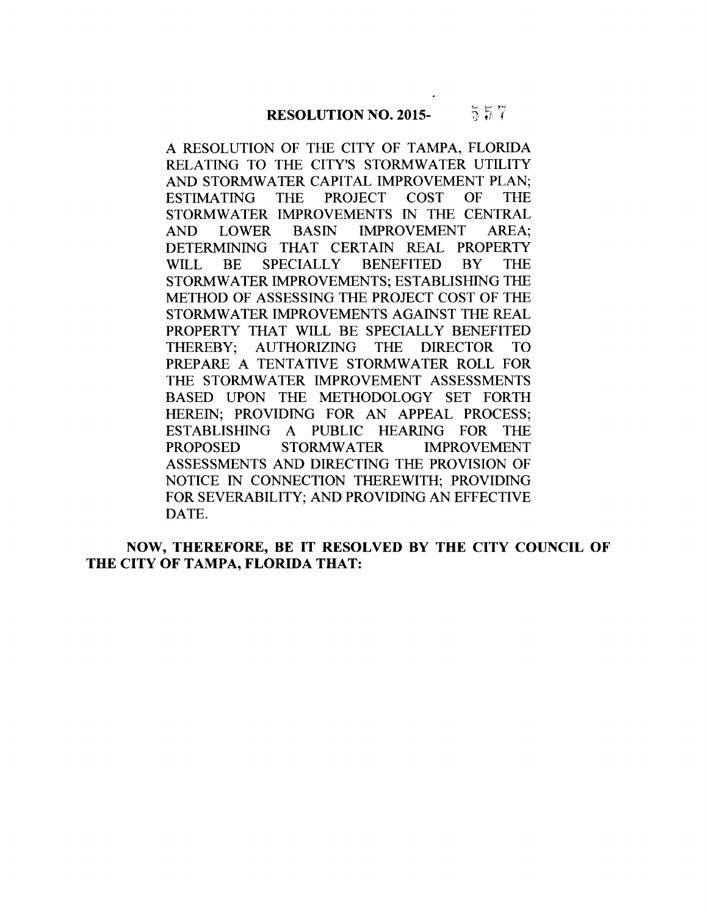A RESOLUTION OF THE CITY OF TAMPA, FLORIDA RELATING TO THE CITY'S STORMWATER UTILITY AND STORMWATER CAPITAL IMPROVEMENT PLAN; ESTIMATING THE PROJECT COST OF THE STORMWATER IMPROVEMENTS IN THE CENTRAL AND LOWER BASIN IMPROVEMENT AREA; DETERMINING THAT CERTAIN REAL PROPERTY WILL BE SPECIALLY BENEFITED BY THE STORMWATER IMPROVEMENTS; ESTABLISHING THE METHOD OF ASSESSING THE PROJECT COST OF THE STORMWATER IMPROVEMENTS AGAINST THE REAL PROPERTY THAT WILL BE SPECIALLY BENEFITED THEREBY; AUTHORIZING THE DIRECTOR TO PREPARE A TENTATIVE STORMWATER ROLL FOR THE STORMWATER IMPROVEMENT ASSESSMENTS BASED UPON THE METHODOLOGY SET FORTH HEREIN; PROVIDING FOR AN APPEAL PROCESS; ESTABLISHING A PUBLIC HEARING FOR THE PROPOSED STORMWATER IMPROVEMENT ASSESSMENTS AND DIRECTING THE PROVISION OF NOTICE IN CONNECTION THEREWITH; PROVIDING FOR SEVERABILITY; AND PROVIDING AN EFFECTIVE DATE.

**NOW, THEREFORE, BE IT RESOLVED BY THE CITY COUNCIL OF THE CITY OF TAMPA, FLORIDA THAT:**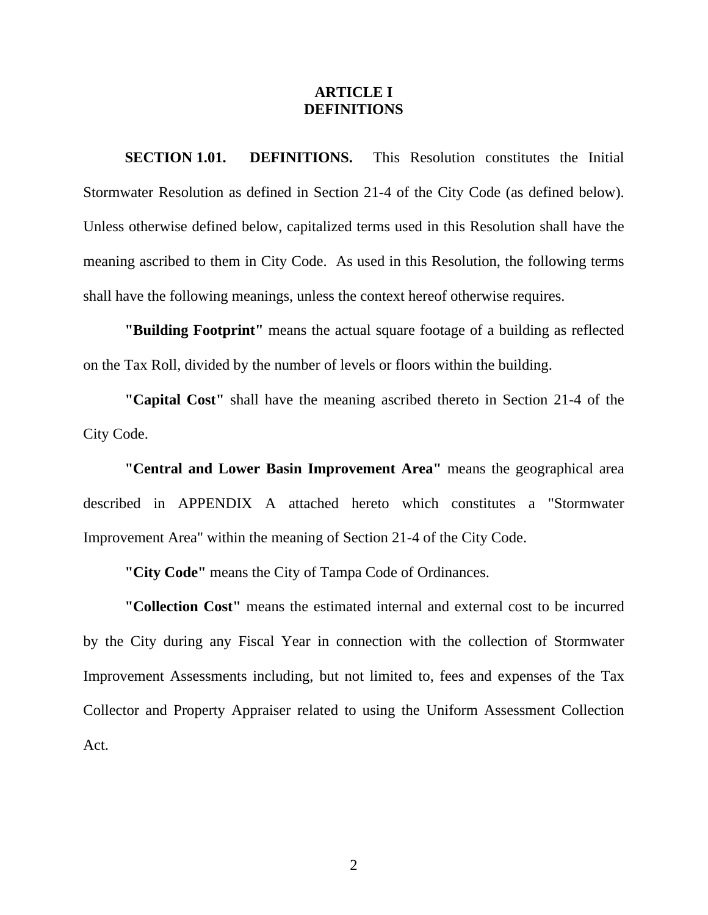#### **ARTICLE I DEFINITIONS**

<span id="page-4-0"></span> Stormwater Resolution as defined in Section 21-4 of the City Code (as defined below). Unless otherwise defined below, capitalized terms used in this Resolution shall have the **SECTION 1.01. DEFINITIONS.** This Resolution constitutes the Initial meaning ascribed to them in City Code. As used in this Resolution, the following terms shall have the following meanings, unless the context hereof otherwise requires.

**"Building Footprint"** means the actual square footage of a building as reflected on the Tax Roll, divided by the number of levels or floors within the building.

**"Capital Cost"** shall have the meaning ascribed thereto in Section 21-4 of the City Code.

**"Central and Lower Basin Improvement Area"** means the geographical area described in APPENDIX A attached hereto which constitutes a "Stormwater Improvement Area" within the meaning of Section 21-4 of the City Code.

**"City Code"** means the City of Tampa Code of Ordinances.

**"Collection Cost"** means the estimated internal and external cost to be incurred by the City during any Fiscal Year in connection with the collection of Stormwater Improvement Assessments including, but not limited to, fees and expenses of the Tax Collector and Property Appraiser related to using the Uniform Assessment Collection Act.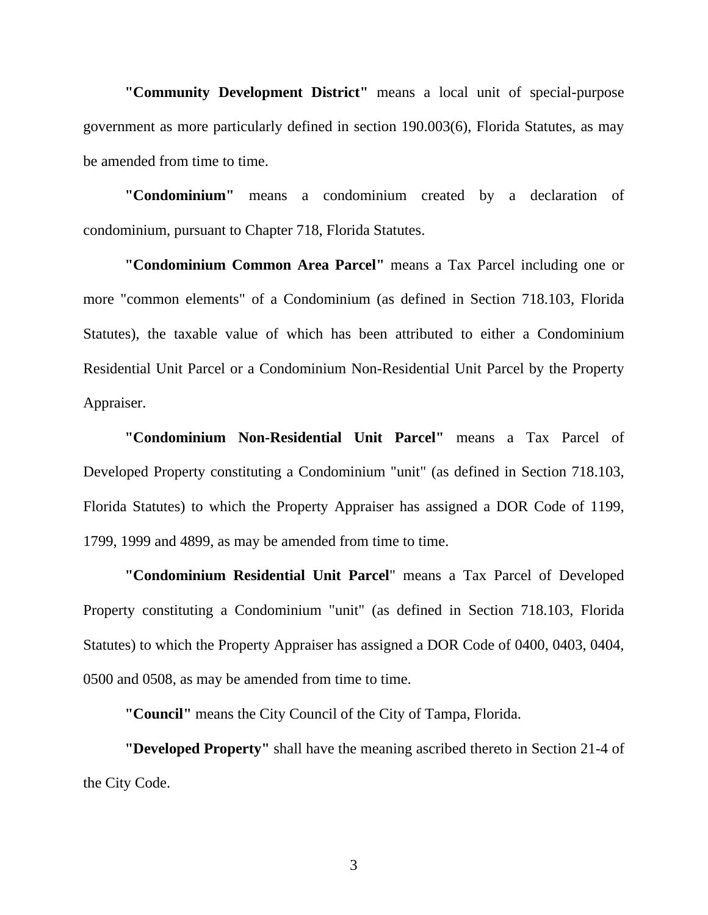**"Community Development District"** means a local unit of special-purpose government as more particularly defined in section 190.003(6), Florida Statutes, as may be amended from time to time.

**"Condominium"** means a condominium created by a declaration of condominium, pursuant to Chapter 718, Florida Statutes.

**"Condominium Common Area Parcel"** means a Tax Parcel including one or more "common elements" of a Condominium (as defined in Section 718.103, Florida Statutes), the taxable value of which has been attributed to either a Condominium Residential Unit Parcel or a Condominium Non-Residential Unit Parcel by the Property Appraiser.

**"Condominium Non-Residential Unit Parcel"** means a Tax Parcel of Developed Property constituting a Condominium "unit" (as defined in Section 718.103, Florida Statutes) to which the Property Appraiser has assigned a DOR Code of 1199, 1799, 1999 and 4899, as may be amended from time to time.

**"Condominium Residential Unit Parcel**" means a Tax Parcel of Developed Property constituting a Condominium "unit" (as defined in Section 718.103, Florida Statutes) to which the Property Appraiser has assigned a DOR Code of 0400, 0403, 0404, 0500 and 0508, as may be amended from time to time.

**"Council"** means the City Council of the City of Tampa, Florida.

**"Developed Property"** shall have the meaning ascribed thereto in Section 21-4 of the City Code.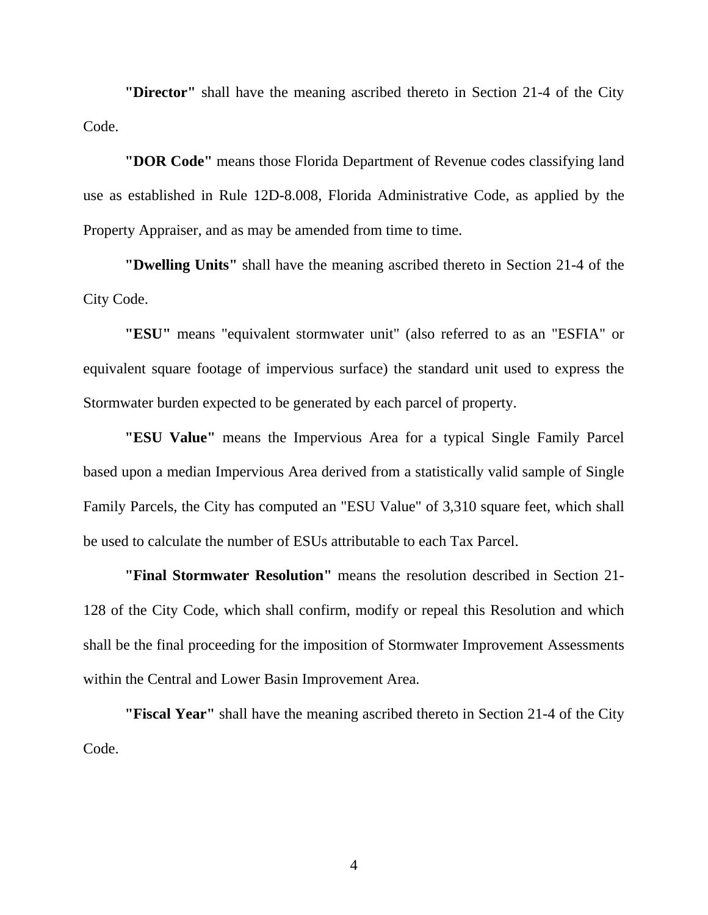**"Director"** shall have the meaning ascribed thereto in Section 21-4 of the City Code.

**"DOR Code"** means those Florida Department of Revenue codes classifying land use as established in Rule 12D-8.008, Florida Administrative Code, as applied by the Property Appraiser, and as may be amended from time to time.

**"Dwelling Units"** shall have the meaning ascribed thereto in Section 21-4 of the City Code.

**"ESU"** means "equivalent stormwater unit" (also referred to as an "ESFIA" or equivalent square footage of impervious surface) the standard unit used to express the Stormwater burden expected to be generated by each parcel of property.

**"ESU Value"** means the Impervious Area for a typical Single Family Parcel based upon a median Impervious Area derived from a statistically valid sample of Single Family Parcels, the City has computed an "ESU Value" of 3,310 square feet, which shall be used to calculate the number of ESUs attributable to each Tax Parcel.

**"Final Stormwater Resolution"** means the resolution described in Section 21- 128 of the City Code, which shall confirm, modify or repeal this Resolution and which shall be the final proceeding for the imposition of Stormwater Improvement Assessments within the Central and Lower Basin Improvement Area.

**"Fiscal Year"** shall have the meaning ascribed thereto in Section 21-4 of the City Code.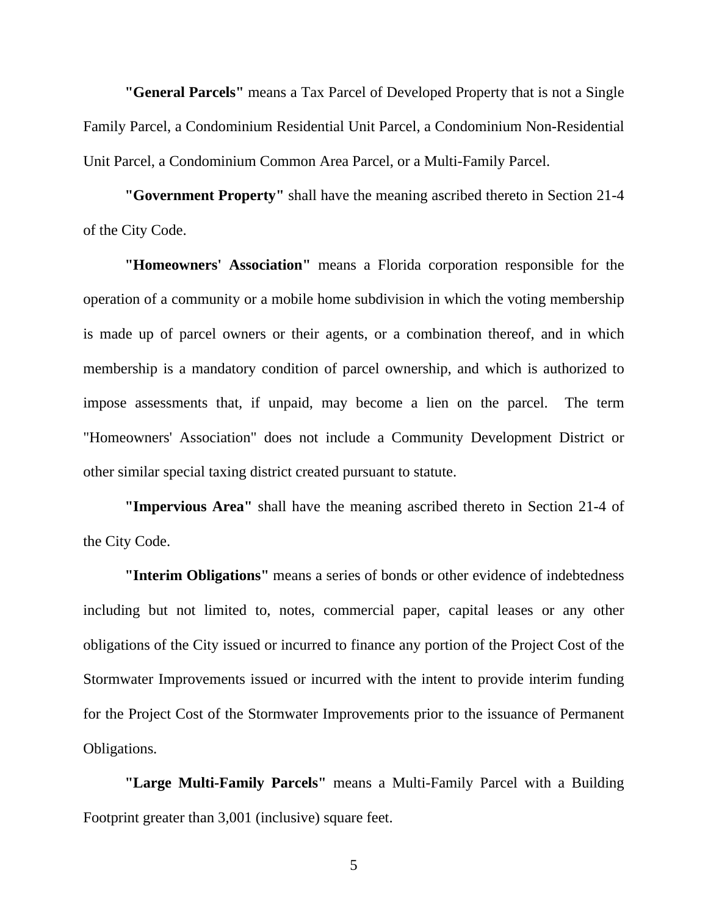**"General Parcels"** means a Tax Parcel of Developed Property that is not a Single Family Parcel, a Condominium Residential Unit Parcel, a Condominium Non-Residential Unit Parcel, a Condominium Common Area Parcel, or a Multi-Family Parcel.

**"Government Property"** shall have the meaning ascribed thereto in Section 21-4 of the City Code.

**"Homeowners' Association"** means a Florida corporation responsible for the operation of a community or a mobile home subdivision in which the voting membership is made up of parcel owners or their agents, or a combination thereof, and in which membership is a mandatory condition of parcel ownership, and which is authorized to impose assessments that, if unpaid, may become a lien on the parcel. The term "Homeowners' Association" does not include a Community Development District or other similar special taxing district created pursuant to statute.

**"Impervious Area"** shall have the meaning ascribed thereto in Section 21-4 of the City Code.

**"Interim Obligations"** means a series of bonds or other evidence of indebtedness including but not limited to, notes, commercial paper, capital leases or any other obligations of the City issued or incurred to finance any portion of the Project Cost of the Stormwater Improvements issued or incurred with the intent to provide interim funding for the Project Cost of the Stormwater Improvements prior to the issuance of Permanent Obligations.

**"Large Multi-Family Parcels"** means a Multi-Family Parcel with a Building Footprint greater than 3,001 (inclusive) square feet.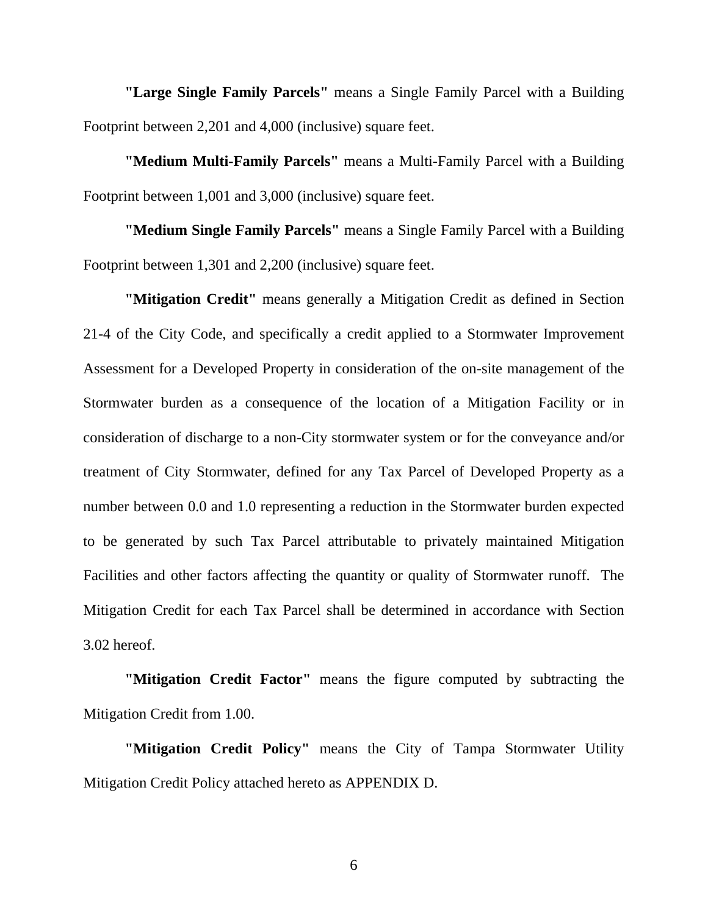**"Large Single Family Parcels"** means a Single Family Parcel with a Building Footprint between 2,201 and 4,000 (inclusive) square feet.

**"Medium Multi-Family Parcels"** means a Multi-Family Parcel with a Building Footprint between 1,001 and 3,000 (inclusive) square feet.

**"Medium Single Family Parcels"** means a Single Family Parcel with a Building Footprint between 1,301 and 2,200 (inclusive) square feet.

**"Mitigation Credit"** means generally a Mitigation Credit as defined in Section 21-4 of the City Code, and specifically a credit applied to a Stormwater Improvement Assessment for a Developed Property in consideration of the on-site management of the Stormwater burden as a consequence of the location of a Mitigation Facility or in consideration of discharge to a non-City stormwater system or for the conveyance and/or treatment of City Stormwater, defined for any Tax Parcel of Developed Property as a number between 0.0 and 1.0 representing a reduction in the Stormwater burden expected to be generated by such Tax Parcel attributable to privately maintained Mitigation Facilities and other factors affecting the quantity or quality of Stormwater runoff. The Mitigation Credit for each Tax Parcel shall be determined in accordance with Section 3.02 hereof.

**"Mitigation Credit Factor"** means the figure computed by subtracting the Mitigation Credit from 1.00.

**"Mitigation Credit Policy"** means the City of Tampa Stormwater Utility Mitigation Credit Policy attached hereto as APPENDIX D.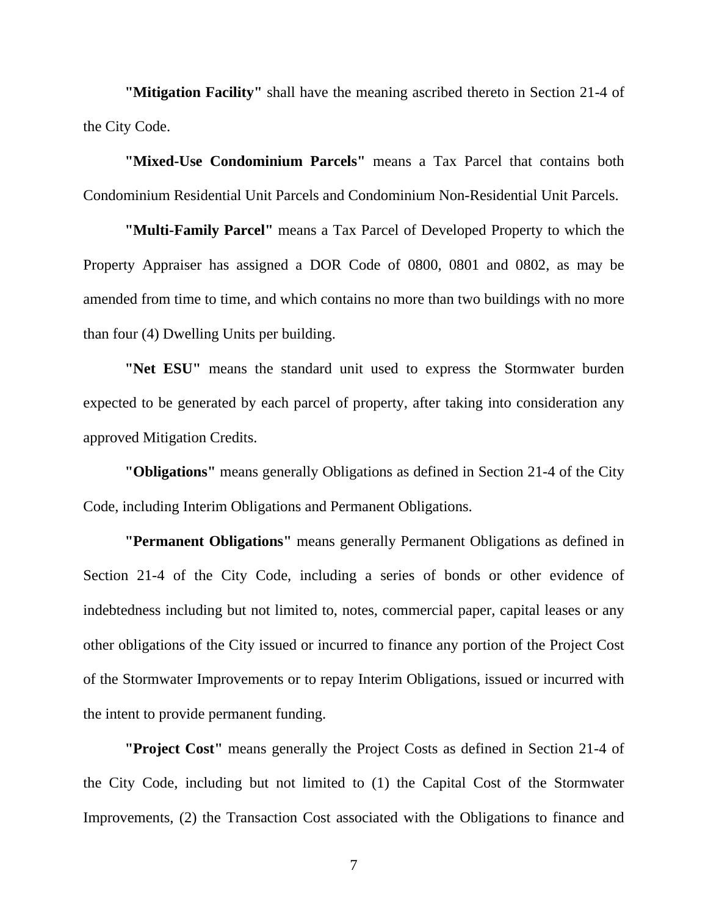**"Mitigation Facility"** shall have the meaning ascribed thereto in Section 21-4 of the City Code.

**"Mixed-Use Condominium Parcels"** means a Tax Parcel that contains both Condominium Residential Unit Parcels and Condominium Non-Residential Unit Parcels.

**"Multi-Family Parcel"** means a Tax Parcel of Developed Property to which the Property Appraiser has assigned a DOR Code of 0800, 0801 and 0802, as may be amended from time to time, and which contains no more than two buildings with no more than four (4) Dwelling Units per building.

**"Net ESU"** means the standard unit used to express the Stormwater burden expected to be generated by each parcel of property, after taking into consideration any approved Mitigation Credits.

**"Obligations"** means generally Obligations as defined in Section 21-4 of the City Code, including Interim Obligations and Permanent Obligations.

**"Permanent Obligations"** means generally Permanent Obligations as defined in Section 21-4 of the City Code, including a series of bonds or other evidence of indebtedness including but not limited to, notes, commercial paper, capital leases or any other obligations of the City issued or incurred to finance any portion of the Project Cost of the Stormwater Improvements or to repay Interim Obligations, issued or incurred with the intent to provide permanent funding.

**"Project Cost"** means generally the Project Costs as defined in Section 21-4 of the City Code, including but not limited to (1) the Capital Cost of the Stormwater Improvements, (2) the Transaction Cost associated with the Obligations to finance and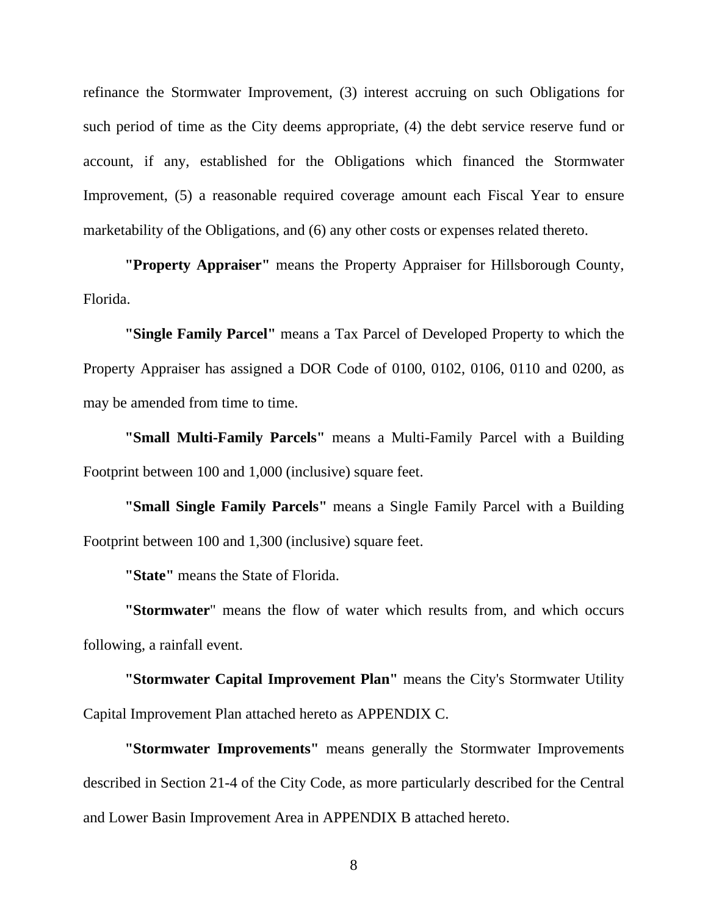refinance the Stormwater Improvement, (3) interest accruing on such Obligations for such period of time as the City deems appropriate, (4) the debt service reserve fund or account, if any, established for the Obligations which financed the Stormwater Improvement, (5) a reasonable required coverage amount each Fiscal Year to ensure marketability of the Obligations, and (6) any other costs or expenses related thereto.

**"Property Appraiser"** means the Property Appraiser for Hillsborough County, Florida.

**"Single Family Parcel"** means a Tax Parcel of Developed Property to which the Property Appraiser has assigned a DOR Code of 0100, 0102, 0106, 0110 and 0200, as may be amended from time to time.

**"Small Multi-Family Parcels"** means a Multi-Family Parcel with a Building Footprint between 100 and 1,000 (inclusive) square feet.

**"Small Single Family Parcels"** means a Single Family Parcel with a Building Footprint between 100 and 1,300 (inclusive) square feet.

**"State"** means the State of Florida.

**"Stormwater**" means the flow of water which results from, and which occurs following, a rainfall event.

**"Stormwater Capital Improvement Plan"** means the City's Stormwater Utility Capital Improvement Plan attached hereto as APPENDIX C.

**"Stormwater Improvements"** means generally the Stormwater Improvements described in Section 21-4 of the City Code, as more particularly described for the Central and Lower Basin Improvement Area in APPENDIX B attached hereto.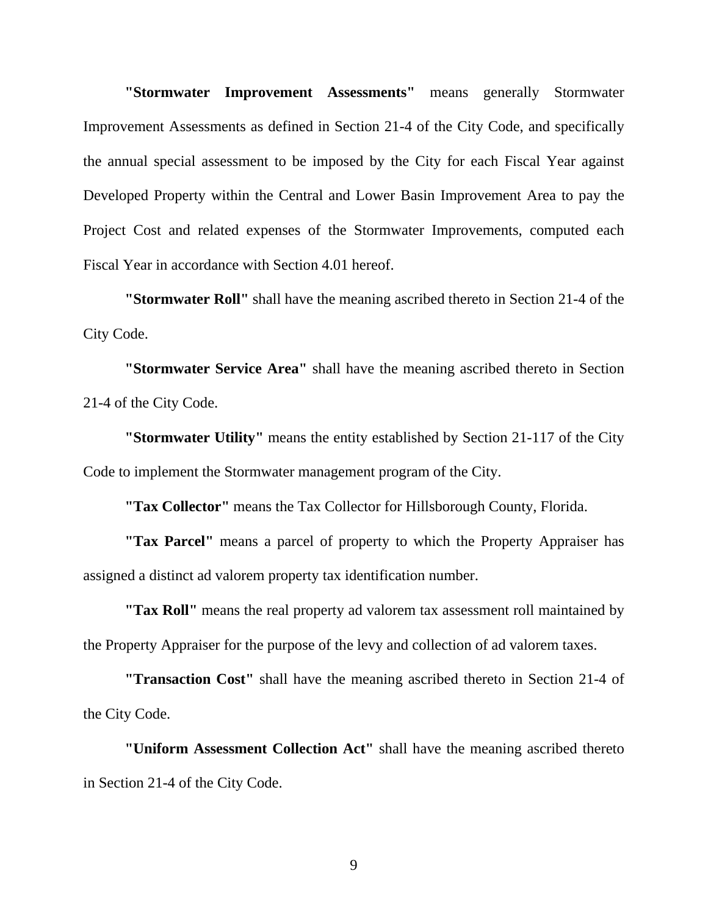**"Stormwater Improvement Assessments"** means generally Stormwater Improvement Assessments as defined in Section 21-4 of the City Code, and specifically the annual special assessment to be imposed by the City for each Fiscal Year against Developed Property within the Central and Lower Basin Improvement Area to pay the Project Cost and related expenses of the Stormwater Improvements, computed each Fiscal Year in accordance with Section 4.01 hereof.

**"Stormwater Roll"** shall have the meaning ascribed thereto in Section 21-4 of the City Code.

**"Stormwater Service Area"** shall have the meaning ascribed thereto in Section 21-4 of the City Code.

**"Stormwater Utility"** means the entity established by Section 21-117 of the City Code to implement the Stormwater management program of the City.

**"Tax Collector"** means the Tax Collector for Hillsborough County, Florida.

**"Tax Parcel"** means a parcel of property to which the Property Appraiser has assigned a distinct ad valorem property tax identification number.

**"Tax Roll"** means the real property ad valorem tax assessment roll maintained by the Property Appraiser for the purpose of the levy and collection of ad valorem taxes.

**"Transaction Cost"** shall have the meaning ascribed thereto in Section 21-4 of the City Code.

**"Uniform Assessment Collection Act"** shall have the meaning ascribed thereto in Section 21-4 of the City Code.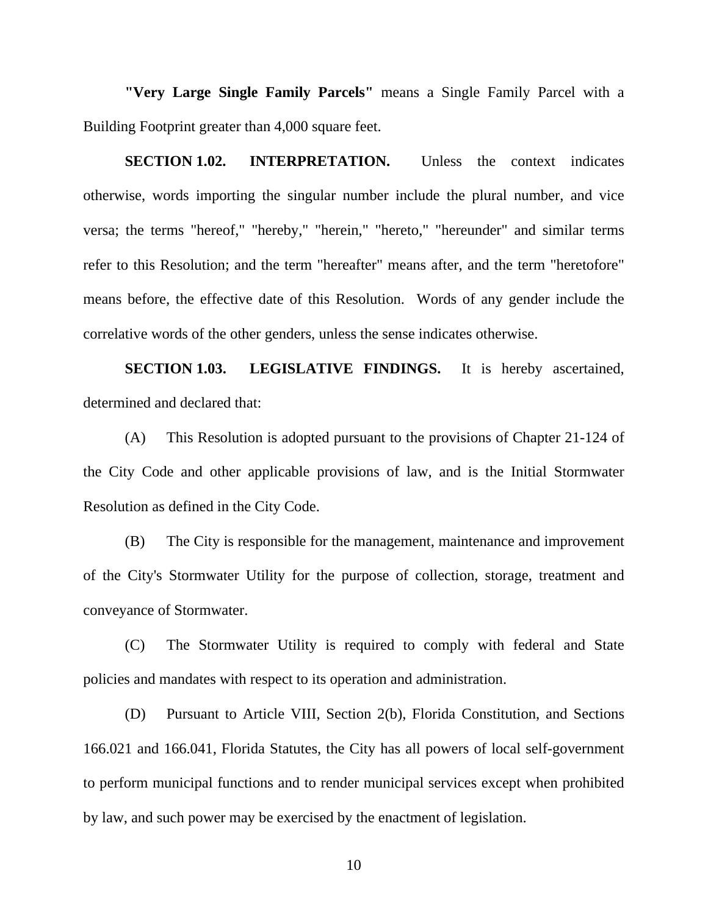<span id="page-12-0"></span>**"Very Large Single Family Parcels"** means a Single Family Parcel with a Building Footprint greater than 4,000 square feet.

**SECTION 1.02. INTERPRETATION.** Unless the context indicates otherwise, words importing the singular number include the plural number, and vice versa; the terms "hereof," "hereby," "herein," "hereto," "hereunder" and similar terms refer to this Resolution; and the term "hereafter" means after, and the term "heretofore" means before, the effective date of this Resolution. Words of any gender include the correlative words of the other genders, unless the sense indicates otherwise.

**SECTION 1.03. LEGISLATIVE FINDINGS.** It is hereby ascertained, determined and declared that:

(A) This Resolution is adopted pursuant to the provisions of Chapter 21-124 of the City Code and other applicable provisions of law, and is the Initial Stormwater Resolution as defined in the City Code.

(B) The City is responsible for the management, maintenance and improvement of the City's Stormwater Utility for the purpose of collection, storage, treatment and conveyance of Stormwater.

(C) The Stormwater Utility is required to comply with federal and State policies and mandates with respect to its operation and administration.

(D) Pursuant to Article VIII, Section 2(b), Florida Constitution, and Sections 166.021 and 166.041, Florida Statutes, the City has all powers of local self-government to perform municipal functions and to render municipal services except when prohibited by law, and such power may be exercised by the enactment of legislation.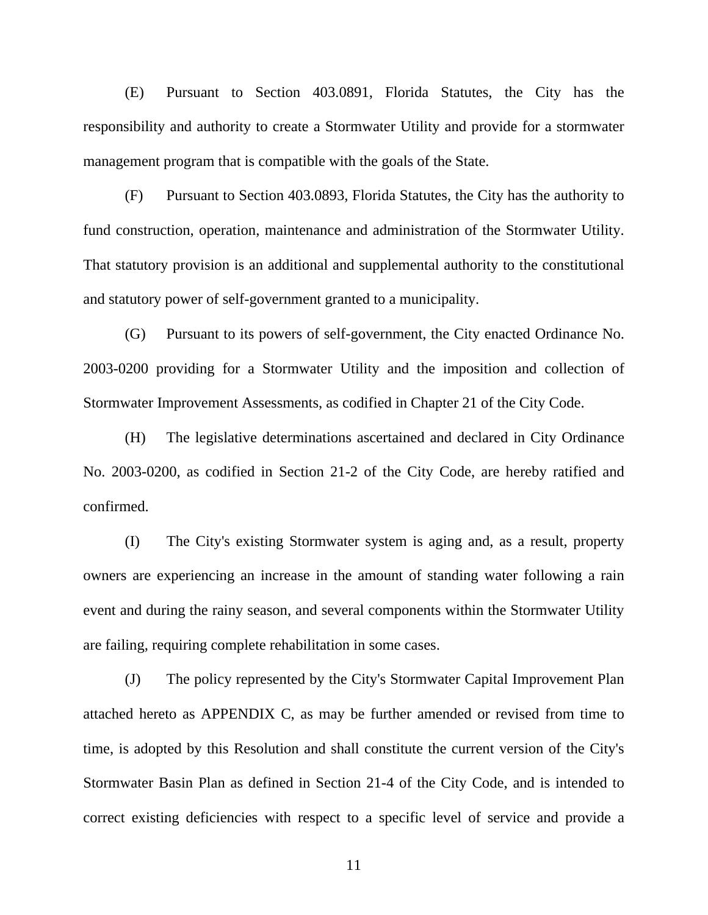(E) Pursuant to Section 403.0891, Florida Statutes, the City has the responsibility and authority to create a Stormwater Utility and provide for a stormwater management program that is compatible with the goals of the State.

(F) Pursuant to Section 403.0893, Florida Statutes, the City has the authority to fund construction, operation, maintenance and administration of the Stormwater Utility. That statutory provision is an additional and supplemental authority to the constitutional and statutory power of self-government granted to a municipality.

(G) Pursuant to its powers of self-government, the City enacted Ordinance No. 2003-0200 providing for a Stormwater Utility and the imposition and collection of Stormwater Improvement Assessments, as codified in Chapter 21 of the City Code.

(H) The legislative determinations ascertained and declared in City Ordinance No. 2003-0200, as codified in Section 21-2 of the City Code, are hereby ratified and confirmed.

(I) The City's existing Stormwater system is aging and, as a result, property owners are experiencing an increase in the amount of standing water following a rain event and during the rainy season, and several components within the Stormwater Utility are failing, requiring complete rehabilitation in some cases.

(J) The policy represented by the City's Stormwater Capital Improvement Plan attached hereto as APPENDIX C, as may be further amended or revised from time to time, is adopted by this Resolution and shall constitute the current version of the City's Stormwater Basin Plan as defined in Section 21-4 of the City Code, and is intended to correct existing deficiencies with respect to a specific level of service and provide a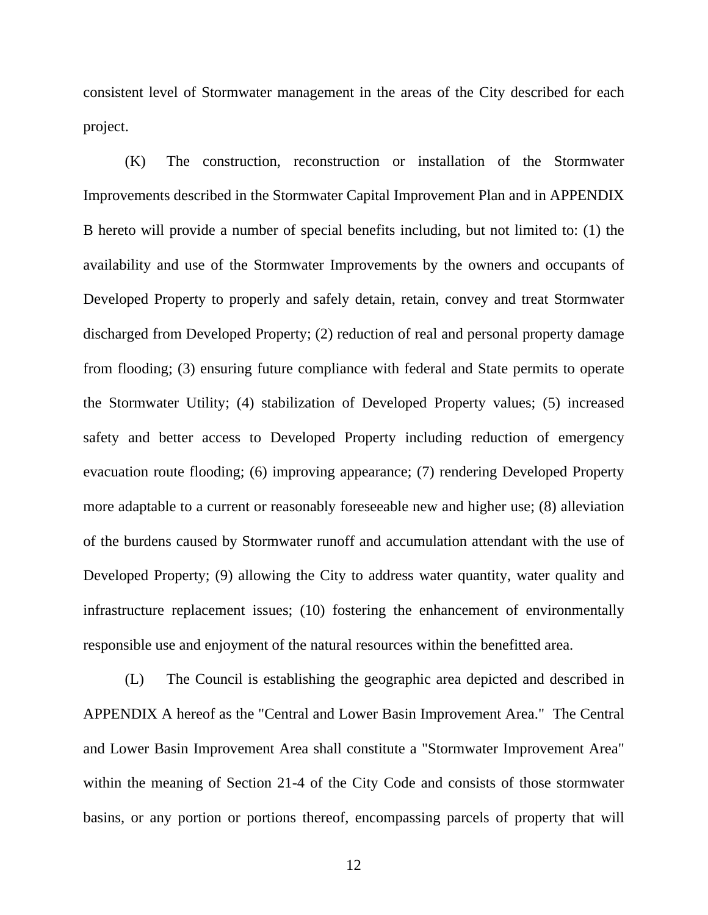consistent level of Stormwater management in the areas of the City described for each project.

(K) The construction, reconstruction or installation of the Stormwater Improvements described in the Stormwater Capital Improvement Plan and in APPENDIX B hereto will provide a number of special benefits including, but not limited to: (1) the availability and use of the Stormwater Improvements by the owners and occupants of Developed Property to properly and safely detain, retain, convey and treat Stormwater discharged from Developed Property; (2) reduction of real and personal property damage from flooding; (3) ensuring future compliance with federal and State permits to operate the Stormwater Utility; (4) stabilization of Developed Property values; (5) increased safety and better access to Developed Property including reduction of emergency evacuation route flooding; (6) improving appearance; (7) rendering Developed Property more adaptable to a current or reasonably foreseeable new and higher use; (8) alleviation of the burdens caused by Stormwater runoff and accumulation attendant with the use of Developed Property; (9) allowing the City to address water quantity, water quality and infrastructure replacement issues; (10) fostering the enhancement of environmentally responsible use and enjoyment of the natural resources within the benefitted area.

(L) The Council is establishing the geographic area depicted and described in APPENDIX A hereof as the "Central and Lower Basin Improvement Area." The Central and Lower Basin Improvement Area shall constitute a "Stormwater Improvement Area" within the meaning of Section 21-4 of the City Code and consists of those stormwater basins, or any portion or portions thereof, encompassing parcels of property that will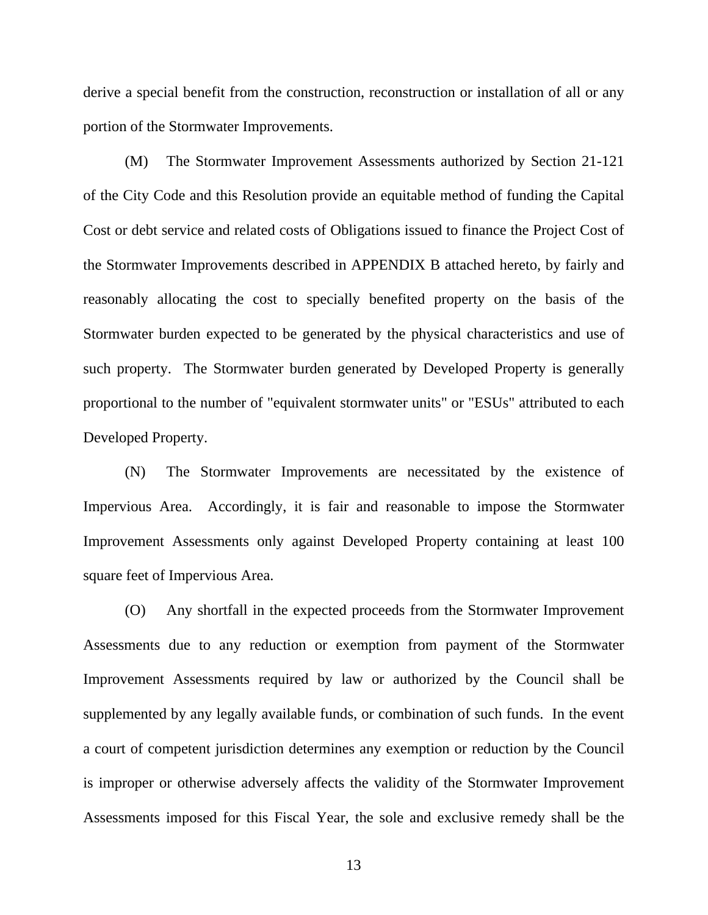derive a special benefit from the construction, reconstruction or installation of all or any portion of the Stormwater Improvements.

(M) The Stormwater Improvement Assessments authorized by Section 21-121 of the City Code and this Resolution provide an equitable method of funding the Capital Cost or debt service and related costs of Obligations issued to finance the Project Cost of the Stormwater Improvements described in APPENDIX B attached hereto, by fairly and reasonably allocating the cost to specially benefited property on the basis of the Stormwater burden expected to be generated by the physical characteristics and use of such property. The Stormwater burden generated by Developed Property is generally proportional to the number of "equivalent stormwater units" or "ESUs" attributed to each Developed Property.

(N) The Stormwater Improvements are necessitated by the existence of Impervious Area. Accordingly, it is fair and reasonable to impose the Stormwater Improvement Assessments only against Developed Property containing at least 100 square feet of Impervious Area.

(O) Any shortfall in the expected proceeds from the Stormwater Improvement Assessments due to any reduction or exemption from payment of the Stormwater Improvement Assessments required by law or authorized by the Council shall be supplemented by any legally available funds, or combination of such funds. In the event a court of competent jurisdiction determines any exemption or reduction by the Council is improper or otherwise adversely affects the validity of the Stormwater Improvement Assessments imposed for this Fiscal Year, the sole and exclusive remedy shall be the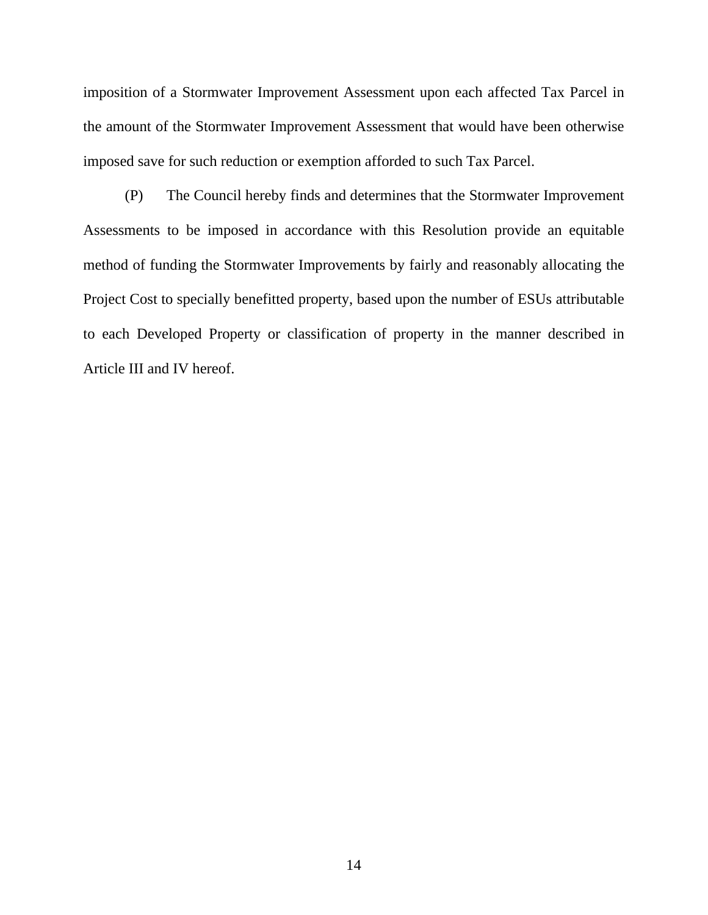imposition of a Stormwater Improvement Assessment upon each affected Tax Parcel in the amount of the Stormwater Improvement Assessment that would have been otherwise imposed save for such reduction or exemption afforded to such Tax Parcel.

(P) The Council hereby finds and determines that the Stormwater Improvement Assessments to be imposed in accordance with this Resolution provide an equitable method of funding the Stormwater Improvements by fairly and reasonably allocating the Project Cost to specially benefitted property, based upon the number of ESUs attributable to each Developed Property or classification of property in the manner described in Article III and IV hereof.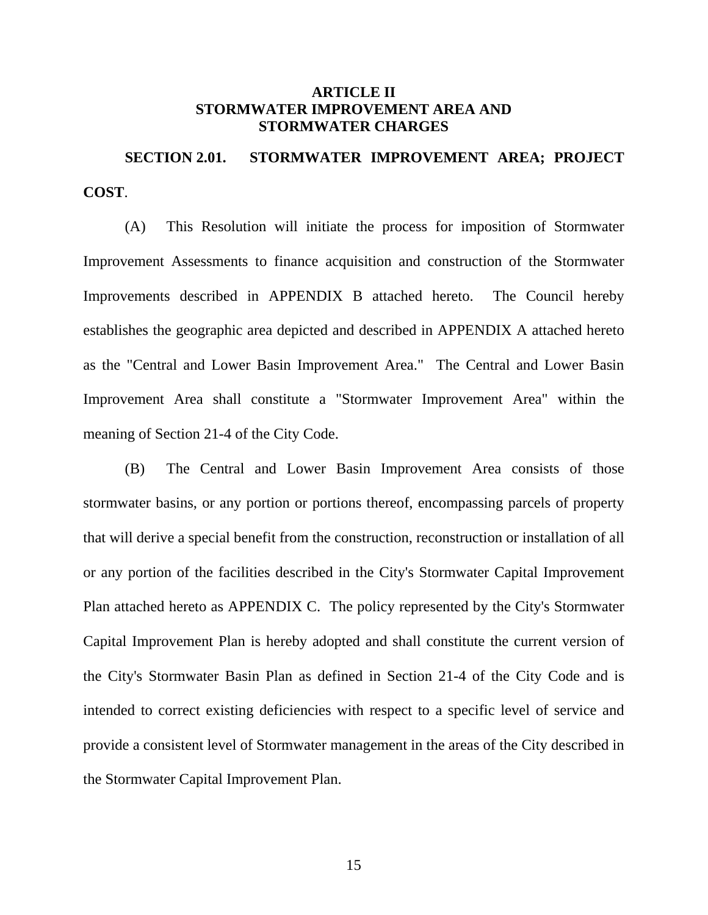### **ARTICLE II STORMWATER IMPROVEMENT AREA AND STORMWATER CHARGES**

<span id="page-17-0"></span>**SECTION 2.01. STORMWATER IMPROVEMENT AREA; PROJECT COST**.

(A) This Resolution will initiate the process for imposition of Stormwater Improvement Assessments to finance acquisition and construction of the Stormwater Improvements described in APPENDIX B attached hereto. The Council hereby establishes the geographic area depicted and described in APPENDIX A attached hereto as the "Central and Lower Basin Improvement Area." The Central and Lower Basin Improvement Area shall constitute a "Stormwater Improvement Area" within the meaning of Section 21-4 of the City Code.

(B) The Central and Lower Basin Improvement Area consists of those stormwater basins, or any portion or portions thereof, encompassing parcels of property that will derive a special benefit from the construction, reconstruction or installation of all or any portion of the facilities described in the City's Stormwater Capital Improvement Plan attached hereto as APPENDIX C. The policy represented by the City's Stormwater Capital Improvement Plan is hereby adopted and shall constitute the current version of the City's Stormwater Basin Plan as defined in Section 21-4 of the City Code and is intended to correct existing deficiencies with respect to a specific level of service and provide a consistent level of Stormwater management in the areas of the City described in the Stormwater Capital Improvement Plan.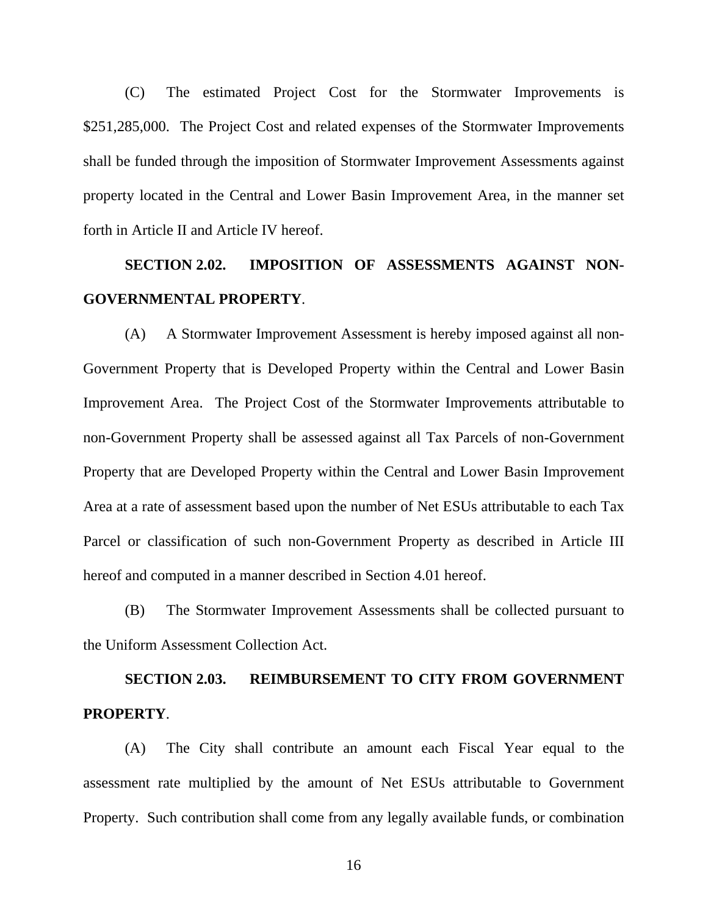<span id="page-18-0"></span>(C) The estimated Project Cost for the Stormwater Improvements is \$251,285,000. The Project Cost and related expenses of the Stormwater Improvements shall be funded through the imposition of Stormwater Improvement Assessments against property located in the Central and Lower Basin Improvement Area, in the manner set forth in Article II and Article IV hereof.

# **SECTION 2.02. IMPOSITION OF ASSESSMENTS AGAINST NON-GOVERNMENTAL PROPERTY**.

(A) A Stormwater Improvement Assessment is hereby imposed against all non-Government Property that is Developed Property within the Central and Lower Basin Improvement Area. The Project Cost of the Stormwater Improvements attributable to non-Government Property shall be assessed against all Tax Parcels of non-Government Property that are Developed Property within the Central and Lower Basin Improvement Area at a rate of assessment based upon the number of Net ESUs attributable to each Tax Parcel or classification of such non-Government Property as described in Article III hereof and computed in a manner described in Section 4.01 hereof.

(B) The Stormwater Improvement Assessments shall be collected pursuant to the Uniform Assessment Collection Act.

# **SECTION 2.03. REIMBURSEMENT TO CITY FROM GOVERNMENT PROPERTY**.

(A) The City shall contribute an amount each Fiscal Year equal to the assessment rate multiplied by the amount of Net ESUs attributable to Government Property. Such contribution shall come from any legally available funds, or combination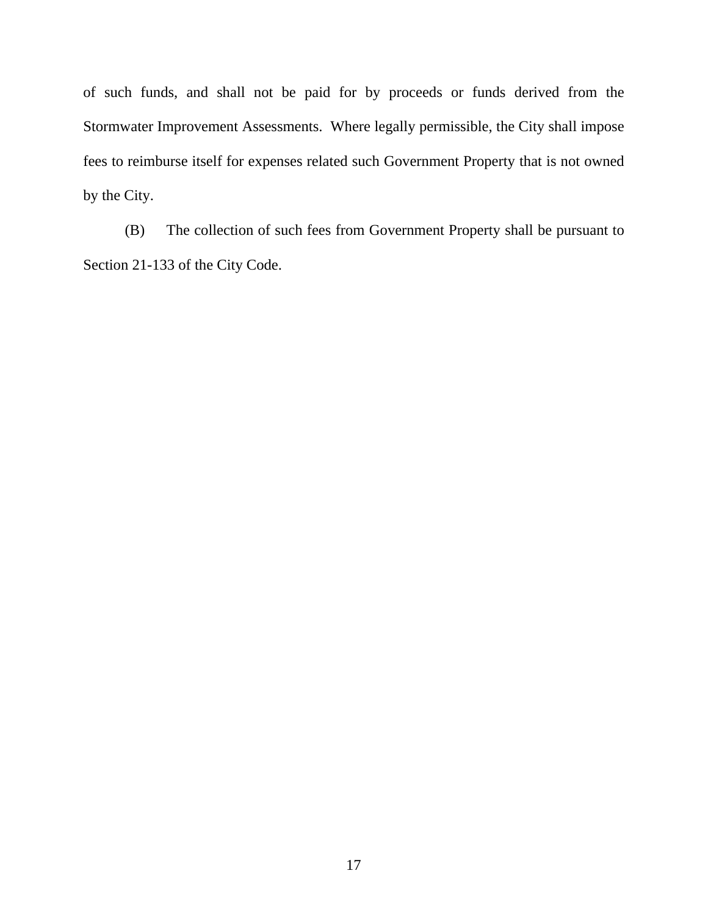of such funds, and shall not be paid for by proceeds or funds derived from the Stormwater Improvement Assessments. Where legally permissible, the City shall impose fees to reimburse itself for expenses related such Government Property that is not owned by the City.

(B) The collection of such fees from Government Property shall be pursuant to Section 21-133 of the City Code.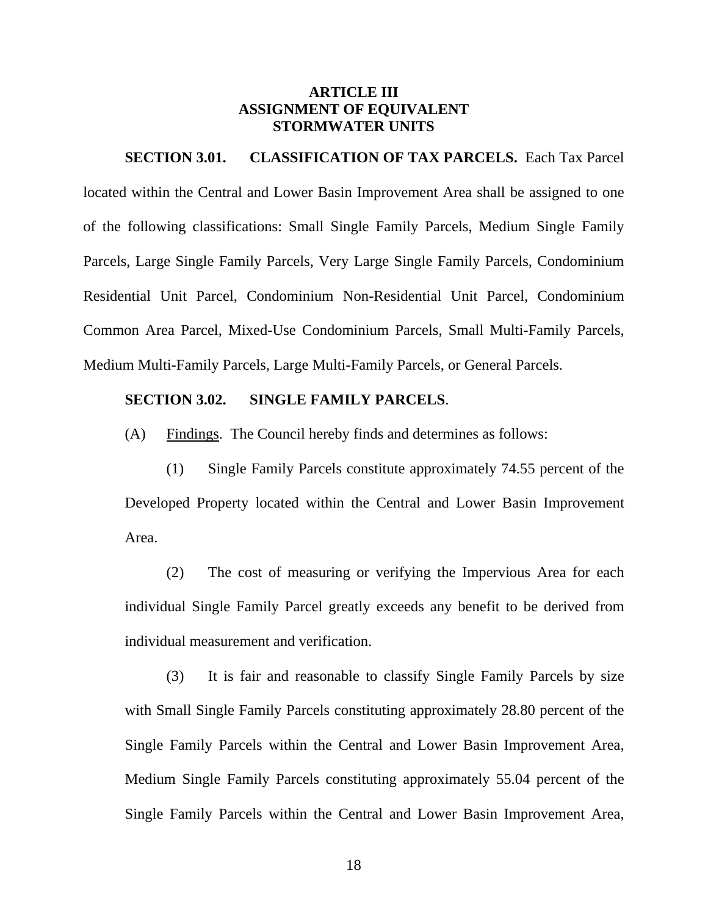## **ARTICLE III ASSIGNMENT OF EQUIVALENT STORMWATER UNITS**

#### <span id="page-20-0"></span>**SECTION 3.01. CLASSIFICATION OF TAX PARCELS.** Each Tax Parcel

located within the Central and Lower Basin Improvement Area shall be assigned to one of the following classifications: Small Single Family Parcels, Medium Single Family Parcels, Large Single Family Parcels, Very Large Single Family Parcels, Condominium Residential Unit Parcel, Condominium Non-Residential Unit Parcel, Condominium Common Area Parcel, Mixed-Use Condominium Parcels, Small Multi-Family Parcels, Medium Multi-Family Parcels, Large Multi-Family Parcels, or General Parcels.

#### **SECTION 3.02. SINGLE FAMILY PARCELS**.

(A) Findings. The Council hereby finds and determines as follows:

(1) Single Family Parcels constitute approximately 74.55 percent of the Developed Property located within the Central and Lower Basin Improvement Area.

(2) The cost of measuring or verifying the Impervious Area for each individual Single Family Parcel greatly exceeds any benefit to be derived from individual measurement and verification.

(3) It is fair and reasonable to classify Single Family Parcels by size with Small Single Family Parcels constituting approximately 28.80 percent of the Single Family Parcels within the Central and Lower Basin Improvement Area, Medium Single Family Parcels constituting approximately 55.04 percent of the Single Family Parcels within the Central and Lower Basin Improvement Area,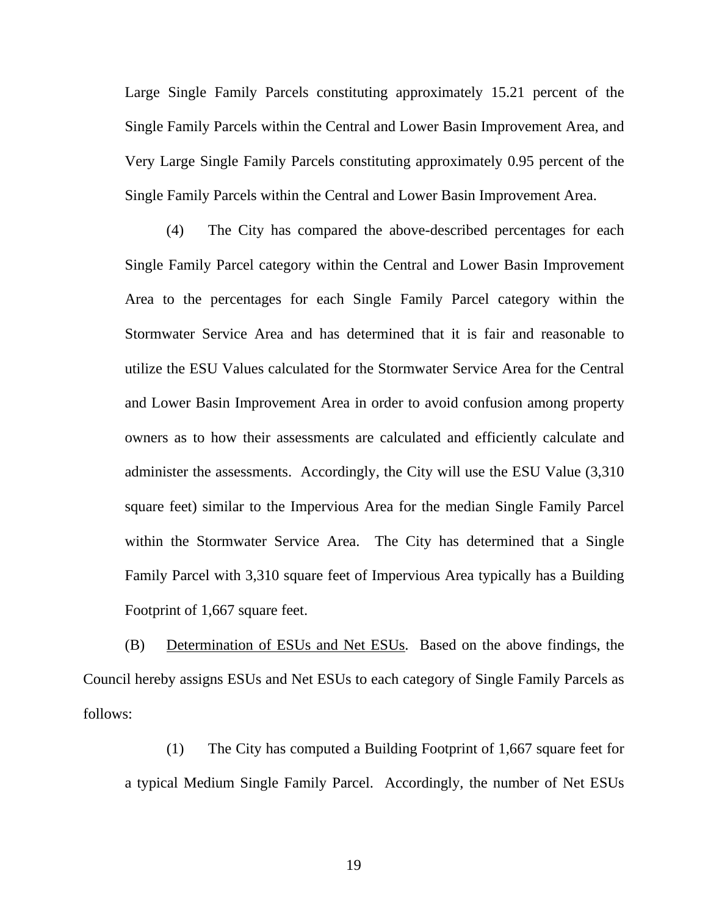Large Single Family Parcels constituting approximately 15.21 percent of the Single Family Parcels within the Central and Lower Basin Improvement Area, and Very Large Single Family Parcels constituting approximately 0.95 percent of the Single Family Parcels within the Central and Lower Basin Improvement Area.

(4) The City has compared the above-described percentages for each Single Family Parcel category within the Central and Lower Basin Improvement Area to the percentages for each Single Family Parcel category within the Stormwater Service Area and has determined that it is fair and reasonable to utilize the ESU Values calculated for the Stormwater Service Area for the Central and Lower Basin Improvement Area in order to avoid confusion among property owners as to how their assessments are calculated and efficiently calculate and administer the assessments. Accordingly, the City will use the ESU Value (3,310 square feet) similar to the Impervious Area for the median Single Family Parcel within the Stormwater Service Area. The City has determined that a Single Family Parcel with 3,310 square feet of Impervious Area typically has a Building Footprint of 1,667 square feet.

(B) Determination of ESUs and Net ESUs. Based on the above findings, the Council hereby assigns ESUs and Net ESUs to each category of Single Family Parcels as follows:

(1) The City has computed a Building Footprint of 1,667 square feet for a typical Medium Single Family Parcel. Accordingly, the number of Net ESUs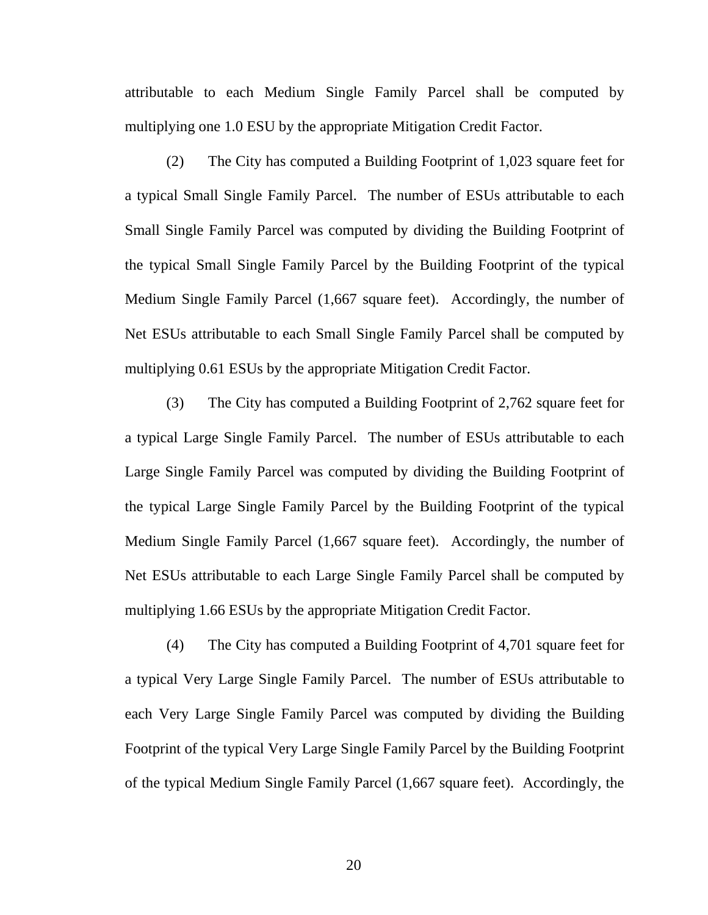attributable to each Medium Single Family Parcel shall be computed by multiplying one 1.0 ESU by the appropriate Mitigation Credit Factor.

(2) The City has computed a Building Footprint of 1,023 square feet for a typical Small Single Family Parcel. The number of ESUs attributable to each Small Single Family Parcel was computed by dividing the Building Footprint of the typical Small Single Family Parcel by the Building Footprint of the typical Medium Single Family Parcel (1,667 square feet). Accordingly, the number of Net ESUs attributable to each Small Single Family Parcel shall be computed by multiplying 0.61 ESUs by the appropriate Mitigation Credit Factor.

(3) The City has computed a Building Footprint of 2,762 square feet for a typical Large Single Family Parcel. The number of ESUs attributable to each Large Single Family Parcel was computed by dividing the Building Footprint of the typical Large Single Family Parcel by the Building Footprint of the typical Medium Single Family Parcel (1,667 square feet). Accordingly, the number of Net ESUs attributable to each Large Single Family Parcel shall be computed by multiplying 1.66 ESUs by the appropriate Mitigation Credit Factor.

(4) The City has computed a Building Footprint of 4,701 square feet for a typical Very Large Single Family Parcel. The number of ESUs attributable to each Very Large Single Family Parcel was computed by dividing the Building Footprint of the typical Very Large Single Family Parcel by the Building Footprint of the typical Medium Single Family Parcel (1,667 square feet). Accordingly, the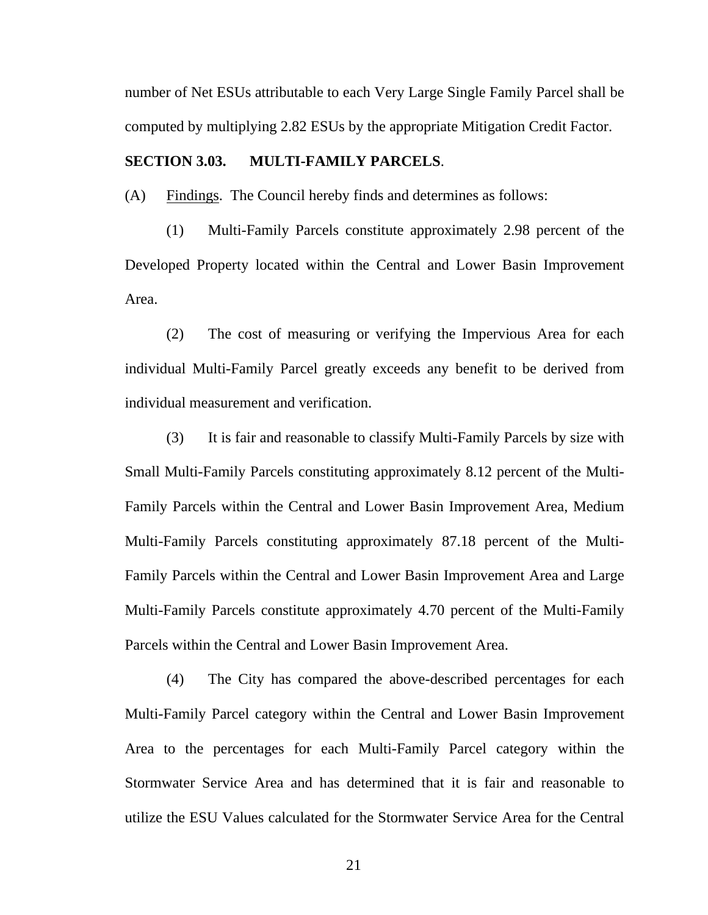<span id="page-23-0"></span>number of Net ESUs attributable to each Very Large Single Family Parcel shall be computed by multiplying 2.82 ESUs by the appropriate Mitigation Credit Factor.

#### **SECTION 3.03. MULTI-FAMILY PARCELS**.

(A) Findings. The Council hereby finds and determines as follows:

(1) Multi-Family Parcels constitute approximately 2.98 percent of the Developed Property located within the Central and Lower Basin Improvement Area.

(2) The cost of measuring or verifying the Impervious Area for each individual Multi-Family Parcel greatly exceeds any benefit to be derived from individual measurement and verification.

(3) It is fair and reasonable to classify Multi-Family Parcels by size with Small Multi-Family Parcels constituting approximately 8.12 percent of the Multi-Family Parcels within the Central and Lower Basin Improvement Area, Medium Multi-Family Parcels constituting approximately 87.18 percent of the Multi-Family Parcels within the Central and Lower Basin Improvement Area and Large Multi-Family Parcels constitute approximately 4.70 percent of the Multi-Family Parcels within the Central and Lower Basin Improvement Area.

(4) The City has compared the above-described percentages for each Multi-Family Parcel category within the Central and Lower Basin Improvement Area to the percentages for each Multi-Family Parcel category within the Stormwater Service Area and has determined that it is fair and reasonable to utilize the ESU Values calculated for the Stormwater Service Area for the Central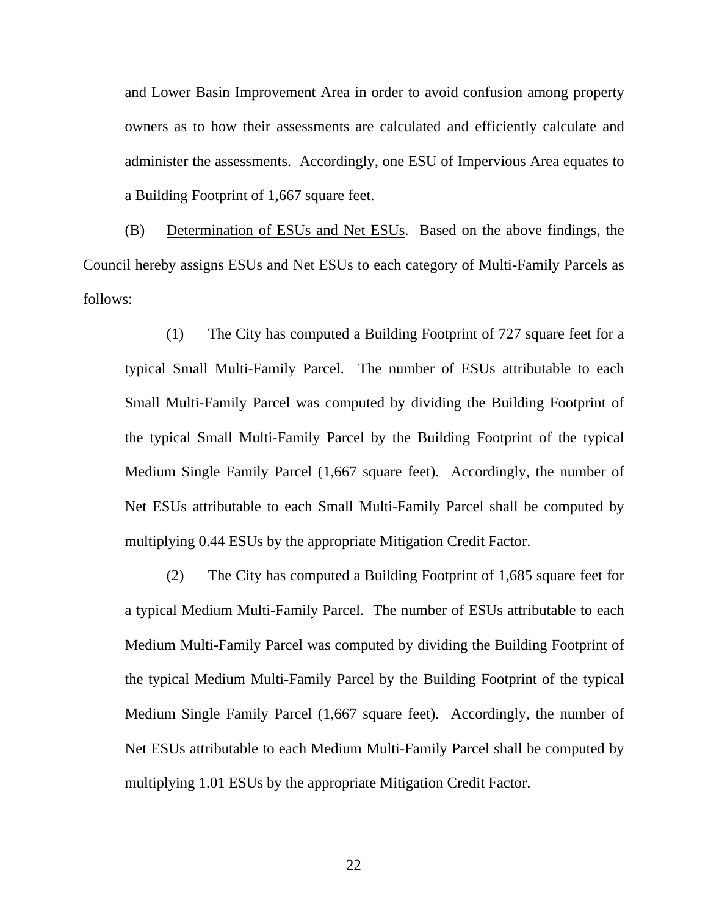and Lower Basin Improvement Area in order to avoid confusion among property owners as to how their assessments are calculated and efficiently calculate and administer the assessments. Accordingly, one ESU of Impervious Area equates to a Building Footprint of 1,667 square feet.

(B) Determination of ESUs and Net ESUs. Based on the above findings, the Council hereby assigns ESUs and Net ESUs to each category of Multi-Family Parcels as follows:

(1) The City has computed a Building Footprint of 727 square feet for a typical Small Multi-Family Parcel. The number of ESUs attributable to each Small Multi-Family Parcel was computed by dividing the Building Footprint of the typical Small Multi-Family Parcel by the Building Footprint of the typical Medium Single Family Parcel (1,667 square feet). Accordingly, the number of Net ESUs attributable to each Small Multi-Family Parcel shall be computed by multiplying 0.44 ESUs by the appropriate Mitigation Credit Factor.

(2) The City has computed a Building Footprint of 1,685 square feet for a typical Medium Multi-Family Parcel. The number of ESUs attributable to each Medium Multi-Family Parcel was computed by dividing the Building Footprint of the typical Medium Multi-Family Parcel by the Building Footprint of the typical Medium Single Family Parcel (1,667 square feet). Accordingly, the number of Net ESUs attributable to each Medium Multi-Family Parcel shall be computed by multiplying 1.01 ESUs by the appropriate Mitigation Credit Factor.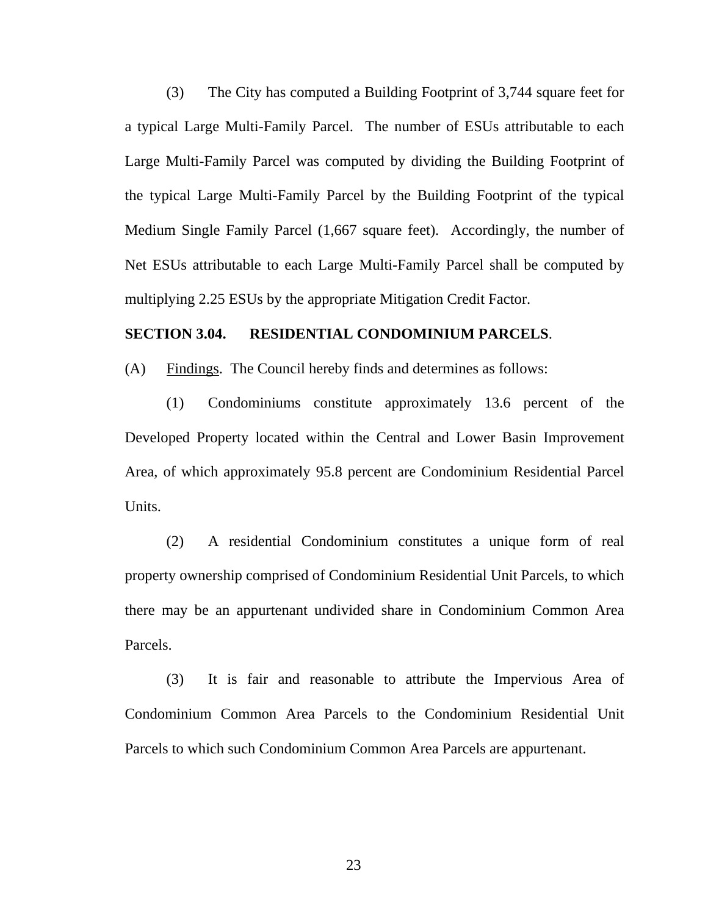<span id="page-25-0"></span>(3) The City has computed a Building Footprint of 3,744 square feet for a typical Large Multi-Family Parcel. The number of ESUs attributable to each Large Multi-Family Parcel was computed by dividing the Building Footprint of the typical Large Multi-Family Parcel by the Building Footprint of the typical Medium Single Family Parcel (1,667 square feet). Accordingly, the number of Net ESUs attributable to each Large Multi-Family Parcel shall be computed by multiplying 2.25 ESUs by the appropriate Mitigation Credit Factor.

#### **SECTION 3.04. RESIDENTIAL CONDOMINIUM PARCELS**.

(A) Findings. The Council hereby finds and determines as follows:

(1) Condominiums constitute approximately 13.6 percent of the Developed Property located within the Central and Lower Basin Improvement Area, of which approximately 95.8 percent are Condominium Residential Parcel Units.

(2) A residential Condominium constitutes a unique form of real property ownership comprised of Condominium Residential Unit Parcels, to which there may be an appurtenant undivided share in Condominium Common Area Parcels.

(3) It is fair and reasonable to attribute the Impervious Area of Condominium Common Area Parcels to the Condominium Residential Unit Parcels to which such Condominium Common Area Parcels are appurtenant.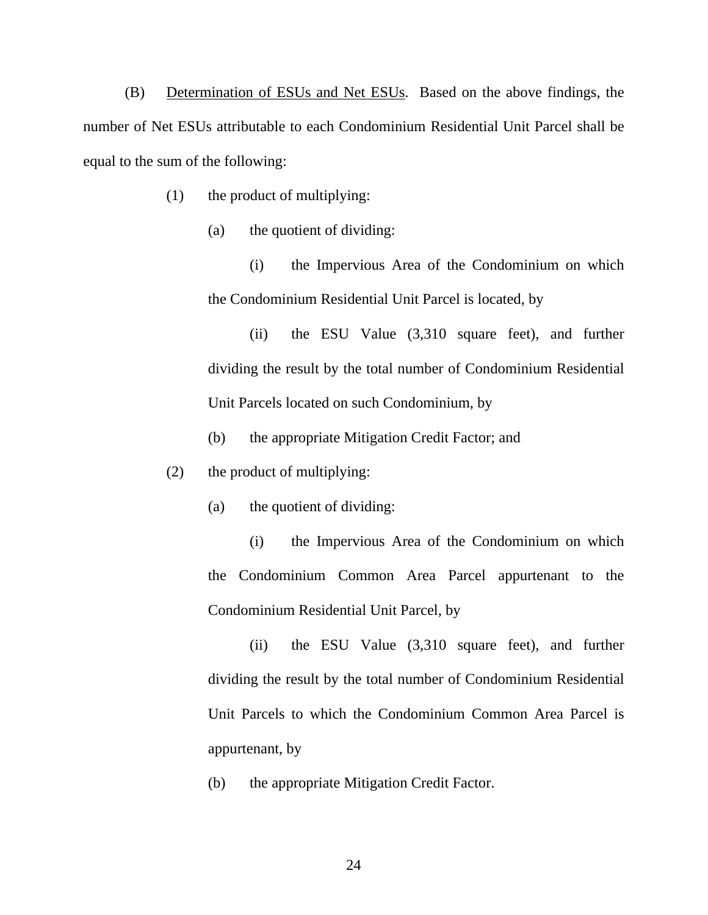(B) Determination of ESUs and Net ESUs. Based on the above findings, the number of Net ESUs attributable to each Condominium Residential Unit Parcel shall be equal to the sum of the following:

- (1) the product of multiplying:
	- (a) the quotient of dividing:

(i) the Impervious Area of the Condominium on which the Condominium Residential Unit Parcel is located, by

(ii) the ESU Value (3,310 square feet), and further dividing the result by the total number of Condominium Residential Unit Parcels located on such Condominium, by

- (b) the appropriate Mitigation Credit Factor; and
- (2) the product of multiplying:
	- (a) the quotient of dividing:

(i) the Impervious Area of the Condominium on which the Condominium Common Area Parcel appurtenant to the Condominium Residential Unit Parcel, by

(ii) the ESU Value (3,310 square feet), and further dividing the result by the total number of Condominium Residential Unit Parcels to which the Condominium Common Area Parcel is appurtenant, by

(b) the appropriate Mitigation Credit Factor.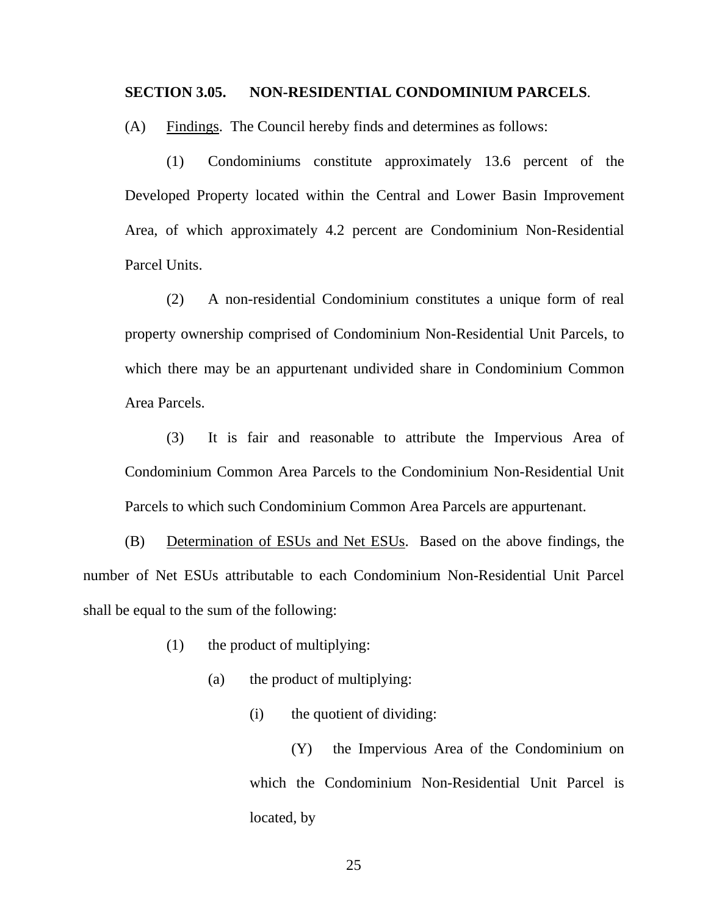#### <span id="page-27-0"></span>**SECTION 3.05. NON-RESIDENTIAL CONDOMINIUM PARCELS**.

(A) Findings. The Council hereby finds and determines as follows:

(1) Condominiums constitute approximately 13.6 percent of the Developed Property located within the Central and Lower Basin Improvement Area, of which approximately 4.2 percent are Condominium Non-Residential Parcel Units.

(2) A non-residential Condominium constitutes a unique form of real property ownership comprised of Condominium Non-Residential Unit Parcels, to which there may be an appurtenant undivided share in Condominium Common Area Parcels.

(3) It is fair and reasonable to attribute the Impervious Area of Condominium Common Area Parcels to the Condominium Non-Residential Unit Parcels to which such Condominium Common Area Parcels are appurtenant.

(B) Determination of ESUs and Net ESUs. Based on the above findings, the number of Net ESUs attributable to each Condominium Non-Residential Unit Parcel shall be equal to the sum of the following:

(1) the product of multiplying:

(a) the product of multiplying:

(i) the quotient of dividing:

(Y) the Impervious Area of the Condominium on which the Condominium Non-Residential Unit Parcel is located, by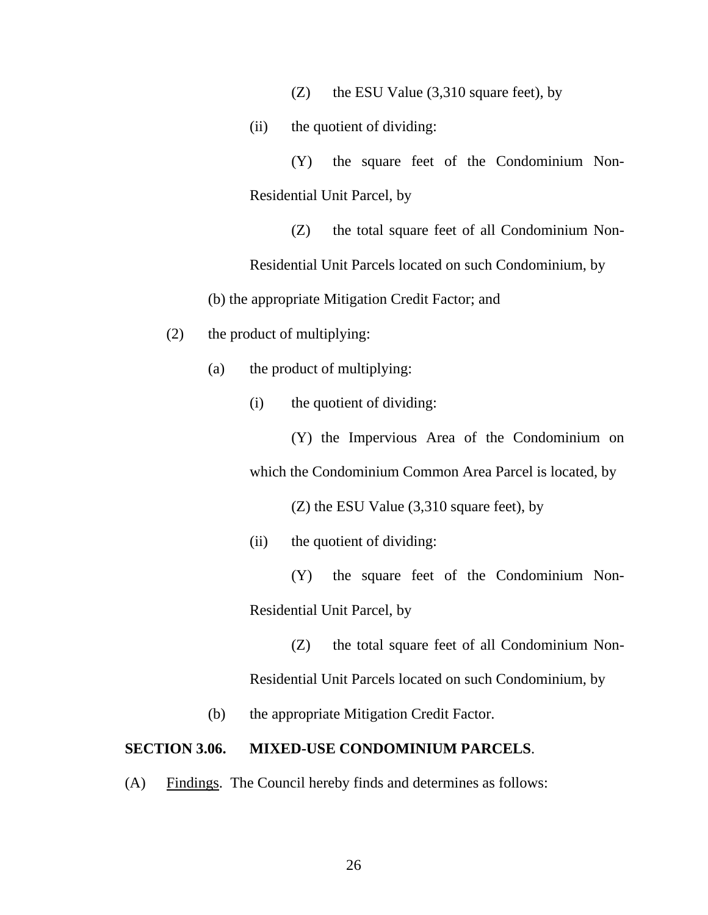(Z) the ESU Value (3,310 square feet), by

<span id="page-28-0"></span>(ii) the quotient of dividing:

(Y) the square feet of the Condominium Non-Residential Unit Parcel, by

(Z) the total square feet of all Condominium Non-

Residential Unit Parcels located on such Condominium, by

(b) the appropriate Mitigation Credit Factor; and

- (2) the product of multiplying:
	- (a) the product of multiplying:
		- (i) the quotient of dividing:

(Y) the Impervious Area of the Condominium on which the Condominium Common Area Parcel is located, by

(Z) the ESU Value (3,310 square feet), by

(ii) the quotient of dividing:

(Y) the square feet of the Condominium Non-Residential Unit Parcel, by

(Z) the total square feet of all Condominium Non-Residential Unit Parcels located on such Condominium, by

(b) the appropriate Mitigation Credit Factor.

#### **SECTION 3.06. MIXED-USE CONDOMINIUM PARCELS**.

(A) Findings. The Council hereby finds and determines as follows: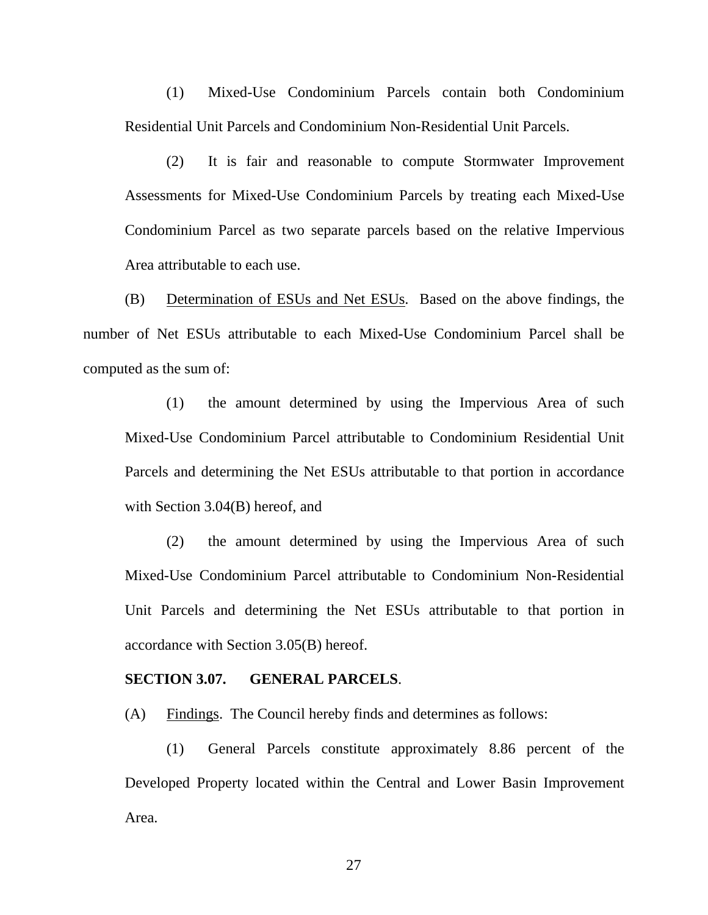<span id="page-29-0"></span>(1) Mixed-Use Condominium Parcels contain both Condominium Residential Unit Parcels and Condominium Non-Residential Unit Parcels.

(2) It is fair and reasonable to compute Stormwater Improvement Assessments for Mixed-Use Condominium Parcels by treating each Mixed-Use Condominium Parcel as two separate parcels based on the relative Impervious Area attributable to each use.

(B) Determination of ESUs and Net ESUs. Based on the above findings, the number of Net ESUs attributable to each Mixed-Use Condominium Parcel shall be computed as the sum of:

(1) the amount determined by using the Impervious Area of such Mixed-Use Condominium Parcel attributable to Condominium Residential Unit Parcels and determining the Net ESUs attributable to that portion in accordance with Section 3.04(B) hereof, and

(2) the amount determined by using the Impervious Area of such Mixed-Use Condominium Parcel attributable to Condominium Non-Residential Unit Parcels and determining the Net ESUs attributable to that portion in accordance with Section 3.05(B) hereof.

#### **SECTION 3.07. GENERAL PARCELS**.

(A) Findings. The Council hereby finds and determines as follows:

(1) General Parcels constitute approximately 8.86 percent of the Developed Property located within the Central and Lower Basin Improvement Area.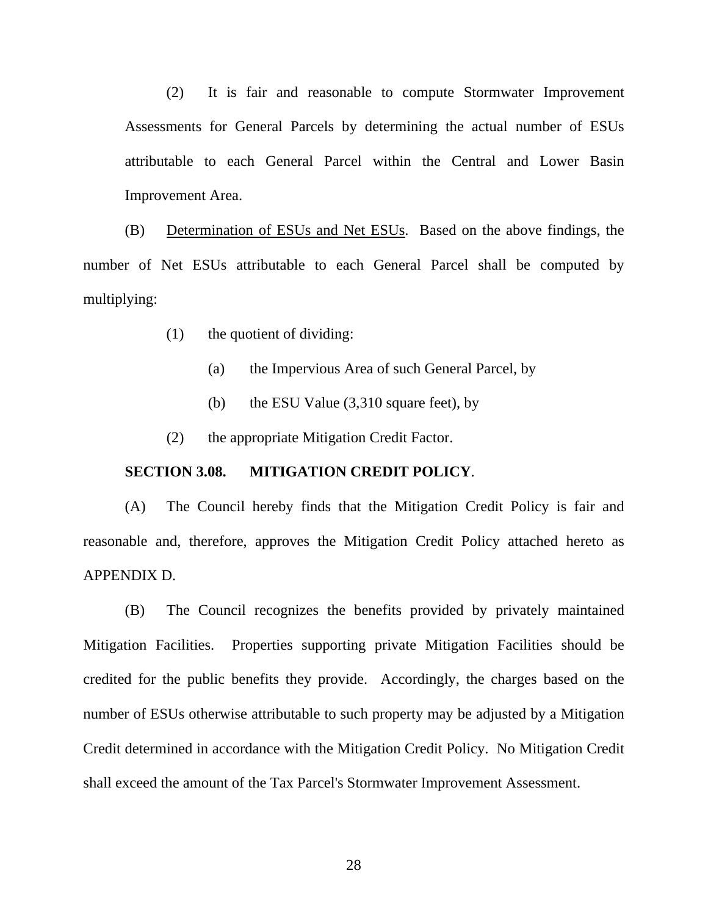<span id="page-30-0"></span>(2) It is fair and reasonable to compute Stormwater Improvement Assessments for General Parcels by determining the actual number of ESUs attributable to each General Parcel within the Central and Lower Basin Improvement Area.

(B) Determination of ESUs and Net ESUs. Based on the above findings, the number of Net ESUs attributable to each General Parcel shall be computed by multiplying:

- (1) the quotient of dividing:
	- (a) the Impervious Area of such General Parcel, by
	- (b) the ESU Value (3,310 square feet), by
- (2) the appropriate Mitigation Credit Factor.

### **SECTION 3.08. MITIGATION CREDIT POLICY**.

(A) The Council hereby finds that the Mitigation Credit Policy is fair and reasonable and, therefore, approves the Mitigation Credit Policy attached hereto as APPENDIX D.

(B) The Council recognizes the benefits provided by privately maintained Mitigation Facilities. Properties supporting private Mitigation Facilities should be credited for the public benefits they provide. Accordingly, the charges based on the number of ESUs otherwise attributable to such property may be adjusted by a Mitigation Credit determined in accordance with the Mitigation Credit Policy. No Mitigation Credit shall exceed the amount of the Tax Parcel's Stormwater Improvement Assessment.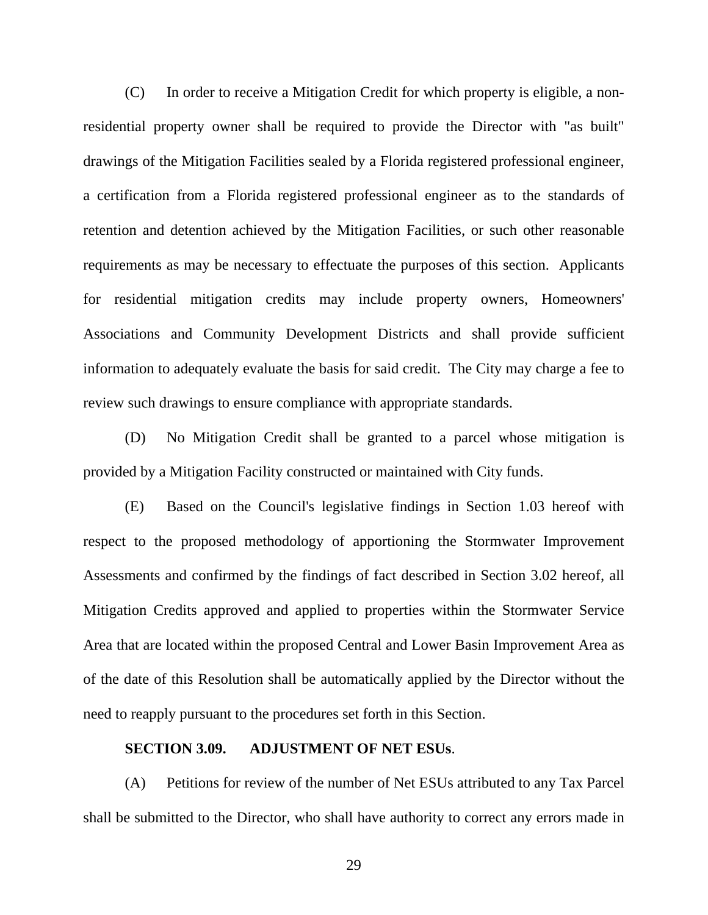<span id="page-31-0"></span>(C) In order to receive a Mitigation Credit for which property is eligible, a nonresidential property owner shall be required to provide the Director with "as built" drawings of the Mitigation Facilities sealed by a Florida registered professional engineer, a certification from a Florida registered professional engineer as to the standards of retention and detention achieved by the Mitigation Facilities, or such other reasonable requirements as may be necessary to effectuate the purposes of this section. Applicants for residential mitigation credits may include property owners, Homeowners' Associations and Community Development Districts and shall provide sufficient information to adequately evaluate the basis for said credit. The City may charge a fee to review such drawings to ensure compliance with appropriate standards.

(D) No Mitigation Credit shall be granted to a parcel whose mitigation is provided by a Mitigation Facility constructed or maintained with City funds.

(E) Based on the Council's legislative findings in Section 1.03 hereof with respect to the proposed methodology of apportioning the Stormwater Improvement Assessments and confirmed by the findings of fact described in Section 3.02 hereof, all Mitigation Credits approved and applied to properties within the Stormwater Service Area that are located within the proposed Central and Lower Basin Improvement Area as of the date of this Resolution shall be automatically applied by the Director without the need to reapply pursuant to the procedures set forth in this Section.

#### **SECTION 3.09. ADJUSTMENT OF NET ESUs**.

(A) Petitions for review of the number of Net ESUs attributed to any Tax Parcel shall be submitted to the Director, who shall have authority to correct any errors made in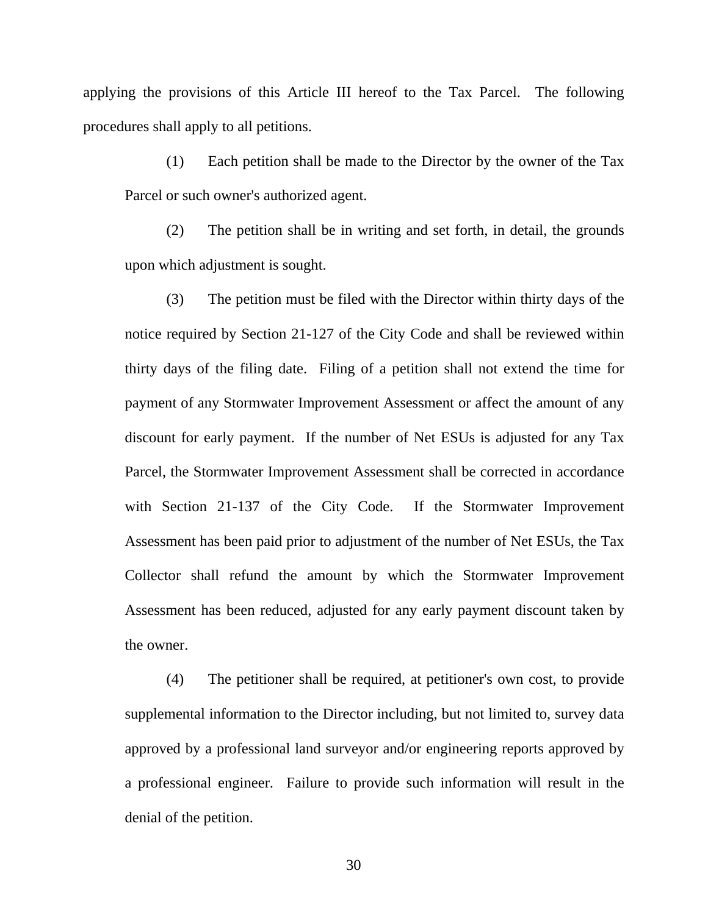applying the provisions of this Article III hereof to the Tax Parcel. The following procedures shall apply to all petitions.

(1) Each petition shall be made to the Director by the owner of the Tax Parcel or such owner's authorized agent.

(2) The petition shall be in writing and set forth, in detail, the grounds upon which adjustment is sought.

(3) The petition must be filed with the Director within thirty days of the notice required by Section 21-127 of the City Code and shall be reviewed within thirty days of the filing date. Filing of a petition shall not extend the time for payment of any Stormwater Improvement Assessment or affect the amount of any discount for early payment. If the number of Net ESUs is adjusted for any Tax Parcel, the Stormwater Improvement Assessment shall be corrected in accordance with Section 21-137 of the City Code. If the Stormwater Improvement Assessment has been paid prior to adjustment of the number of Net ESUs, the Tax Collector shall refund the amount by which the Stormwater Improvement Assessment has been reduced, adjusted for any early payment discount taken by the owner.

(4) The petitioner shall be required, at petitioner's own cost, to provide supplemental information to the Director including, but not limited to, survey data approved by a professional land surveyor and/or engineering reports approved by a professional engineer. Failure to provide such information will result in the denial of the petition.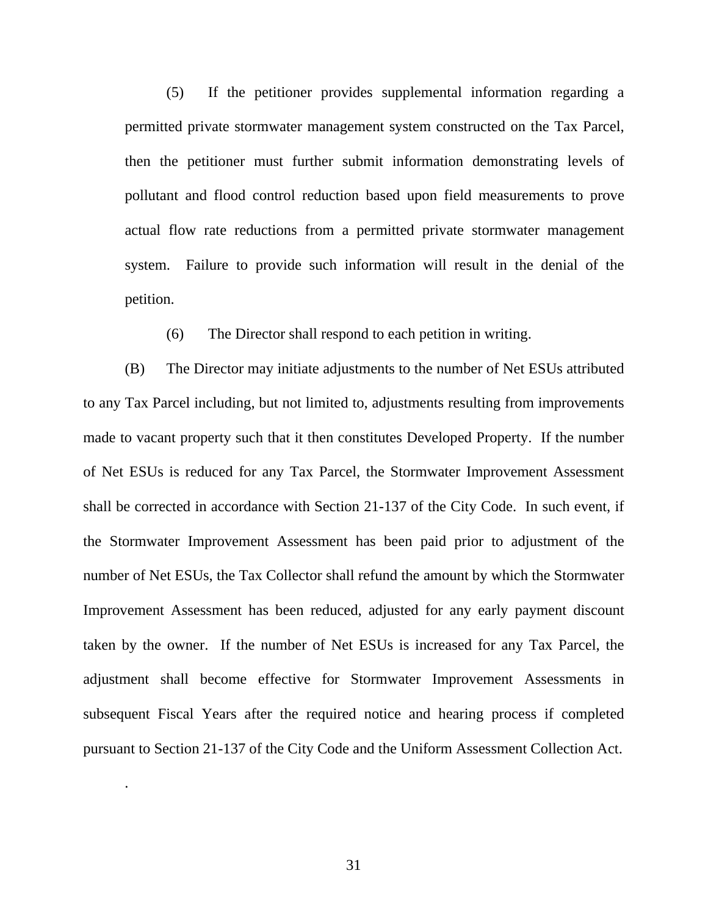(5) If the petitioner provides supplemental information regarding a permitted private stormwater management system constructed on the Tax Parcel, then the petitioner must further submit information demonstrating levels of pollutant and flood control reduction based upon field measurements to prove actual flow rate reductions from a permitted private stormwater management system. Failure to provide such information will result in the denial of the petition.

(6) The Director shall respond to each petition in writing.

(B) The Director may initiate adjustments to the number of Net ESUs attributed to any Tax Parcel including, but not limited to, adjustments resulting from improvements made to vacant property such that it then constitutes Developed Property. If the number of Net ESUs is reduced for any Tax Parcel, the Stormwater Improvement Assessment shall be corrected in accordance with Section 21-137 of the City Code. In such event, if the Stormwater Improvement Assessment has been paid prior to adjustment of the number of Net ESUs, the Tax Collector shall refund the amount by which the Stormwater Improvement Assessment has been reduced, adjusted for any early payment discount taken by the owner. If the number of Net ESUs is increased for any Tax Parcel, the adjustment shall become effective for Stormwater Improvement Assessments in subsequent Fiscal Years after the required notice and hearing process if completed pursuant to Section 21-137 of the City Code and the Uniform Assessment Collection Act.

.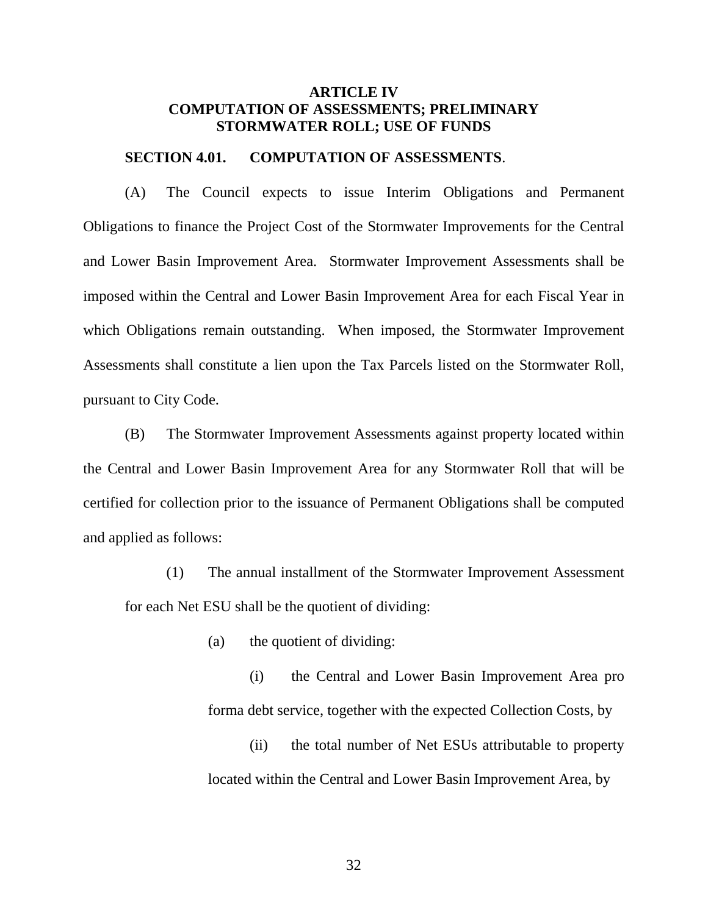### <span id="page-34-0"></span>**ARTICLE IV COMPUTATION OF ASSESSMENTS; PRELIMINARY STORMWATER ROLL; USE OF FUNDS**

#### **SECTION 4.01. COMPUTATION OF ASSESSMENTS**.

(A) The Council expects to issue Interim Obligations and Permanent Obligations to finance the Project Cost of the Stormwater Improvements for the Central and Lower Basin Improvement Area. Stormwater Improvement Assessments shall be imposed within the Central and Lower Basin Improvement Area for each Fiscal Year in which Obligations remain outstanding. When imposed, the Stormwater Improvement Assessments shall constitute a lien upon the Tax Parcels listed on the Stormwater Roll, pursuant to City Code.

(B) The Stormwater Improvement Assessments against property located within the Central and Lower Basin Improvement Area for any Stormwater Roll that will be certified for collection prior to the issuance of Permanent Obligations shall be computed and applied as follows:

(1) The annual installment of the Stormwater Improvement Assessment for each Net ESU shall be the quotient of dividing:

(a) the quotient of dividing:

(i) the Central and Lower Basin Improvement Area pro forma debt service, together with the expected Collection Costs, by

(ii) the total number of Net ESUs attributable to property located within the Central and Lower Basin Improvement Area, by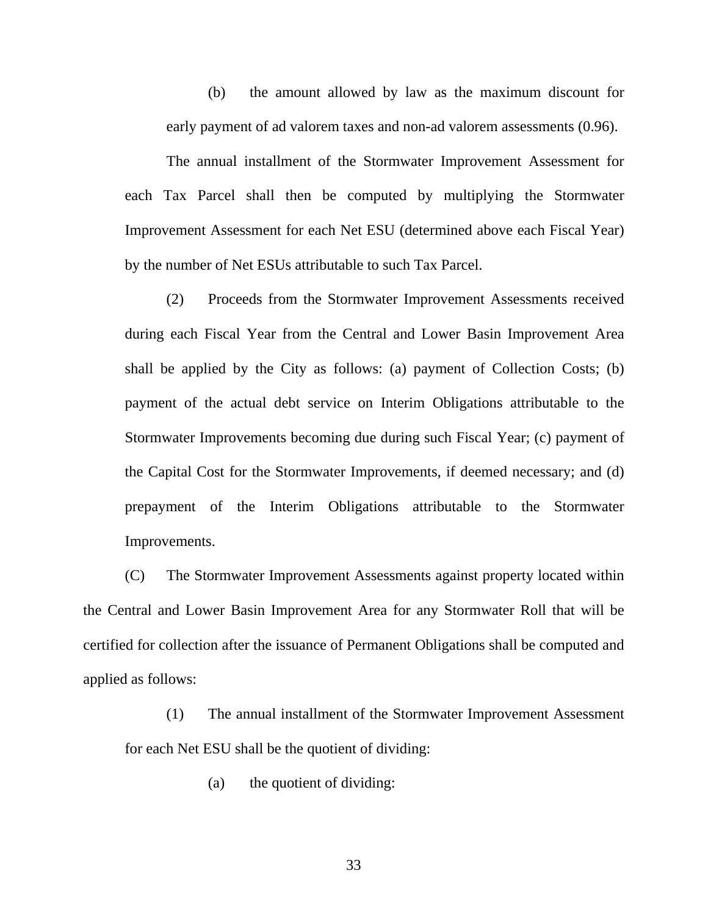(b) the amount allowed by law as the maximum discount for early payment of ad valorem taxes and non-ad valorem assessments (0.96).

The annual installment of the Stormwater Improvement Assessment for each Tax Parcel shall then be computed by multiplying the Stormwater Improvement Assessment for each Net ESU (determined above each Fiscal Year) by the number of Net ESUs attributable to such Tax Parcel.

(2) Proceeds from the Stormwater Improvement Assessments received during each Fiscal Year from the Central and Lower Basin Improvement Area shall be applied by the City as follows: (a) payment of Collection Costs; (b) payment of the actual debt service on Interim Obligations attributable to the Stormwater Improvements becoming due during such Fiscal Year; (c) payment of the Capital Cost for the Stormwater Improvements, if deemed necessary; and (d) prepayment of the Interim Obligations attributable to the Stormwater Improvements.

(C) The Stormwater Improvement Assessments against property located within the Central and Lower Basin Improvement Area for any Stormwater Roll that will be certified for collection after the issuance of Permanent Obligations shall be computed and applied as follows:

(1) The annual installment of the Stormwater Improvement Assessment for each Net ESU shall be the quotient of dividing:

(a) the quotient of dividing: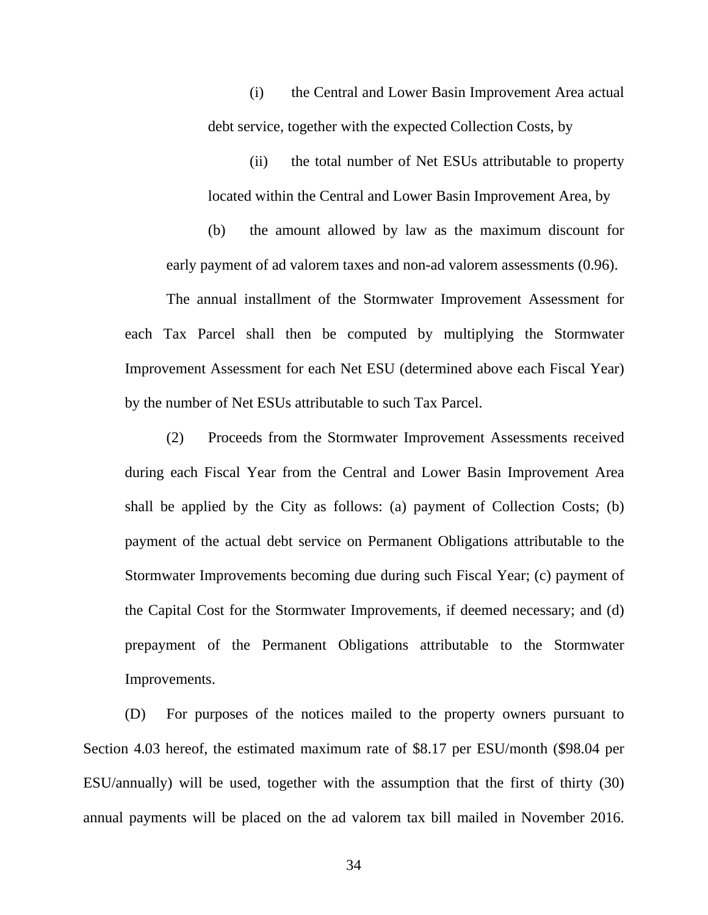(i) the Central and Lower Basin Improvement Area actual debt service, together with the expected Collection Costs, by

(ii) the total number of Net ESUs attributable to property located within the Central and Lower Basin Improvement Area, by

(b) the amount allowed by law as the maximum discount for early payment of ad valorem taxes and non-ad valorem assessments (0.96).

The annual installment of the Stormwater Improvement Assessment for each Tax Parcel shall then be computed by multiplying the Stormwater Improvement Assessment for each Net ESU (determined above each Fiscal Year) by the number of Net ESUs attributable to such Tax Parcel.

(2) Proceeds from the Stormwater Improvement Assessments received during each Fiscal Year from the Central and Lower Basin Improvement Area shall be applied by the City as follows: (a) payment of Collection Costs; (b) payment of the actual debt service on Permanent Obligations attributable to the Stormwater Improvements becoming due during such Fiscal Year; (c) payment of the Capital Cost for the Stormwater Improvements, if deemed necessary; and (d) prepayment of the Permanent Obligations attributable to the Stormwater Improvements.

(D) For purposes of the notices mailed to the property owners pursuant to Section 4.03 hereof, the estimated maximum rate of \$8.17 per ESU/month (\$98.04 per ESU/annually) will be used, together with the assumption that the first of thirty (30) annual payments will be placed on the ad valorem tax bill mailed in November 2016.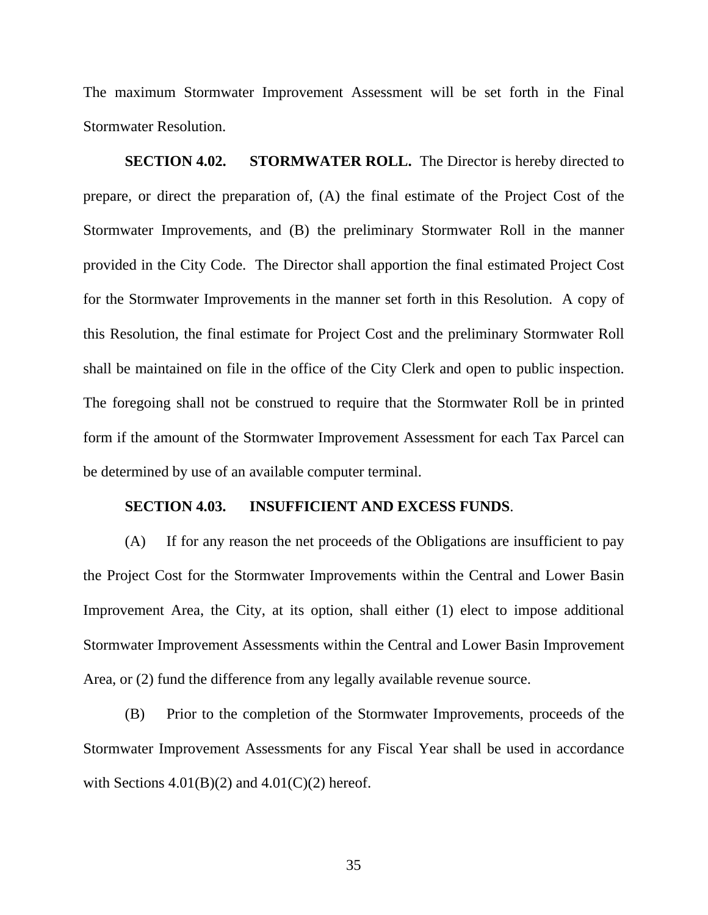<span id="page-37-0"></span>The maximum Stormwater Improvement Assessment will be set forth in the Final Stormwater Resolution.

**SECTION 4.02.** STORMWATER ROLL. The Director is hereby directed to prepare, or direct the preparation of, (A) the final estimate of the Project Cost of the Stormwater Improvements, and (B) the preliminary Stormwater Roll in the manner provided in the City Code. The Director shall apportion the final estimated Project Cost for the Stormwater Improvements in the manner set forth in this Resolution. A copy of this Resolution, the final estimate for Project Cost and the preliminary Stormwater Roll shall be maintained on file in the office of the City Clerk and open to public inspection. The foregoing shall not be construed to require that the Stormwater Roll be in printed form if the amount of the Stormwater Improvement Assessment for each Tax Parcel can be determined by use of an available computer terminal.

#### **SECTION 4.03. INSUFFICIENT AND EXCESS FUNDS**.

(A) If for any reason the net proceeds of the Obligations are insufficient to pay the Project Cost for the Stormwater Improvements within the Central and Lower Basin Improvement Area, the City, at its option, shall either (1) elect to impose additional Stormwater Improvement Assessments within the Central and Lower Basin Improvement Area, or (2) fund the difference from any legally available revenue source.

(B) Prior to the completion of the Stormwater Improvements, proceeds of the Stormwater Improvement Assessments for any Fiscal Year shall be used in accordance with Sections  $4.01(B)(2)$  and  $4.01(C)(2)$  hereof.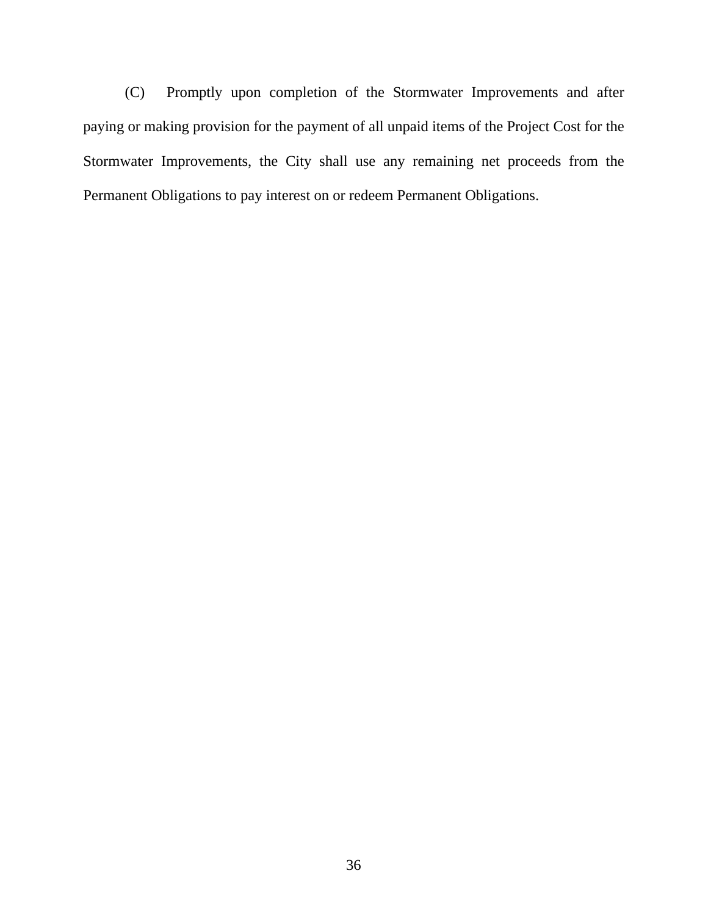(C) Promptly upon completion of the Stormwater Improvements and after paying or making provision for the payment of all unpaid items of the Project Cost for the Stormwater Improvements, the City shall use any remaining net proceeds from the Permanent Obligations to pay interest on or redeem Permanent Obligations.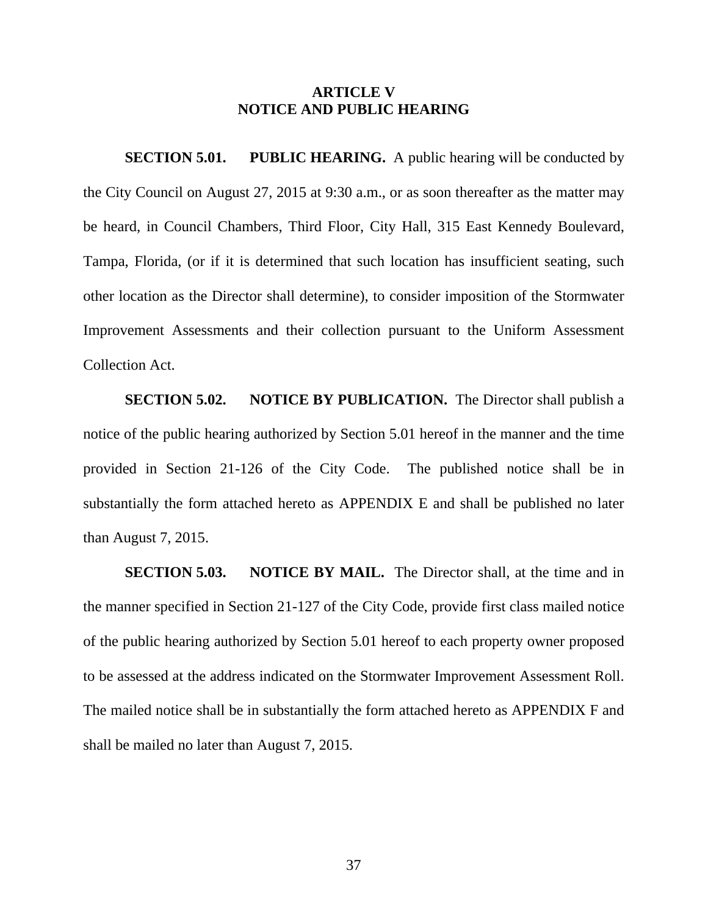#### **ARTICLE V NOTICE AND PUBLIC HEARING**

<span id="page-39-0"></span>**SECTION 5.01.** PUBLIC HEARING. A public hearing will be conducted by the City Council on August 27, 2015 at 9:30 a.m., or as soon thereafter as the matter may be heard, in Council Chambers, Third Floor, City Hall, 315 East Kennedy Boulevard, Tampa, Florida, (or if it is determined that such location has insufficient seating, such other location as the Director shall determine), to consider imposition of the Stormwater Improvement Assessments and their collection pursuant to the Uniform Assessment Collection Act.

**SECTION 5.02.** NOTICE BY PUBLICATION. The Director shall publish a notice of the public hearing authorized by Section 5.01 hereof in the manner and the time provided in Section 21-126 of the City Code. The published notice shall be in substantially the form attached hereto as APPENDIX E and shall be published no later than August 7, 2015.

**SECTION 5.03. NOTICE BY MAIL.** The Director shall, at the time and in the manner specified in Section 21-127 of the City Code, provide first class mailed notice of the public hearing authorized by Section 5.01 hereof to each property owner proposed to be assessed at the address indicated on the Stormwater Improvement Assessment Roll. The mailed notice shall be in substantially the form attached hereto as APPENDIX F and shall be mailed no later than August 7, 2015.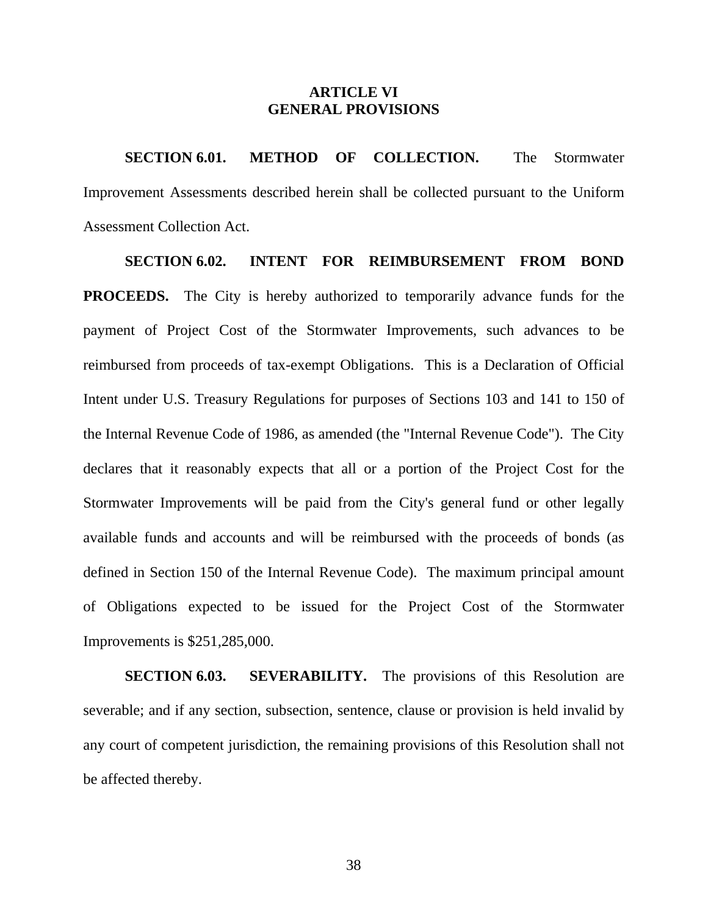#### **ARTICLE VI GENERAL PROVISIONS**

<span id="page-40-0"></span>**SECTION 6.01. METHOD OF COLLECTION.** The Stormwater Improvement Assessments described herein shall be collected pursuant to the Uniform Assessment Collection Act.

**SECTION 6.02. INTENT FOR REIMBURSEMENT FROM BOND PROCEEDS.** The City is hereby authorized to temporarily advance funds for the payment of Project Cost of the Stormwater Improvements, such advances to be reimbursed from proceeds of tax-exempt Obligations. This is a Declaration of Official Intent under U.S. Treasury Regulations for purposes of Sections 103 and 141 to 150 of the Internal Revenue Code of 1986, as amended (the "Internal Revenue Code"). The City declares that it reasonably expects that all or a portion of the Project Cost for the Stormwater Improvements will be paid from the City's general fund or other legally available funds and accounts and will be reimbursed with the proceeds of bonds (as defined in Section 150 of the Internal Revenue Code). The maximum principal amount of Obligations expected to be issued for the Project Cost of the Stormwater Improvements is \$251,285,000.

**SECTION 6.03. SEVERABILITY.** The provisions of this Resolution are severable; and if any section, subsection, sentence, clause or provision is held invalid by any court of competent jurisdiction, the remaining provisions of this Resolution shall not be affected thereby.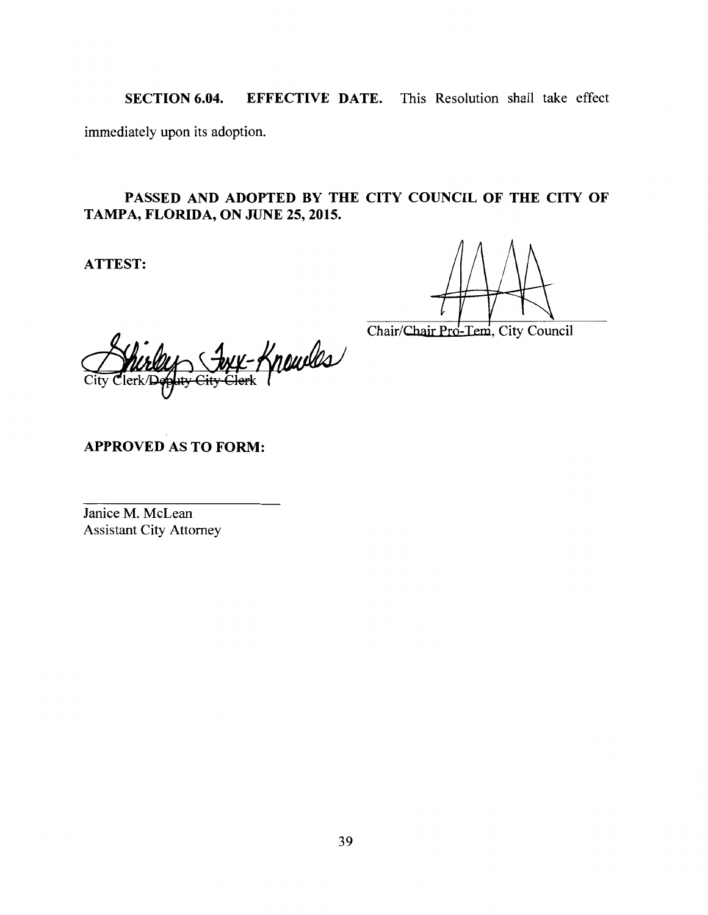SECTION 6.04. EFFECTIVE DATE. This Resolution shall take effect

immediately upon its adoption.

## PASSED AND ADOPTED BY THE CITY COUNCIL OF THE CITY OF TAMPA, FLORIDA, ON JUNE 25,2015.

ATTEST:

Chair/Cbajr Pro-Tem, City Council

Knowles

APPROVED AS TO FORM:

Janice M. McLean Assistant City Attorney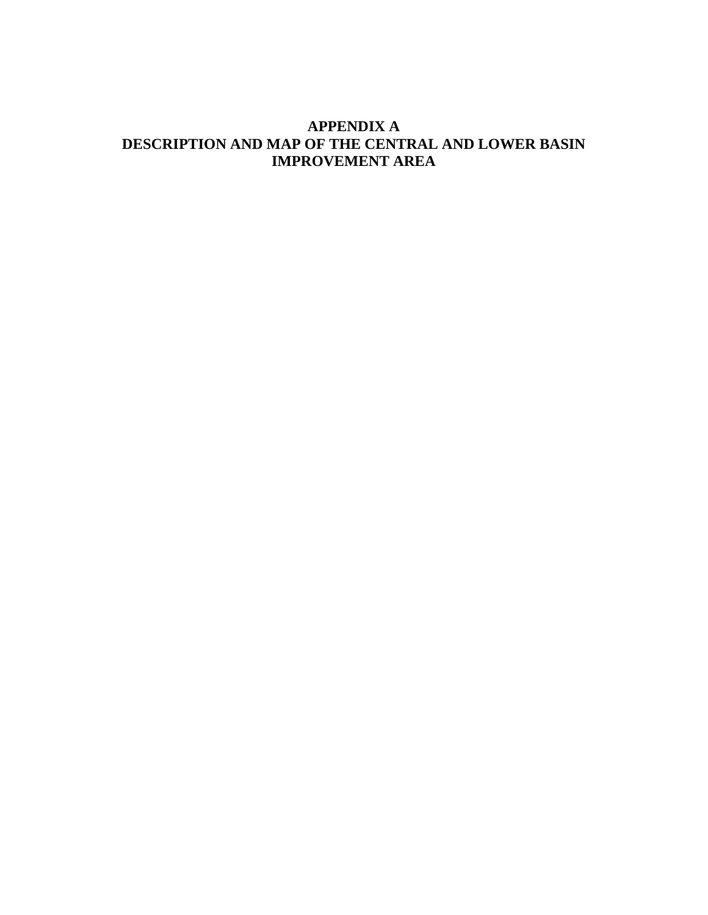## **APPENDIX A DESCRIPTION AND MAP OF THE CENTRAL AND LOWER BASIN IMPROVEMENT AREA**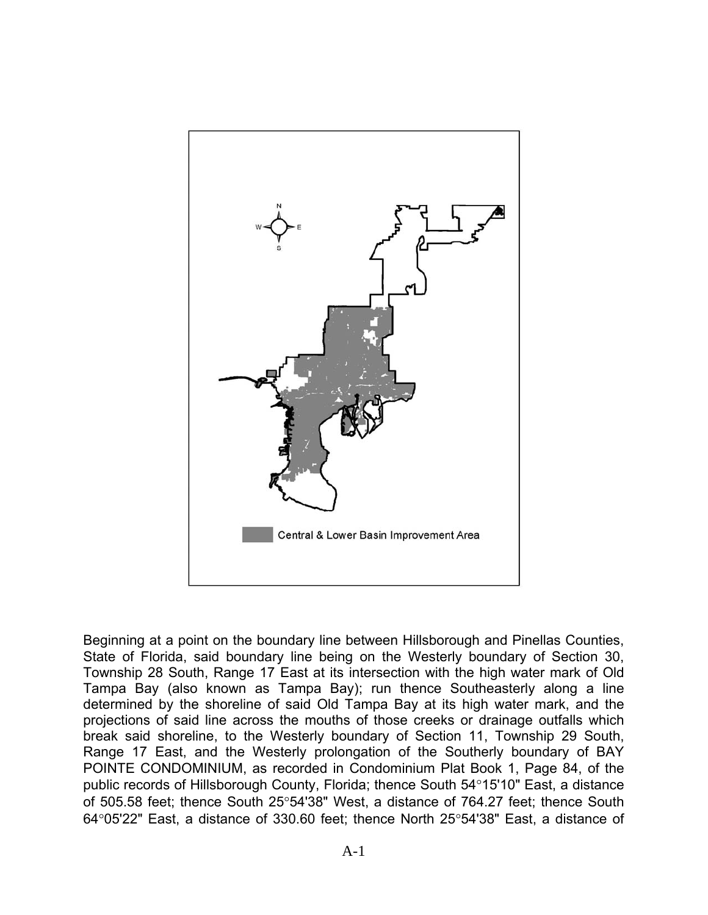

Beginning at a point on the boundary line between Hillsborough and Pinellas Counties, State of Florida, said boundary line being on the Westerly boundary of Section 30, Township 28 South, Range 17 East at its intersection with the high water mark of Old Tampa Bay (also known as Tampa Bay); run thence Southeasterly along a line determined by the shoreline of said Old Tampa Bay at its high water mark, and the projections of said line across the mouths of those creeks or drainage outfalls which break said shoreline, to the Westerly boundary of Section 11, Township 29 South, Range 17 East, and the Westerly prolongation of the Southerly boundary of BAY POINTE CONDOMINIUM, as recorded in Condominium Plat Book 1, Page 84, of the public records of Hillsborough County, Florida; thence South 54°15'10" East, a distance of 505.58 feet; thence South 25°54'38" West, a distance of 764.27 feet; thence South  $64^{\circ}05'22''$  East, a distance of 330.60 feet; thence North  $25^{\circ}54'38''$  East, a distance of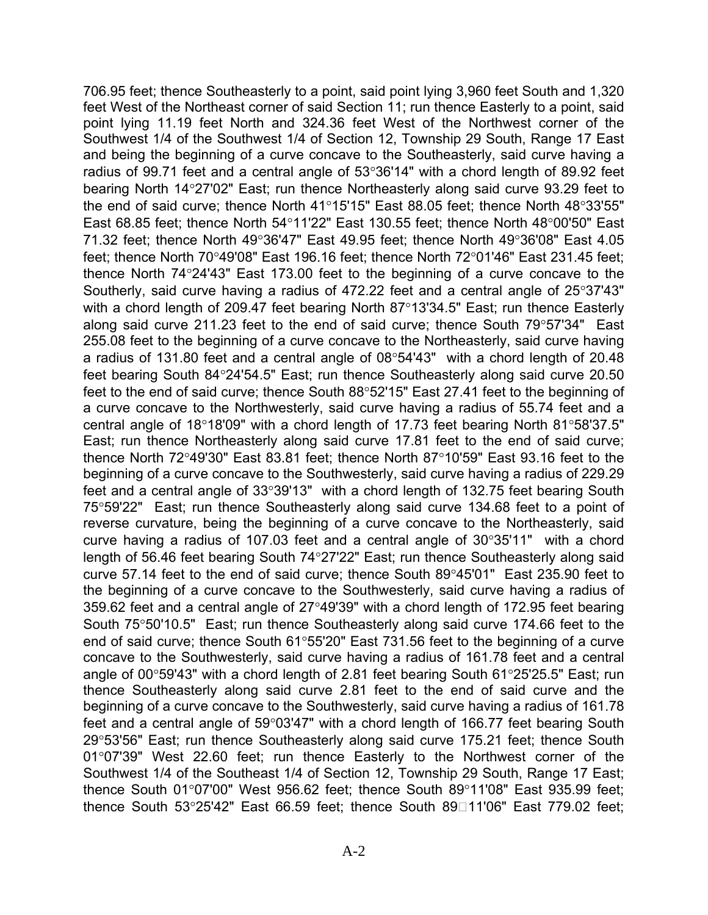Southerly, said curve having a radius of 472.22 feet and a central angle of 25°37'43" 706.95 feet; thence Southeasterly to a point, said point lying 3,960 feet South and 1,320 feet West of the Northeast corner of said Section 11; run thence Easterly to a point, said point lying 11.19 feet North and 324.36 feet West of the Northwest corner of the Southwest 1/4 of the Southwest 1/4 of Section 12, Township 29 South, Range 17 East and being the beginning of a curve concave to the Southeasterly, said curve having a radius of 99.71 feet and a central angle of  $53^{\circ}36'14''$  with a chord length of 89.92 feet bearing North 1427'02" East; run thence Northeasterly along said curve 93.29 feet to the end of said curve; thence North 41°15'15" East 88.05 feet; thence North 48°33'55" East 68.85 feet; thence North 54 $^{\circ}$ 11'22" East 130.55 feet; thence North 48 $^{\circ}$ 00'50" East 71.32 feet; thence North 49 $^{\circ}36'47''$  East 49.95 feet; thence North 49 $^{\circ}36'08''$  East 4.05 feet; thence North  $70^{\circ}49'08''$  East 196.16 feet; thence North  $72^{\circ}01'46''$  East 231.45 feet; thence North  $74^{\circ}24'43''$  East 173.00 feet to the beginning of a curve concave to the with a chord length of 209.47 feet bearing North 87 $^{\circ}$ 13'34.5" East; run thence Easterly along said curve 211.23 feet to the end of said curve; thence South  $79^{\circ}57'34''$  East 255.08 feet to the beginning of a curve concave to the Northeasterly, said curve having a radius of 131.80 feet and a central angle of  $08^{\circ}54'43''$  with a chord length of 20.48 feet bearing South 84°24'54.5" East; run thence Southeasterly along said curve 20.50 feet to the end of said curve; thence South 88°52'15" East 27.41 feet to the beginning of a curve concave to the Northwesterly, said curve having a radius of 55.74 feet and a central angle of 18°18'09" with a chord length of 17.73 feet bearing North 81°58'37.5" East; run thence Northeasterly along said curve 17.81 feet to the end of said curve; thence North  $72^{\circ}49'30''$  East 83.81 feet; thence North 87 $^{\circ}10'59''$  East 93.16 feet to the beginning of a curve concave to the Southwesterly, said curve having a radius of 229.29 feet and a central angle of  $33^{\circ}39'13''$  with a chord length of 132.75 feet bearing South 75°59'22" East; run thence Southeasterly along said curve 134.68 feet to a point of reverse curvature, being the beginning of a curve concave to the Northeasterly, said curve having a radius of 107.03 feet and a central angle of  $30^{\circ}35'11''$  with a chord length of 56.46 feet bearing South 74°27'22" East; run thence Southeasterly along said curve 57.14 feet to the end of said curve; thence South 89°45'01" East 235.90 feet to the beginning of a curve concave to the Southwesterly, said curve having a radius of 359.62 feet and a central angle of  $27^{\circ}49'39''$  with a chord length of 172.95 feet bearing South 75°50'10.5" East; run thence Southeasterly along said curve 174.66 feet to the end of said curve; thence South  $61^{\circ}55'20''$  East 731.56 feet to the beginning of a curve concave to the Southwesterly, said curve having a radius of 161.78 feet and a central angle of  $00^{\circ}59'43''$  with a chord length of 2.81 feet bearing South  $61^{\circ}25'25.5''$  East; run thence Southeasterly along said curve 2.81 feet to the end of said curve and the beginning of a curve concave to the Southwesterly, said curve having a radius of 161.78 feet and a central angle of  $59^{\circ}03'47''$  with a chord length of 166.77 feet bearing South 2953'56" East; run thence Southeasterly along said curve 175.21 feet; thence South 01°07'39" West 22.60 feet; run thence Easterly to the Northwest corner of the Southwest 1/4 of the Southeast 1/4 of Section 12, Township 29 South, Range 17 East; thence South 01°07'00" West 956.62 feet; thence South 89°11'08" East 935.99 feet; thence South  $53^{\circ}25'42''$  East 66.59 feet; thence South 89 $\Box$ 11'06" East 779.02 feet;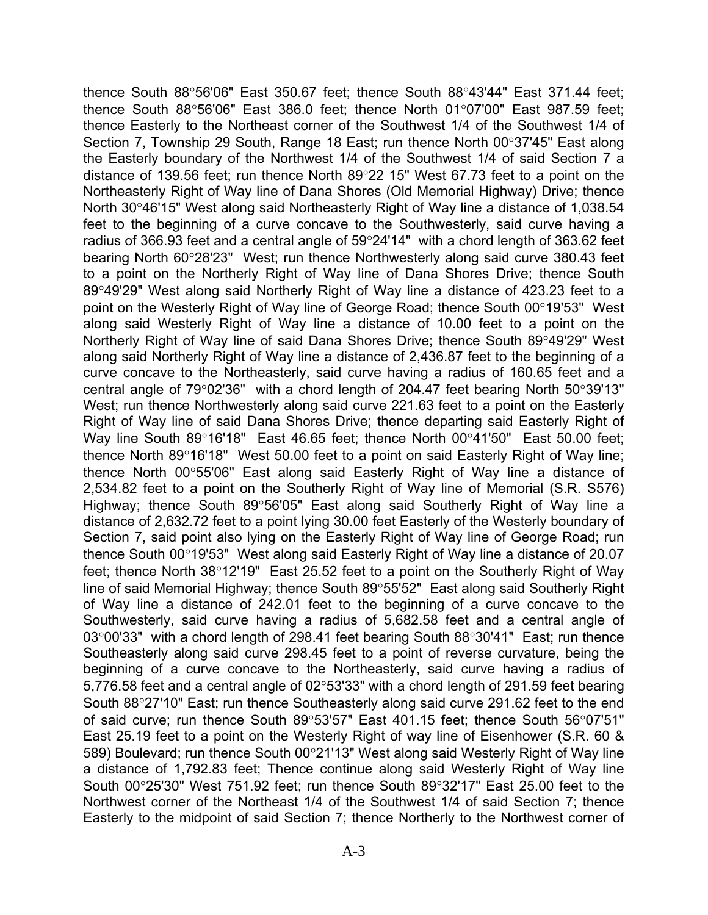thence South  $88^\circ 56'06''$  East 350.67 feet; thence South  $88^\circ 43'44''$  East 371.44 feet; thence South  $88^{\circ}56'06''$  East 386.0 feet; thence North 01 $^{\circ}07'00''$  East 987.59 feet; thence Easterly to the Northeast corner of the Southwest 1/4 of the Southwest 1/4 of Section 7, Township 29 South, Range 18 East; run thence North 00°37'45" East along the Easterly boundary of the Northwest 1/4 of the Southwest 1/4 of said Section 7 a distance of 139.56 feet; run thence North  $89^{\circ}22$  15" West 67.73 feet to a point on the Northeasterly Right of Way line of Dana Shores (Old Memorial Highway) Drive; thence North 30°46'15" West along said Northeasterly Right of Way line a distance of 1,038.54 feet to the beginning of a curve concave to the Southwesterly, said curve having a radius of 366.93 feet and a central angle of 59°24'14" with a chord length of 363.62 feet bearing North 6028'23" West; run thence Northwesterly along said curve 380.43 feet to a point on the Northerly Right of Way line of Dana Shores Drive; thence South 8949'29" West along said Northerly Right of Way line a distance of 423.23 feet to a point on the Westerly Right of Way line of George Road; thence South 00°19'53" West along said Westerly Right of Way line a distance of 10.00 feet to a point on the Northerly Right of Way line of said Dana Shores Drive; thence South 89°49'29" West along said Northerly Right of Way line a distance of 2,436.87 feet to the beginning of a curve concave to the Northeasterly, said curve having a radius of 160.65 feet and a central angle of  $79^{\circ}02'36''$  with a chord length of 204.47 feet bearing North  $50^{\circ}39'13''$ West; run thence Northwesterly along said curve 221.63 feet to a point on the Easterly Right of Way line of said Dana Shores Drive; thence departing said Easterly Right of Way line South 89°16'18" East 46.65 feet; thence North 00°41'50" East 50.00 feet; thence North 89 $^{\circ}$ 16'18" West 50.00 feet to a point on said Easterly Right of Way line; thence North 00°55'06" East along said Easterly Right of Way line a distance of 2,534.82 feet to a point on the Southerly Right of Way line of Memorial (S.R. S576) Highway; thence South 89°56'05" East along said Southerly Right of Way line a distance of 2,632.72 feet to a point lying 30.00 feet Easterly of the Westerly boundary of Section 7, said point also lying on the Easterly Right of Way line of George Road; run thence South  $00^{\circ}19'53''$  West along said Easterly Right of Way line a distance of 20.07 feet; thence North 38°12'19" East 25.52 feet to a point on the Southerly Right of Way line of said Memorial Highway; thence South 89°55'52" East along said Southerly Right of Way line a distance of 242.01 feet to the beginning of a curve concave to the Southwesterly, said curve having a radius of 5,682.58 feet and a central angle of  $03^{\circ}00'33''$  with a chord length of 298.41 feet bearing South 88 $^{\circ}30'41''$  East; run thence Southeasterly along said curve 298.45 feet to a point of reverse curvature, being the beginning of a curve concave to the Northeasterly, said curve having a radius of 5,776.58 feet and a central angle of  $02^{\circ}53'33"$  with a chord length of 291.59 feet bearing South 88°27'10" East; run thence Southeasterly along said curve 291.62 feet to the end of said curve; run thence South  $89^{\circ}53'57''$  East 401.15 feet; thence South  $56^{\circ}07'51''$ East 25.19 feet to a point on the Westerly Right of way line of Eisenhower (S.R. 60 & 589) Boulevard; run thence South 00°21'13" West along said Westerly Right of Way line a distance of 1,792.83 feet; Thence continue along said Westerly Right of Way line South  $00^{\circ}25'30''$  West 751.92 feet; run thence South 89 $^{\circ}32'17''$  East 25.00 feet to the Northwest corner of the Northeast 1/4 of the Southwest 1/4 of said Section 7; thence Easterly to the midpoint of said Section 7; thence Northerly to the Northwest corner of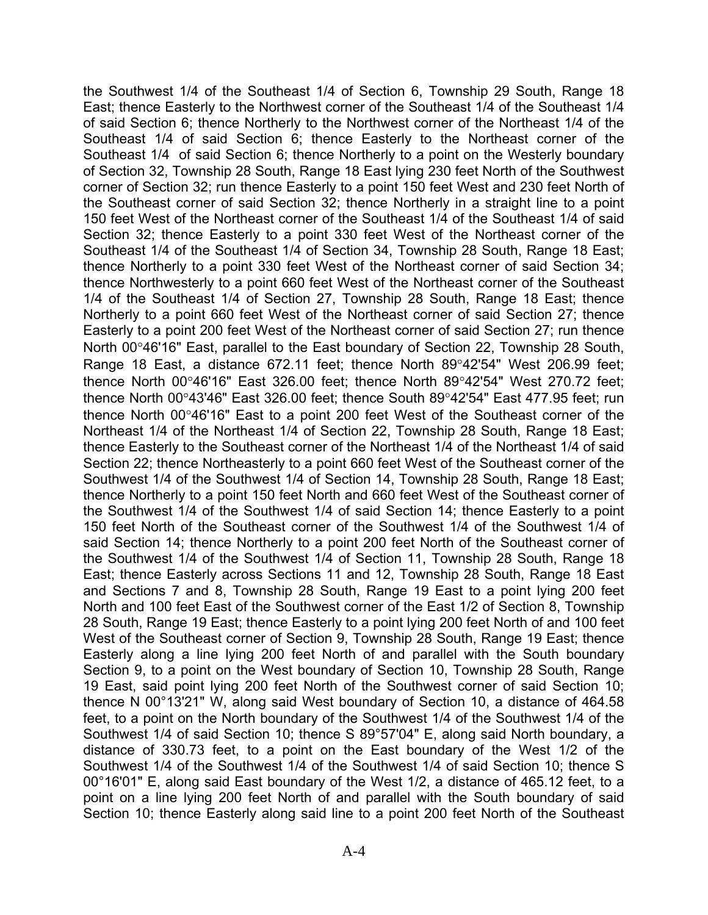the Southwest 1/4 of the Southeast 1/4 of Section 6, Township 29 South, Range 18 East; thence Easterly to the Northwest corner of the Southeast 1/4 of the Southeast 1/4 of said Section 6; thence Northerly to the Northwest corner of the Northeast 1/4 of the Southeast 1/4 of said Section 6; thence Easterly to the Northeast corner of the Southeast 1/4 of said Section 6; thence Northerly to a point on the Westerly boundary of Section 32, Township 28 South, Range 18 East lying 230 feet North of the Southwest corner of Section 32; run thence Easterly to a point 150 feet West and 230 feet North of the Southeast corner of said Section 32; thence Northerly in a straight line to a point 150 feet West of the Northeast corner of the Southeast 1/4 of the Southeast 1/4 of said Section 32; thence Easterly to a point 330 feet West of the Northeast corner of the Southeast 1/4 of the Southeast 1/4 of Section 34, Township 28 South, Range 18 East; thence Northerly to a point 330 feet West of the Northeast corner of said Section 34; thence Northwesterly to a point 660 feet West of the Northeast corner of the Southeast 1/4 of the Southeast 1/4 of Section 27, Township 28 South, Range 18 East; thence Northerly to a point 660 feet West of the Northeast corner of said Section 27; thence Easterly to a point 200 feet West of the Northeast corner of said Section 27; run thence North 00°46'16" East, parallel to the East boundary of Section 22, Township 28 South, Range 18 East, a distance  $672.11$  feet; thence North  $89^{\circ}42'54''$  West 206.99 feet; thence North  $00^{\circ}46'16''$  East 326.00 feet; thence North 89 $^{\circ}42'54''$  West 270.72 feet; thence North 00 $\degree$ 43'46" East 326.00 feet; thence South 89 $\degree$ 42'54" East 477.95 feet; run thence North 0046'16" East to a point 200 feet West of the Southeast corner of the Northeast 1/4 of the Northeast 1/4 of Section 22, Township 28 South, Range 18 East; thence Easterly to the Southeast corner of the Northeast 1/4 of the Northeast 1/4 of said Section 22; thence Northeasterly to a point 660 feet West of the Southeast corner of the Southwest 1/4 of the Southwest 1/4 of Section 14, Township 28 South, Range 18 East; thence Northerly to a point 150 feet North and 660 feet West of the Southeast corner of the Southwest 1/4 of the Southwest 1/4 of said Section 14; thence Easterly to a point 150 feet North of the Southeast corner of the Southwest 1/4 of the Southwest 1/4 of said Section 14; thence Northerly to a point 200 feet North of the Southeast corner of the Southwest 1/4 of the Southwest 1/4 of Section 11, Township 28 South, Range 18 East; thence Easterly across Sections 11 and 12, Township 28 South, Range 18 East and Sections 7 and 8, Township 28 South, Range 19 East to a point lying 200 feet North and 100 feet East of the Southwest corner of the East 1/2 of Section 8, Township 28 South, Range 19 East; thence Easterly to a point lying 200 feet North of and 100 feet West of the Southeast corner of Section 9, Township 28 South, Range 19 East; thence Easterly along a line lying 200 feet North of and parallel with the South boundary Section 9, to a point on the West boundary of Section 10, Township 28 South, Range 19 East, said point lying 200 feet North of the Southwest corner of said Section 10; thence N 00°13'21" W, along said West boundary of Section 10, a distance of 464.58 feet, to a point on the North boundary of the Southwest 1/4 of the Southwest 1/4 of the Southwest 1/4 of said Section 10; thence S 89°57'04" E, along said North boundary, a distance of 330.73 feet, to a point on the East boundary of the West 1/2 of the Southwest 1/4 of the Southwest 1/4 of the Southwest 1/4 of said Section 10; thence S 00°16'01" E, along said East boundary of the West 1/2, a distance of 465.12 feet, to a point on a line lying 200 feet North of and parallel with the South boundary of said Section 10; thence Easterly along said line to a point 200 feet North of the Southeast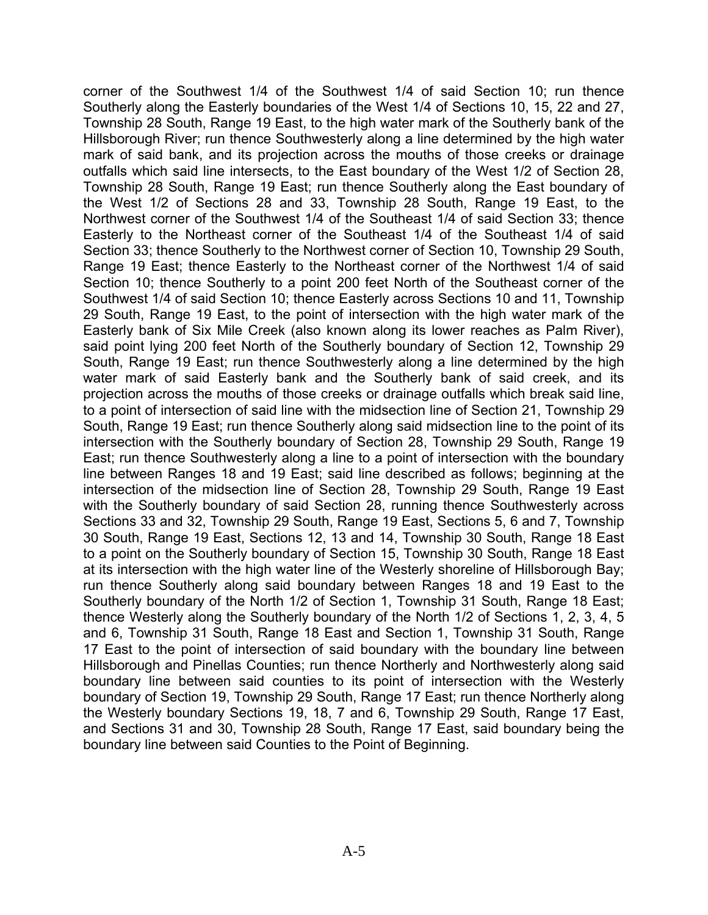corner of the Southwest 1/4 of the Southwest 1/4 of said Section 10; run thence Southerly along the Easterly boundaries of the West 1/4 of Sections 10, 15, 22 and 27, Township 28 South, Range 19 East, to the high water mark of the Southerly bank of the Hillsborough River; run thence Southwesterly along a line determined by the high water mark of said bank, and its projection across the mouths of those creeks or drainage outfalls which said line intersects, to the East boundary of the West 1/2 of Section 28, Township 28 South, Range 19 East; run thence Southerly along the East boundary of the West 1/2 of Sections 28 and 33, Township 28 South, Range 19 East, to the Northwest corner of the Southwest 1/4 of the Southeast 1/4 of said Section 33; thence Easterly to the Northeast corner of the Southeast 1/4 of the Southeast 1/4 of said Section 33; thence Southerly to the Northwest corner of Section 10, Township 29 South, Range 19 East; thence Easterly to the Northeast corner of the Northwest 1/4 of said Section 10; thence Southerly to a point 200 feet North of the Southeast corner of the Southwest 1/4 of said Section 10; thence Easterly across Sections 10 and 11, Township 29 South, Range 19 East, to the point of intersection with the high water mark of the Easterly bank of Six Mile Creek (also known along its lower reaches as Palm River), said point lying 200 feet North of the Southerly boundary of Section 12, Township 29 South, Range 19 East; run thence Southwesterly along a line determined by the high water mark of said Easterly bank and the Southerly bank of said creek, and its projection across the mouths of those creeks or drainage outfalls which break said line, to a point of intersection of said line with the midsection line of Section 21, Township 29 South, Range 19 East; run thence Southerly along said midsection line to the point of its intersection with the Southerly boundary of Section 28, Township 29 South, Range 19 East; run thence Southwesterly along a line to a point of intersection with the boundary line between Ranges 18 and 19 East; said line described as follows; beginning at the intersection of the midsection line of Section 28, Township 29 South, Range 19 East with the Southerly boundary of said Section 28, running thence Southwesterly across Sections 33 and 32, Township 29 South, Range 19 East, Sections 5, 6 and 7, Township 30 South, Range 19 East, Sections 12, 13 and 14, Township 30 South, Range 18 East to a point on the Southerly boundary of Section 15, Township 30 South, Range 18 East at its intersection with the high water line of the Westerly shoreline of Hillsborough Bay; run thence Southerly along said boundary between Ranges 18 and 19 East to the Southerly boundary of the North 1/2 of Section 1, Township 31 South, Range 18 East; thence Westerly along the Southerly boundary of the North 1/2 of Sections 1, 2, 3, 4, 5 and 6, Township 31 South, Range 18 East and Section 1, Township 31 South, Range 17 East to the point of intersection of said boundary with the boundary line between Hillsborough and Pinellas Counties; run thence Northerly and Northwesterly along said boundary line between said counties to its point of intersection with the Westerly boundary of Section 19, Township 29 South, Range 17 East; run thence Northerly along the Westerly boundary Sections 19, 18, 7 and 6, Township 29 South, Range 17 East, and Sections 31 and 30, Township 28 South, Range 17 East, said boundary being the boundary line between said Counties to the Point of Beginning.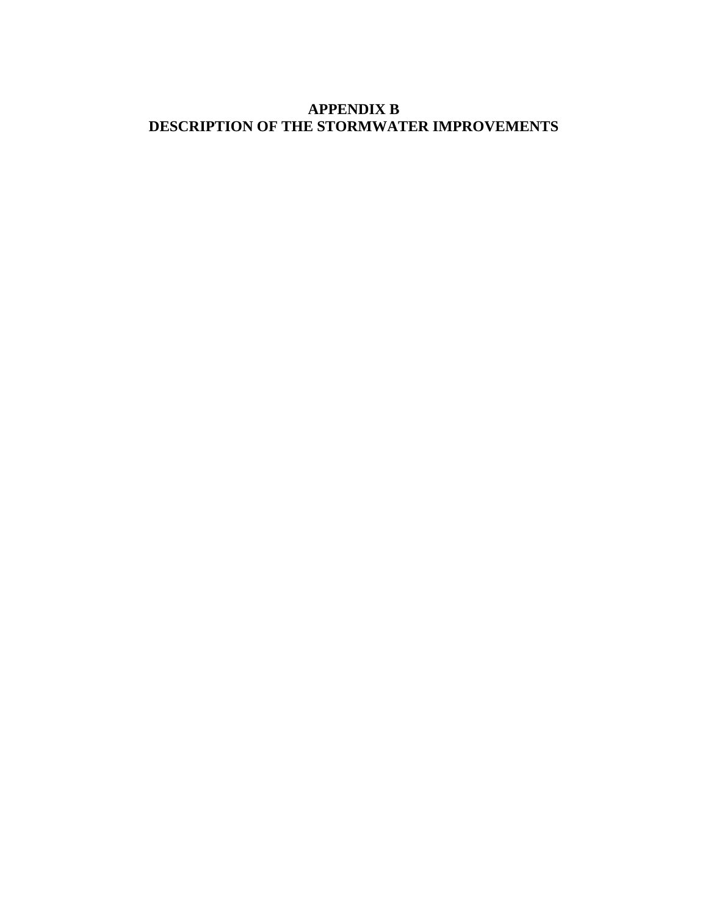## **APPENDIX B DESCRIPTION OF THE STORMWATER IMPROVEMENTS**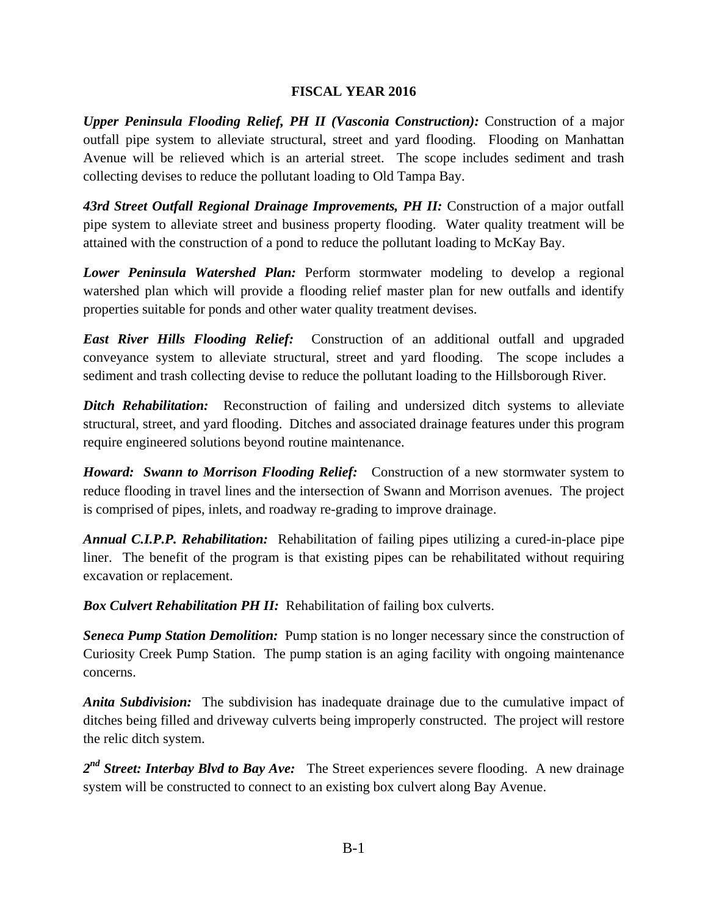#### **FISCAL YEAR 2016**

*Upper Peninsula Flooding Relief, PH II (Vasconia Construction):* Construction of a major outfall pipe system to alleviate structural, street and yard flooding. Flooding on Manhattan Avenue will be relieved which is an arterial street. The scope includes sediment and trash collecting devises to reduce the pollutant loading to Old Tampa Bay.

43rd Street Outfall Regional Drainage Improvements, PH II: Construction of a major outfall pipe system to alleviate street and business property flooding. Water quality treatment will be attained with the construction of a pond to reduce the pollutant loading to McKay Bay.

*Lower Peninsula Watershed Plan:* Perform stormwater modeling to develop a regional watershed plan which will provide a flooding relief master plan for new outfalls and identify properties suitable for ponds and other water quality treatment devises.

*East River Hills Flooding Relief:* Construction of an additional outfall and upgraded conveyance system to alleviate structural, street and yard flooding. The scope includes a sediment and trash collecting devise to reduce the pollutant loading to the Hillsborough River.

**Ditch Rehabilitation:** Reconstruction of failing and undersized ditch systems to alleviate structural, street, and yard flooding. Ditches and associated drainage features under this program require engineered solutions beyond routine maintenance.

*Howard: Swann to Morrison Flooding Relief:* Construction of a new stormwater system to reduce flooding in travel lines and the intersection of Swann and Morrison avenues. The project is comprised of pipes, inlets, and roadway re-grading to improve drainage.

*Annual C.I.P.P. Rehabilitation:* Rehabilitation of failing pipes utilizing a cured-in-place pipe liner. The benefit of the program is that existing pipes can be rehabilitated without requiring excavation or replacement.

*Box Culvert Rehabilitation PH II:* Rehabilitation of failing box culverts.

Seneca Pump Station Demolition: Pump station is no longer necessary since the construction of Curiosity Creek Pump Station. The pump station is an aging facility with ongoing maintenance concerns.

*Anita Subdivision:* The subdivision has inadequate drainage due to the cumulative impact of ditches being filled and driveway culverts being improperly constructed. The project will restore the relic ditch system.

2<sup>nd</sup> Street: Interbay Blvd to Bay Ave: The Street experiences severe flooding. A new drainage system will be constructed to connect to an existing box culvert along Bay Avenue.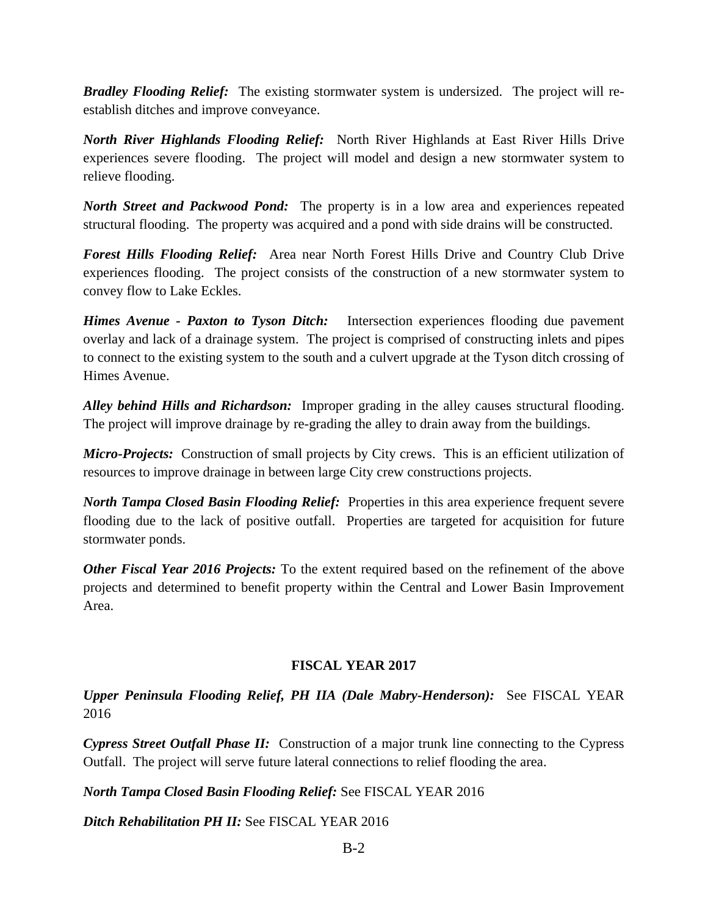*Bradley Flooding Relief:* The existing stormwater system is undersized. The project will reestablish ditches and improve conveyance.

*North River Highlands Flooding Relief:* North River Highlands at East River Hills Drive experiences severe flooding. The project will model and design a new stormwater system to relieve flooding.

*North Street and Packwood Pond:* The property is in a low area and experiences repeated structural flooding. The property was acquired and a pond with side drains will be constructed.

*Forest Hills Flooding Relief:* Area near North Forest Hills Drive and Country Club Drive experiences flooding. The project consists of the construction of a new stormwater system to convey flow to Lake Eckles.

*Himes Avenue - Paxton to Tyson Ditch:* Intersection experiences flooding due pavement overlay and lack of a drainage system. The project is comprised of constructing inlets and pipes to connect to the existing system to the south and a culvert upgrade at the Tyson ditch crossing of Himes Avenue.

*Alley behind Hills and Richardson:* Improper grading in the alley causes structural flooding. The project will improve drainage by re-grading the alley to drain away from the buildings.

*Micro-Projects:* Construction of small projects by City crews. This is an efficient utilization of resources to improve drainage in between large City crew constructions projects.

*North Tampa Closed Basin Flooding Relief:* Properties in this area experience frequent severe flooding due to the lack of positive outfall. Properties are targeted for acquisition for future stormwater ponds.

*Other Fiscal Year 2016 Projects:* To the extent required based on the refinement of the above projects and determined to benefit property within the Central and Lower Basin Improvement Area.

#### **FISCAL YEAR 2017**

*Upper Peninsula Flooding Relief, PH IIA (Dale Mabry-Henderson):* See FISCAL YEAR 2016

*Cypress Street Outfall Phase II:* Construction of a major trunk line connecting to the Cypress Outfall. The project will serve future lateral connections to relief flooding the area.

*North Tampa Closed Basin Flooding Relief:* See FISCAL YEAR 2016

*Ditch Rehabilitation PH II:* See FISCAL YEAR 2016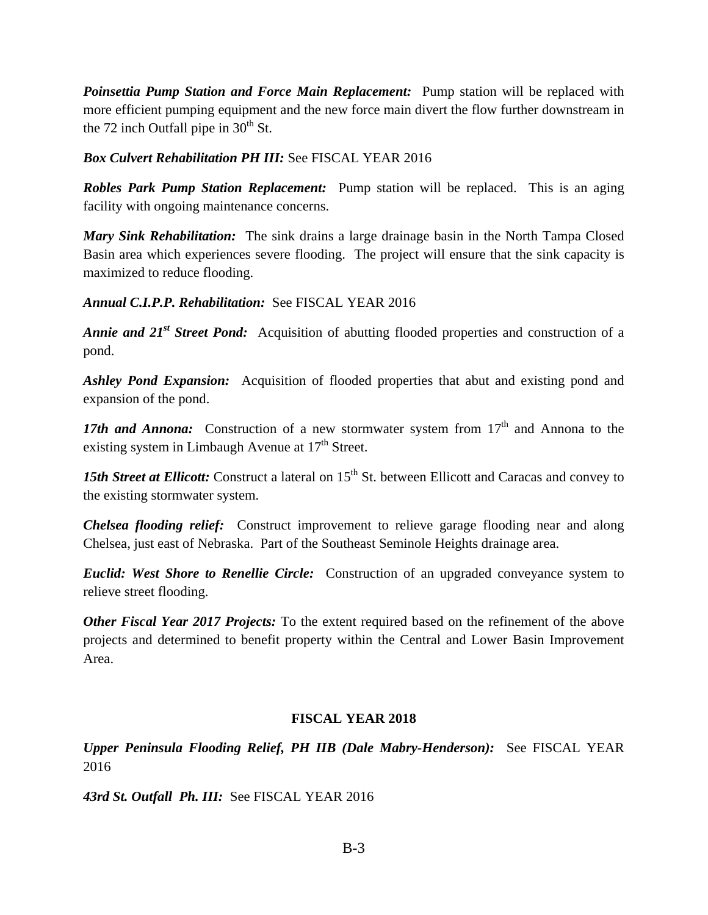*Poinsettia Pump Station and Force Main Replacement:* Pump station will be replaced with more efficient pumping equipment and the new force main divert the flow further downstream in the 72 inch Outfall pipe in  $30<sup>th</sup>$  St.

#### *Box Culvert Rehabilitation PH III:* See FISCAL YEAR 2016

*Robles Park Pump Station Replacement:* Pump station will be replaced. This is an aging facility with ongoing maintenance concerns.

*Mary Sink Rehabilitation:* The sink drains a large drainage basin in the North Tampa Closed Basin area which experiences severe flooding. The project will ensure that the sink capacity is maximized to reduce flooding.

#### *Annual C.I.P.P. Rehabilitation:* See FISCAL YEAR 2016

*Annie and 21<sup>st</sup> Street Pond:* Acquisition of abutting flooded properties and construction of a pond.

*Ashley Pond Expansion:* Acquisition of flooded properties that abut and existing pond and expansion of the pond.

17th and Annona: Construction of a new stormwater system from 17<sup>th</sup> and Annona to the existing system in Limbaugh Avenue at  $17<sup>th</sup>$  Street.

15th Street at Ellicott: Construct a lateral on 15<sup>th</sup> St. between Ellicott and Caracas and convey to the existing stormwater system.

*Chelsea flooding relief:* Construct improvement to relieve garage flooding near and along Chelsea, just east of Nebraska. Part of the Southeast Seminole Heights drainage area.

*Euclid: West Shore to Renellie Circle:* Construction of an upgraded conveyance system to relieve street flooding.

*Other Fiscal Year 2017 Projects:* To the extent required based on the refinement of the above projects and determined to benefit property within the Central and Lower Basin Improvement Area.

#### **FISCAL YEAR 2018**

*Upper Peninsula Flooding Relief, PH IIB (Dale Mabry-Henderson):* See FISCAL YEAR 2016

*43rd St. Outfall Ph. III:* See FISCAL YEAR 2016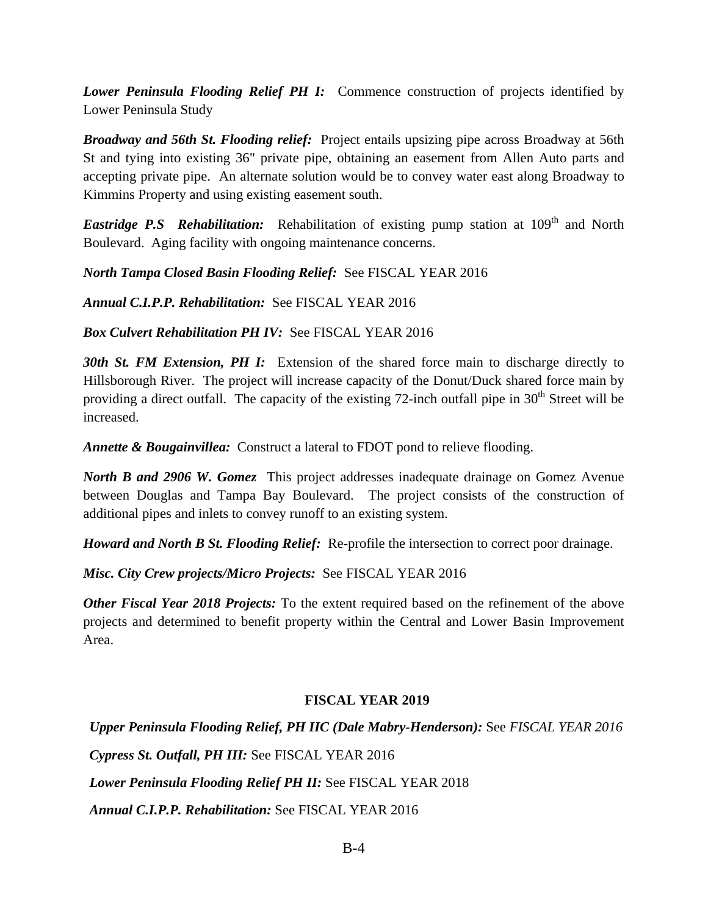*Lower Peninsula Flooding Relief PH I:* Commence construction of projects identified by Lower Peninsula Study

*Broadway and 56th St. Flooding relief:* Project entails upsizing pipe across Broadway at 56th St and tying into existing 36" private pipe, obtaining an easement from Allen Auto parts and accepting private pipe. An alternate solution would be to convey water east along Broadway to Kimmins Property and using existing easement south.

*Eastridge P.S Rehabilitation:* Rehabilitation of existing pump station at 109<sup>th</sup> and North Boulevard. Aging facility with ongoing maintenance concerns.

*North Tampa Closed Basin Flooding Relief:* See FISCAL YEAR 2016

*Annual C.I.P.P. Rehabilitation:* See FISCAL YEAR 2016

*Box Culvert Rehabilitation PH IV:* See FISCAL YEAR 2016

**30th St. FM Extension, PH I:** Extension of the shared force main to discharge directly to Hillsborough River. The project will increase capacity of the Donut/Duck shared force main by providing a direct outfall. The capacity of the existing 72-inch outfall pipe in  $30<sup>th</sup>$  Street will be increased.

*Annette & Bougainvillea:* Construct a lateral to FDOT pond to relieve flooding.

*North B and 2906 W. Gomez* This project addresses inadequate drainage on Gomez Avenue between Douglas and Tampa Bay Boulevard. The project consists of the construction of additional pipes and inlets to convey runoff to an existing system.

*Howard and North B St. Flooding Relief:* Re-profile the intersection to correct poor drainage.

*Misc. City Crew projects/Micro Projects:* See FISCAL YEAR 2016

*Other Fiscal Year 2018 Projects:* To the extent required based on the refinement of the above projects and determined to benefit property within the Central and Lower Basin Improvement Area.

#### **FISCAL YEAR 2019**

*Upper Peninsula Flooding Relief, PH IIC (Dale Mabry-Henderson):* See *FISCAL YEAR 2016 Cypress St. Outfall, PH III:* See FISCAL YEAR 2016 *Lower Peninsula Flooding Relief PH II:* See FISCAL YEAR 2018 *Annual C.I.P.P. Rehabilitation:* See FISCAL YEAR 2016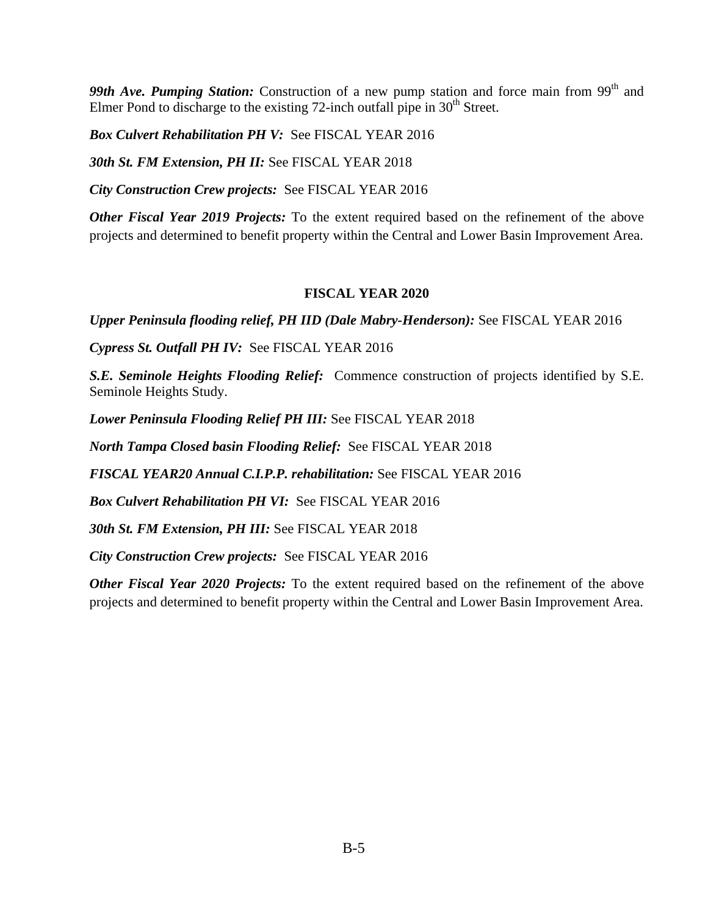99th Ave. Pumping Station: Construction of a new pump station and force main from 99<sup>th</sup> and Elmer Pond to discharge to the existing 72-inch outfall pipe in  $30<sup>th</sup>$  Street.

*Box Culvert Rehabilitation PH V:* See FISCAL YEAR 2016

*30th St. FM Extension, PH II:* See FISCAL YEAR 2018

*City Construction Crew projects:* See FISCAL YEAR 2016

*Other Fiscal Year 2019 Projects:* To the extent required based on the refinement of the above projects and determined to benefit property within the Central and Lower Basin Improvement Area.

#### **FISCAL YEAR 2020**

*Upper Peninsula flooding relief, PH IID (Dale Mabry-Henderson):* See FISCAL YEAR 2016

*Cypress St. Outfall PH IV:* See FISCAL YEAR 2016

*S.E. Seminole Heights Flooding Relief:* Commence construction of projects identified by S.E. Seminole Heights Study.

*Lower Peninsula Flooding Relief PH III:* See FISCAL YEAR 2018

*North Tampa Closed basin Flooding Relief:* See FISCAL YEAR 2018

*FISCAL YEAR20 Annual C.I.P.P. rehabilitation:* See FISCAL YEAR 2016

*Box Culvert Rehabilitation PH VI:* See FISCAL YEAR 2016

*30th St. FM Extension, PH III:* See FISCAL YEAR 2018

*City Construction Crew projects:* See FISCAL YEAR 2016

*Other Fiscal Year 2020 Projects:* To the extent required based on the refinement of the above projects and determined to benefit property within the Central and Lower Basin Improvement Area.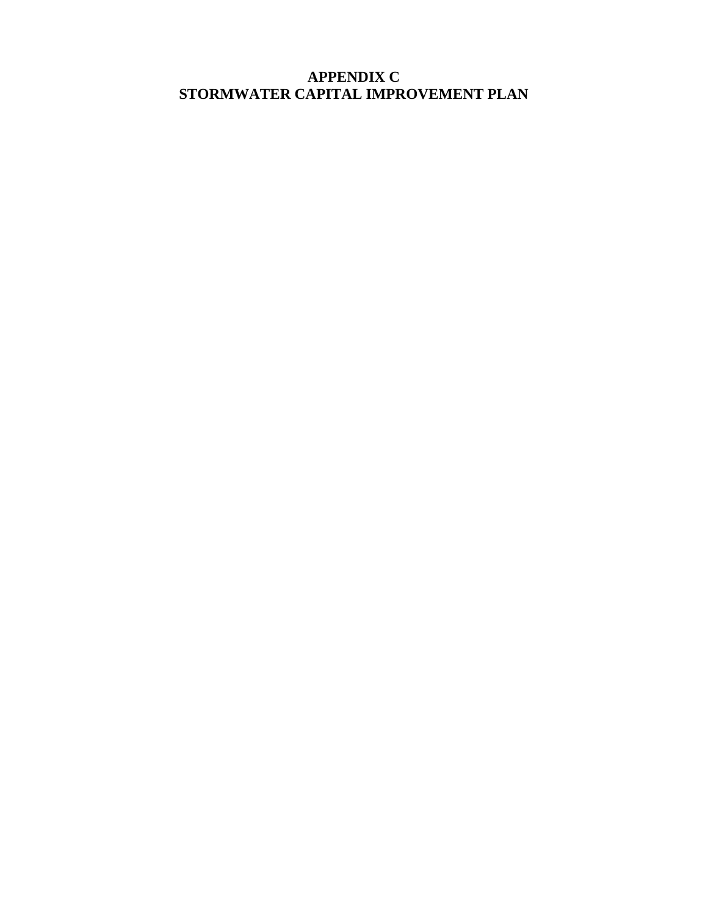## **APPENDIX C STORMWATER CAPITAL IMPROVEMENT PLAN**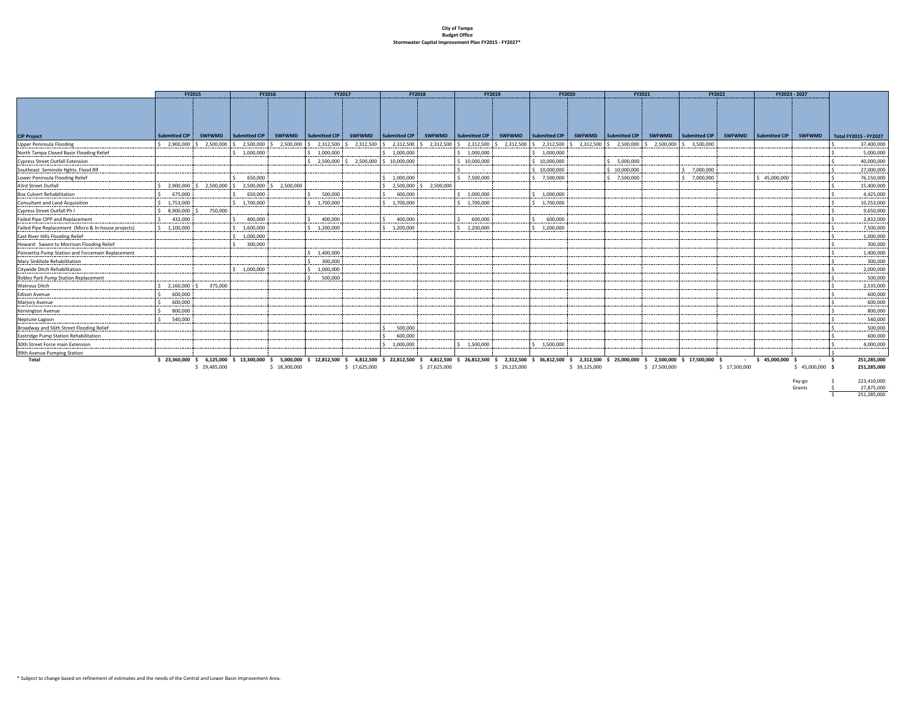#### **City of Tampa Budget Office Stormwater Capital Improvement Plan FY2015 ‐ FY2027\***

| Submitted CIP<br>Submitted CIP<br>Submitted CIP<br>SWFWMD Submitted CIP<br><b>SWFWMD</b><br>Submitted CIP<br>Submitted CIP<br>SWFWMD Submitted CIP<br><b>Submitted CIP</b><br><b>SWFWMD</b><br><b>SWFWMD</b><br><b>SWFWMD</b><br>SWFWMD Submitted CIP<br><b>SWFWMD</b><br><b>SWFWMD</b><br>2,500,000 \$ 2,500,000<br>\$2,900,000<br>2,500,000<br>2,312,500<br>2,312,500<br>2,312,500<br>$$2,312,500$ $$2,312,500$<br>2,312,500 \$ 2,312,500<br>2,312,500<br>2,500,000<br>2,500,000 \$ 3,500,000<br>s.<br>1,000,000<br>\$1,000,000<br>\$1,000,000<br>\$1.000.000<br>\$1,000,000<br>2.500.000<br>2,500,000<br>\$10,000,000<br>\$10,000,000<br>\$10,000,000<br>5,000,000<br>\$10,000,000<br>10.000.000<br>\$ 7,000,000<br>650.000<br>\$ 7.500,000<br>\$ 7.500,000<br>\$ 7.500,000<br>$5$ 7.000.000<br>\$1.000.000<br>\$45,000,000<br>2.500.000<br>2.500.000<br>2.500.000<br>$S = 2.500,000$<br>2.900.000<br>2,500,000<br>500,000<br>\$1,000,000<br>675,000<br>650,000<br>\$1.000.000<br>600,000<br>$S = 1.753,000$<br>1.700.000<br>1.700.000<br>\$1,700,000<br>\$1,700,000<br>\$1,700,000<br><b>Consultant and Land Acquisition</b><br>750,000<br>8,900,000<br>400,000<br>600,000<br>432,000<br>400,000<br>400,000<br>600,000<br>1.600.000<br>\$1,200,000<br>$S = 1.100.000$<br>1.200.000<br>\$1,200,000<br>1.200.000<br>1,000,000<br>300,000<br>1,400,000<br>300,000<br>1,000,000<br>Citywide Ditch Rehabilitation<br>\$1,000,000<br>500,000<br>\$2,160,000<br>375,000<br>600,000<br><b>Edison Avenue</b><br>600,000<br>800,000<br>540,000<br>500,000<br>600,000<br>\$1,000,000<br>\$1,500,000<br>\$1.500.000<br>5,000,000 \$ 12,812,500 \$ 4,812,500 \$ 22,812,500 \$ 4,812,500 \$ 26,812,500 \$<br>Total<br>$$23,360,000$$ \$ 6,125,000 \$ 13,300,000 \$<br>2,312,500 \$ 36,812,500 \$ 2,312,500 \$ 25,000,000 \$<br>2,500,000 \$ 17,500,000 \$<br>$-$ \$ 45,000,000 \$<br>- s<br>\$29,485,000<br>\$18,300,000<br>\$17,625,000<br>\$27,625,000<br>\$29,125,000<br>\$ 39,125,000<br>\$27,500,000<br>\$17,500,000<br>$$45,000,000$ \$ | <b>FY2015</b> |  | FY2016 | FY2017 | <b>FY2018</b> | FY2019 | <b>FY2020</b> | FY2021 | FY2022<br>FY2023 - 2027 |  |  |                              |
|-------------------------------------------------------------------------------------------------------------------------------------------------------------------------------------------------------------------------------------------------------------------------------------------------------------------------------------------------------------------------------------------------------------------------------------------------------------------------------------------------------------------------------------------------------------------------------------------------------------------------------------------------------------------------------------------------------------------------------------------------------------------------------------------------------------------------------------------------------------------------------------------------------------------------------------------------------------------------------------------------------------------------------------------------------------------------------------------------------------------------------------------------------------------------------------------------------------------------------------------------------------------------------------------------------------------------------------------------------------------------------------------------------------------------------------------------------------------------------------------------------------------------------------------------------------------------------------------------------------------------------------------------------------------------------------------------------------------------------------------------------------------------------------------------------------------------------------------------------------------------------------------------------------------------------------------------------------------------------------------------------------------------------------|---------------|--|--------|--------|---------------|--------|---------------|--------|-------------------------|--|--|------------------------------|
| <b>CIP Project</b><br>Upper Peninsula Flooding<br>North Tampa Closed Basin Flooding Relief<br><b>Cypress Street Outfall Extension</b><br>Southeast Seminole Hghts. Flood Rlf.<br>Lower Peninsula Flooding Relief<br>43rd Street Outfall<br><b>Box Culvert Rehabilitation</b><br>Cypress Street Outfall Ph I<br>Failed Pipe CIPP and Replacement<br>Failed Pipe Replacement (Micro & In-house projects)<br>East River Hills Flooding Relief<br>Howard: Swann to Morrison Flooding Relief<br>Poinsettia Pump Station and Forcemain Replacement<br>Mary Sinkhole Rehabilitation<br>Robles Park Pump Station Replacement<br><b>Watrous Ditch</b><br>Marjory Avenue<br>Kensington Avenue<br>Neptune Lagoon<br>Broadway and 56th Street Flooding Relief<br>Eastridge Pump Station Rehabilitation<br>30th Street Force main Extension<br>99th Avenue Pumping Station                                                                                                                                                                                                                                                                                                                                                                                                                                                                                                                                                                                                                                                                                                                                                                                                                                                                                                                                                                                                                                                                                                                                                                       |               |  |        |        |               |        |               |        |                         |  |  |                              |
|                                                                                                                                                                                                                                                                                                                                                                                                                                                                                                                                                                                                                                                                                                                                                                                                                                                                                                                                                                                                                                                                                                                                                                                                                                                                                                                                                                                                                                                                                                                                                                                                                                                                                                                                                                                                                                                                                                                                                                                                                                     |               |  |        |        |               |        |               |        |                         |  |  | <b>Total FY2015 - FY2027</b> |
|                                                                                                                                                                                                                                                                                                                                                                                                                                                                                                                                                                                                                                                                                                                                                                                                                                                                                                                                                                                                                                                                                                                                                                                                                                                                                                                                                                                                                                                                                                                                                                                                                                                                                                                                                                                                                                                                                                                                                                                                                                     |               |  |        |        |               |        |               |        |                         |  |  | 37,400,000                   |
|                                                                                                                                                                                                                                                                                                                                                                                                                                                                                                                                                                                                                                                                                                                                                                                                                                                                                                                                                                                                                                                                                                                                                                                                                                                                                                                                                                                                                                                                                                                                                                                                                                                                                                                                                                                                                                                                                                                                                                                                                                     |               |  |        |        |               |        |               |        |                         |  |  | 5.000.000                    |
|                                                                                                                                                                                                                                                                                                                                                                                                                                                                                                                                                                                                                                                                                                                                                                                                                                                                                                                                                                                                                                                                                                                                                                                                                                                                                                                                                                                                                                                                                                                                                                                                                                                                                                                                                                                                                                                                                                                                                                                                                                     |               |  |        |        |               |        |               |        |                         |  |  | 40,000,000                   |
|                                                                                                                                                                                                                                                                                                                                                                                                                                                                                                                                                                                                                                                                                                                                                                                                                                                                                                                                                                                                                                                                                                                                                                                                                                                                                                                                                                                                                                                                                                                                                                                                                                                                                                                                                                                                                                                                                                                                                                                                                                     |               |  |        |        |               |        |               |        |                         |  |  | 27,000,000                   |
|                                                                                                                                                                                                                                                                                                                                                                                                                                                                                                                                                                                                                                                                                                                                                                                                                                                                                                                                                                                                                                                                                                                                                                                                                                                                                                                                                                                                                                                                                                                                                                                                                                                                                                                                                                                                                                                                                                                                                                                                                                     |               |  |        |        |               |        |               |        |                         |  |  | 76.150.000                   |
|                                                                                                                                                                                                                                                                                                                                                                                                                                                                                                                                                                                                                                                                                                                                                                                                                                                                                                                                                                                                                                                                                                                                                                                                                                                                                                                                                                                                                                                                                                                                                                                                                                                                                                                                                                                                                                                                                                                                                                                                                                     |               |  |        |        |               |        |               |        |                         |  |  | 15,400,000                   |
|                                                                                                                                                                                                                                                                                                                                                                                                                                                                                                                                                                                                                                                                                                                                                                                                                                                                                                                                                                                                                                                                                                                                                                                                                                                                                                                                                                                                                                                                                                                                                                                                                                                                                                                                                                                                                                                                                                                                                                                                                                     |               |  |        |        |               |        |               |        |                         |  |  | 4,425,000                    |
|                                                                                                                                                                                                                                                                                                                                                                                                                                                                                                                                                                                                                                                                                                                                                                                                                                                                                                                                                                                                                                                                                                                                                                                                                                                                                                                                                                                                                                                                                                                                                                                                                                                                                                                                                                                                                                                                                                                                                                                                                                     |               |  |        |        |               |        |               |        |                         |  |  | 10,253,000                   |
|                                                                                                                                                                                                                                                                                                                                                                                                                                                                                                                                                                                                                                                                                                                                                                                                                                                                                                                                                                                                                                                                                                                                                                                                                                                                                                                                                                                                                                                                                                                                                                                                                                                                                                                                                                                                                                                                                                                                                                                                                                     |               |  |        |        |               |        |               |        |                         |  |  | 9,650,000                    |
|                                                                                                                                                                                                                                                                                                                                                                                                                                                                                                                                                                                                                                                                                                                                                                                                                                                                                                                                                                                                                                                                                                                                                                                                                                                                                                                                                                                                                                                                                                                                                                                                                                                                                                                                                                                                                                                                                                                                                                                                                                     |               |  |        |        |               |        |               |        |                         |  |  | 2,832,000                    |
|                                                                                                                                                                                                                                                                                                                                                                                                                                                                                                                                                                                                                                                                                                                                                                                                                                                                                                                                                                                                                                                                                                                                                                                                                                                                                                                                                                                                                                                                                                                                                                                                                                                                                                                                                                                                                                                                                                                                                                                                                                     |               |  |        |        |               |        |               |        |                         |  |  | 7,500,000                    |
|                                                                                                                                                                                                                                                                                                                                                                                                                                                                                                                                                                                                                                                                                                                                                                                                                                                                                                                                                                                                                                                                                                                                                                                                                                                                                                                                                                                                                                                                                                                                                                                                                                                                                                                                                                                                                                                                                                                                                                                                                                     |               |  |        |        |               |        |               |        |                         |  |  | 1,000,000                    |
|                                                                                                                                                                                                                                                                                                                                                                                                                                                                                                                                                                                                                                                                                                                                                                                                                                                                                                                                                                                                                                                                                                                                                                                                                                                                                                                                                                                                                                                                                                                                                                                                                                                                                                                                                                                                                                                                                                                                                                                                                                     |               |  |        |        |               |        |               |        |                         |  |  | 300,000                      |
|                                                                                                                                                                                                                                                                                                                                                                                                                                                                                                                                                                                                                                                                                                                                                                                                                                                                                                                                                                                                                                                                                                                                                                                                                                                                                                                                                                                                                                                                                                                                                                                                                                                                                                                                                                                                                                                                                                                                                                                                                                     |               |  |        |        |               |        |               |        |                         |  |  | 1,400,000                    |
|                                                                                                                                                                                                                                                                                                                                                                                                                                                                                                                                                                                                                                                                                                                                                                                                                                                                                                                                                                                                                                                                                                                                                                                                                                                                                                                                                                                                                                                                                                                                                                                                                                                                                                                                                                                                                                                                                                                                                                                                                                     |               |  |        |        |               |        |               |        |                         |  |  | 300,000                      |
|                                                                                                                                                                                                                                                                                                                                                                                                                                                                                                                                                                                                                                                                                                                                                                                                                                                                                                                                                                                                                                                                                                                                                                                                                                                                                                                                                                                                                                                                                                                                                                                                                                                                                                                                                                                                                                                                                                                                                                                                                                     |               |  |        |        |               |        |               |        |                         |  |  | 2,000,000                    |
|                                                                                                                                                                                                                                                                                                                                                                                                                                                                                                                                                                                                                                                                                                                                                                                                                                                                                                                                                                                                                                                                                                                                                                                                                                                                                                                                                                                                                                                                                                                                                                                                                                                                                                                                                                                                                                                                                                                                                                                                                                     |               |  |        |        |               |        |               |        |                         |  |  | 500,000                      |
|                                                                                                                                                                                                                                                                                                                                                                                                                                                                                                                                                                                                                                                                                                                                                                                                                                                                                                                                                                                                                                                                                                                                                                                                                                                                                                                                                                                                                                                                                                                                                                                                                                                                                                                                                                                                                                                                                                                                                                                                                                     |               |  |        |        |               |        |               |        |                         |  |  | 2,535,000                    |
|                                                                                                                                                                                                                                                                                                                                                                                                                                                                                                                                                                                                                                                                                                                                                                                                                                                                                                                                                                                                                                                                                                                                                                                                                                                                                                                                                                                                                                                                                                                                                                                                                                                                                                                                                                                                                                                                                                                                                                                                                                     |               |  |        |        |               |        |               |        |                         |  |  | 600,000                      |
|                                                                                                                                                                                                                                                                                                                                                                                                                                                                                                                                                                                                                                                                                                                                                                                                                                                                                                                                                                                                                                                                                                                                                                                                                                                                                                                                                                                                                                                                                                                                                                                                                                                                                                                                                                                                                                                                                                                                                                                                                                     |               |  |        |        |               |        |               |        |                         |  |  | 600,000                      |
|                                                                                                                                                                                                                                                                                                                                                                                                                                                                                                                                                                                                                                                                                                                                                                                                                                                                                                                                                                                                                                                                                                                                                                                                                                                                                                                                                                                                                                                                                                                                                                                                                                                                                                                                                                                                                                                                                                                                                                                                                                     |               |  |        |        |               |        |               |        |                         |  |  | 800,000                      |
|                                                                                                                                                                                                                                                                                                                                                                                                                                                                                                                                                                                                                                                                                                                                                                                                                                                                                                                                                                                                                                                                                                                                                                                                                                                                                                                                                                                                                                                                                                                                                                                                                                                                                                                                                                                                                                                                                                                                                                                                                                     |               |  |        |        |               |        |               |        |                         |  |  | 540,000                      |
|                                                                                                                                                                                                                                                                                                                                                                                                                                                                                                                                                                                                                                                                                                                                                                                                                                                                                                                                                                                                                                                                                                                                                                                                                                                                                                                                                                                                                                                                                                                                                                                                                                                                                                                                                                                                                                                                                                                                                                                                                                     |               |  |        |        |               |        |               |        |                         |  |  | 500,000                      |
|                                                                                                                                                                                                                                                                                                                                                                                                                                                                                                                                                                                                                                                                                                                                                                                                                                                                                                                                                                                                                                                                                                                                                                                                                                                                                                                                                                                                                                                                                                                                                                                                                                                                                                                                                                                                                                                                                                                                                                                                                                     |               |  |        |        |               |        |               |        |                         |  |  | 600,000                      |
|                                                                                                                                                                                                                                                                                                                                                                                                                                                                                                                                                                                                                                                                                                                                                                                                                                                                                                                                                                                                                                                                                                                                                                                                                                                                                                                                                                                                                                                                                                                                                                                                                                                                                                                                                                                                                                                                                                                                                                                                                                     |               |  |        |        |               |        |               |        |                         |  |  | 4.000.000                    |
|                                                                                                                                                                                                                                                                                                                                                                                                                                                                                                                                                                                                                                                                                                                                                                                                                                                                                                                                                                                                                                                                                                                                                                                                                                                                                                                                                                                                                                                                                                                                                                                                                                                                                                                                                                                                                                                                                                                                                                                                                                     |               |  |        |        |               |        |               |        |                         |  |  |                              |
|                                                                                                                                                                                                                                                                                                                                                                                                                                                                                                                                                                                                                                                                                                                                                                                                                                                                                                                                                                                                                                                                                                                                                                                                                                                                                                                                                                                                                                                                                                                                                                                                                                                                                                                                                                                                                                                                                                                                                                                                                                     |               |  |        |        |               |        |               |        |                         |  |  | 251,285,000                  |
|                                                                                                                                                                                                                                                                                                                                                                                                                                                                                                                                                                                                                                                                                                                                                                                                                                                                                                                                                                                                                                                                                                                                                                                                                                                                                                                                                                                                                                                                                                                                                                                                                                                                                                                                                                                                                                                                                                                                                                                                                                     |               |  |        |        |               |        |               |        |                         |  |  | 251,285,000                  |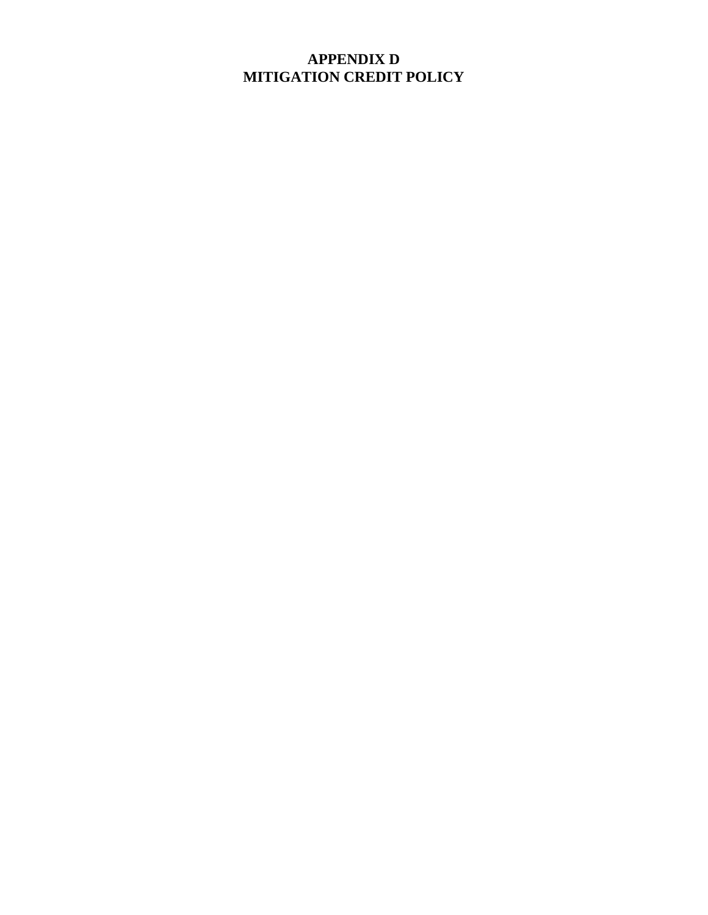## **APPENDIX D MITIGATION CREDIT POLICY**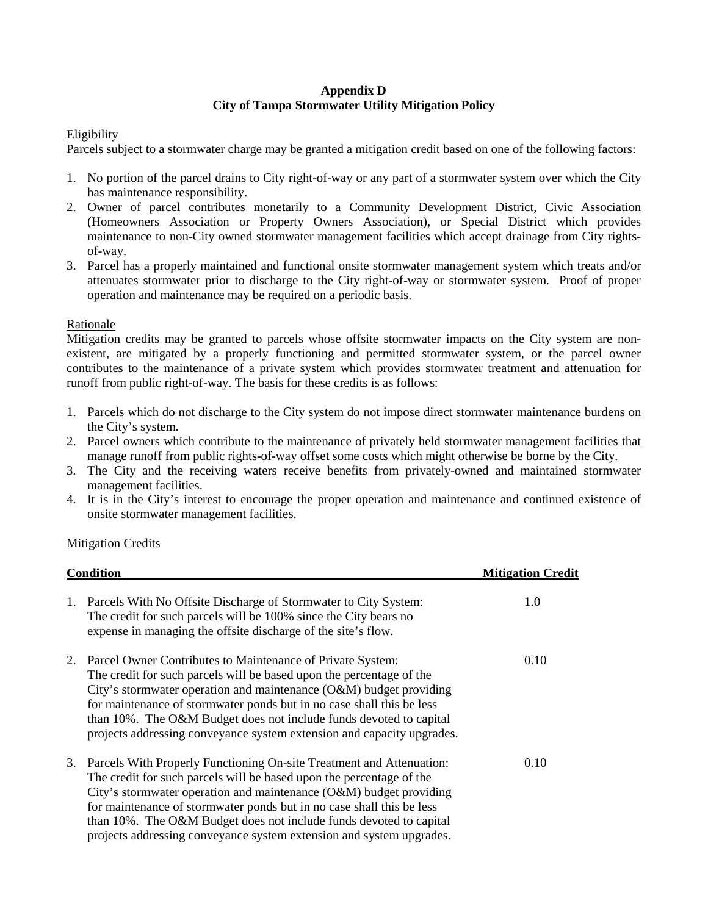#### **Appendix D City of Tampa Stormwater Utility Mitigation Policy**

#### Eligibility

Parcels subject to a stormwater charge may be granted a mitigation credit based on one of the following factors:

- 1. No portion of the parcel drains to City right-of-way or any part of a stormwater system over which the City has maintenance responsibility.
- 2. Owner of parcel contributes monetarily to a Community Development District, Civic Association (Homeowners Association or Property Owners Association), or Special District which provides maintenance to non-City owned stormwater management facilities which accept drainage from City rightsof-way.
- 3. Parcel has a properly maintained and functional onsite stormwater management system which treats and/or attenuates stormwater prior to discharge to the City right-of-way or stormwater system. Proof of proper operation and maintenance may be required on a periodic basis.

#### Rationale

 existent, are mitigated by a properly functioning and permitted stormwater system, or the parcel owner Mitigation credits may be granted to parcels whose offsite stormwater impacts on the City system are noncontributes to the maintenance of a private system which provides stormwater treatment and attenuation for runoff from public right-of-way. The basis for these credits is as follows:

- 1. Parcels which do not discharge to the City system do not impose direct stormwater maintenance burdens on the City's system.
- 2. Parcel owners which contribute to the maintenance of privately held stormwater management facilities that manage runoff from public rights-of-way offset some costs which might otherwise be borne by the City.
- 3. The City and the receiving waters receive benefits from privately-owned and maintained stormwater management facilities.
- 4. It is in the City's interest to encourage the proper operation and maintenance and continued existence of onsite stormwater management facilities.

Mitigation Credits

|    | <b>Condition</b>                                                                                                                                                                                                                                                                                                                                                                                                                          | <b>Mitigation Credit</b> |
|----|-------------------------------------------------------------------------------------------------------------------------------------------------------------------------------------------------------------------------------------------------------------------------------------------------------------------------------------------------------------------------------------------------------------------------------------------|--------------------------|
| 1. | Parcels With No Offsite Discharge of Stormwater to City System:<br>The credit for such parcels will be 100% since the City bears no<br>expense in managing the offsite discharge of the site's flow.                                                                                                                                                                                                                                      | 1.0                      |
|    | Parcel Owner Contributes to Maintenance of Private System:<br>The credit for such parcels will be based upon the percentage of the<br>City's stormwater operation and maintenance $(O&M)$ budget providing<br>for maintenance of stormwater ponds but in no case shall this be less<br>than 10%. The O&M Budget does not include funds devoted to capital<br>projects addressing conveyance system extension and capacity upgrades.       | 0.10                     |
| 3. | Parcels With Properly Functioning On-site Treatment and Attenuation:<br>The credit for such parcels will be based upon the percentage of the<br>City's stormwater operation and maintenance (O&M) budget providing<br>for maintenance of stormwater ponds but in no case shall this be less<br>than 10%. The O&M Budget does not include funds devoted to capital<br>projects addressing conveyance system extension and system upgrades. | 0.10                     |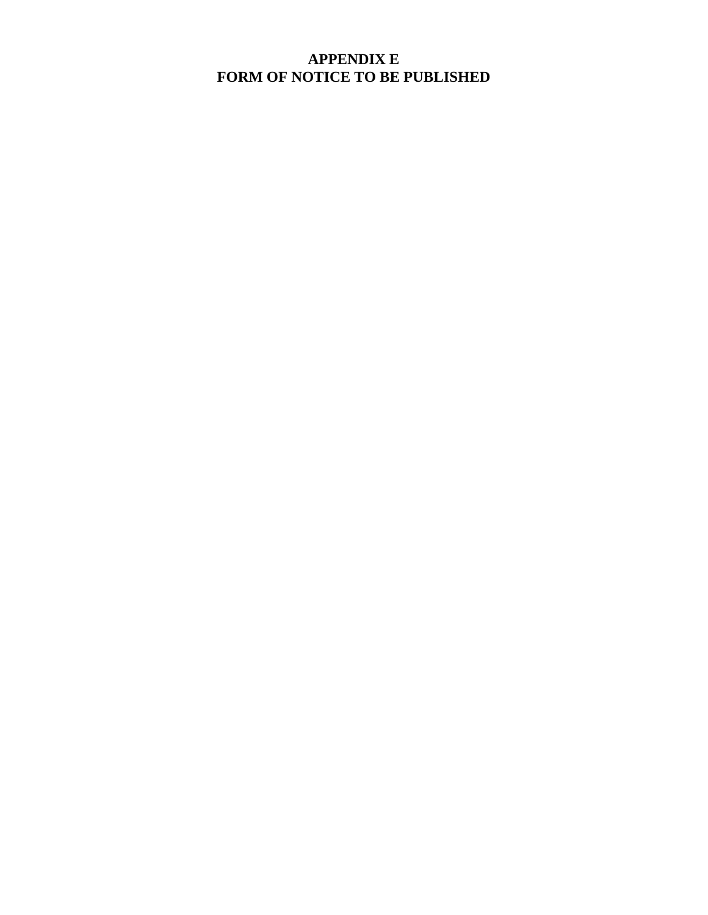## **APPENDIX E FORM OF NOTICE TO BE PUBLISHED**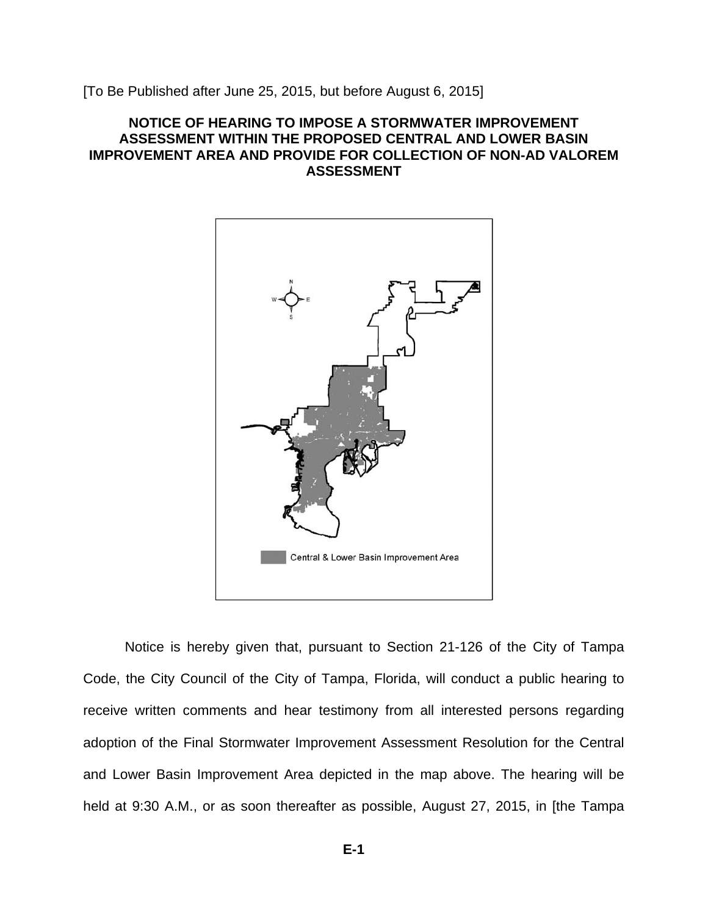[To Be Published after June 25, 2015, but before August 6, 2015]

#### **NOTICE OF HEARING TO IMPOSE A STORMWATER IMPROVEMENT ASSESSMENT WITHIN THE PROPOSED CENTRAL AND LOWER BASIN IMPROVEMENT AREA AND PROVIDE FOR COLLECTION OF NON-AD VALOREM ASSESSMENT**



Notice is hereby given that, pursuant to Section 21-126 of the City of Tampa Code, the City Council of the City of Tampa, Florida, will conduct a public hearing to receive written comments and hear testimony from all interested persons regarding adoption of the Final Stormwater Improvement Assessment Resolution for the Central and Lower Basin Improvement Area depicted in the map above. The hearing will be held at 9:30 A.M., or as soon thereafter as possible, August 27, 2015, in [the Tampa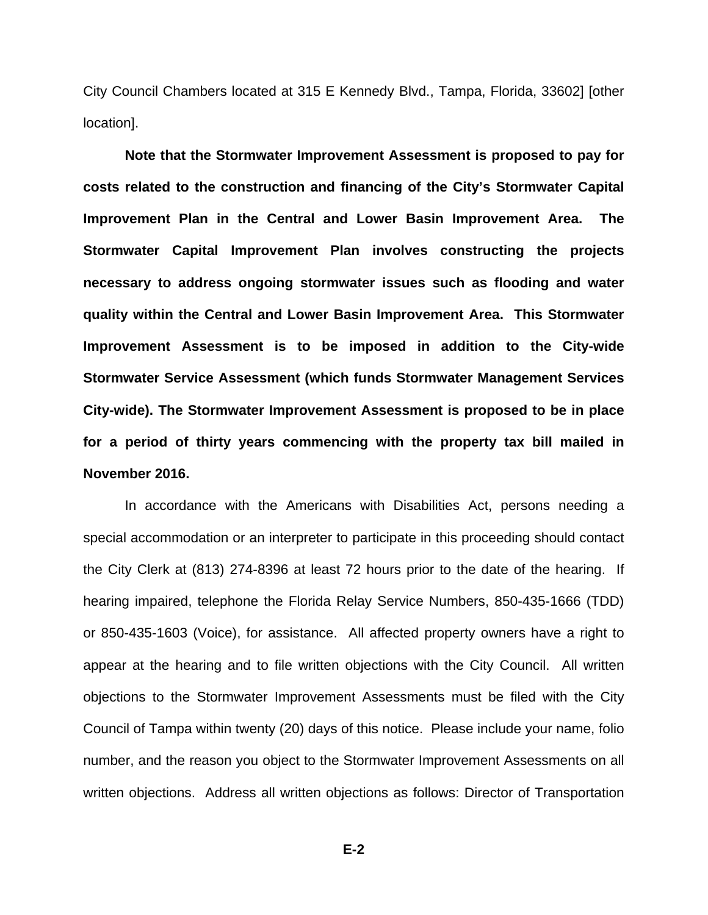City Council Chambers located at 315 E Kennedy Blvd., Tampa, Florida, 33602] [other location].

**Note that the Stormwater Improvement Assessment is proposed to pay for costs related to the construction and financing of the City's Stormwater Capital Improvement Plan in the Central and Lower Basin Improvement Area. The Stormwater Capital Improvement Plan involves constructing the projects necessary to address ongoing stormwater issues such as flooding and water quality within the Central and Lower Basin Improvement Area. This Stormwater Improvement Assessment is to be imposed in addition to the City-wide Stormwater Service Assessment (which funds Stormwater Management Services City-wide). The Stormwater Improvement Assessment is proposed to be in place for a period of thirty years commencing with the property tax bill mailed in November 2016.** 

In accordance with the Americans with Disabilities Act, persons needing a special accommodation or an interpreter to participate in this proceeding should contact the City Clerk at (813) 274-8396 at least 72 hours prior to the date of the hearing. If hearing impaired, telephone the Florida Relay Service Numbers, 850-435-1666 (TDD) or 850-435-1603 (Voice), for assistance. All affected property owners have a right to appear at the hearing and to file written objections with the City Council. All written objections to the Stormwater Improvement Assessments must be filed with the City Council of Tampa within twenty (20) days of this notice. Please include your name, folio number, and the reason you object to the Stormwater Improvement Assessments on all written objections. Address all written objections as follows: Director of Transportation

**E-2**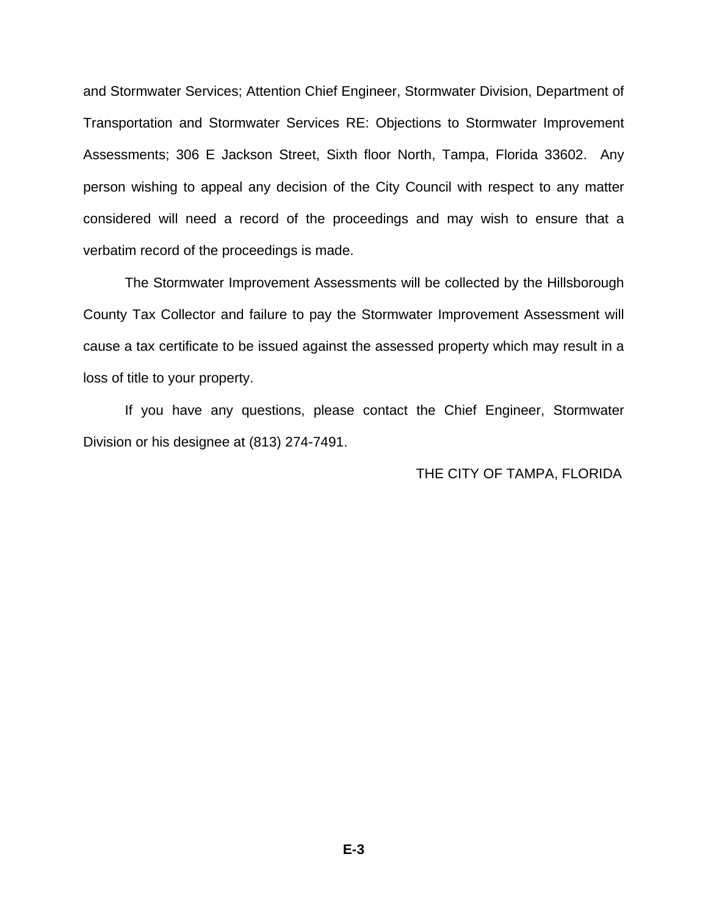and Stormwater Services; Attention Chief Engineer, Stormwater Division, Department of Transportation and Stormwater Services RE: Objections to Stormwater Improvement Assessments; 306 E Jackson Street, Sixth floor North, Tampa, Florida 33602. Any person wishing to appeal any decision of the City Council with respect to any matter considered will need a record of the proceedings and may wish to ensure that a verbatim record of the proceedings is made.

The Stormwater Improvement Assessments will be collected by the Hillsborough County Tax Collector and failure to pay the Stormwater Improvement Assessment will cause a tax certificate to be issued against the assessed property which may result in a loss of title to your property.

If you have any questions, please contact the Chief Engineer, Stormwater Division or his designee at (813) 274-7491.

#### THE CITY OF TAMPA, FLORIDA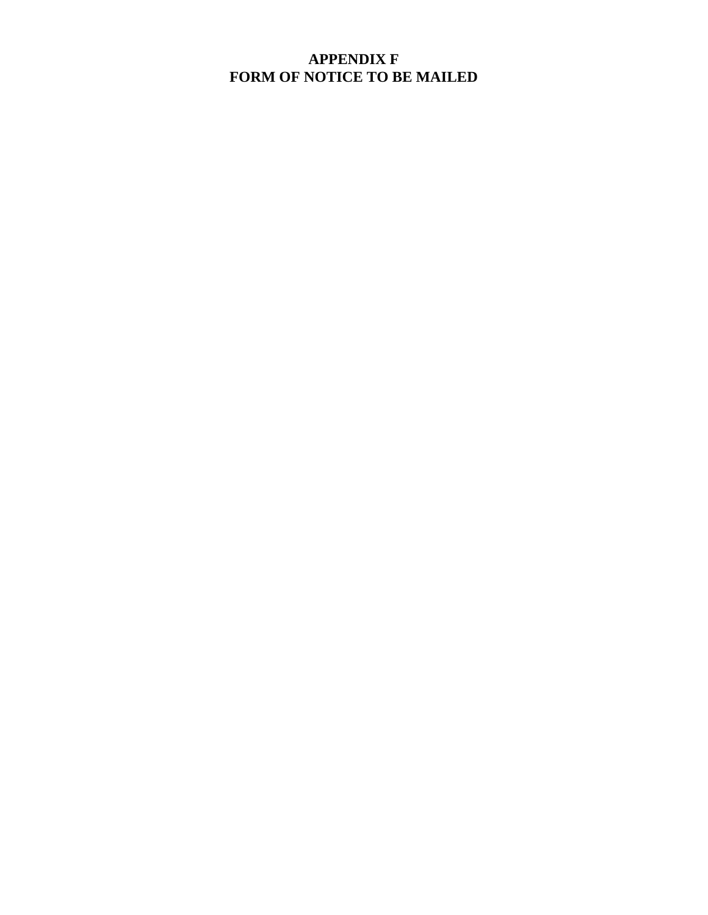## **APPENDIX F FORM OF NOTICE TO BE MAILED**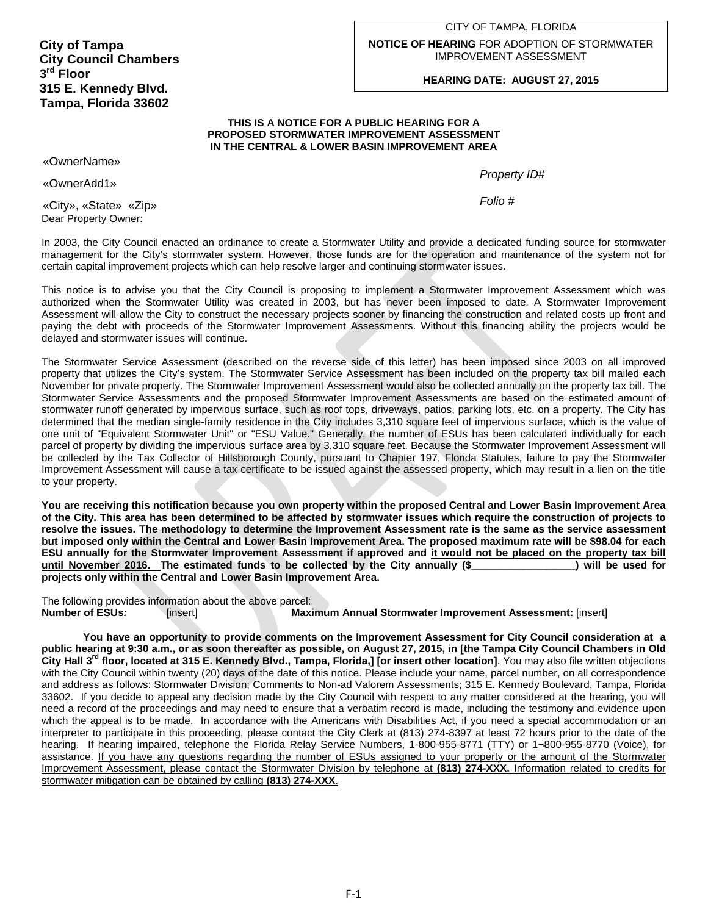#### CITY OF TAMPA, FLORIDA **NOTICE OF HEARING** FOR ADOPTION OF STORMWATER IMPROVEMENT ASSESSMENT

#### **HEARING DATE: AUGUST 27, 2015**

#### **THIS IS A NOTICE FOR A PUBLIC HEARING FOR A PROPOSED STORMWATER IMPROVEMENT ASSESSMENT IN THE CENTRAL & LOWER BASIN IMPROVEMENT AREA**

 «OwnerName»

*Property ID#* «OwnerAdd1»

 *Folio #* «City», «State» «Zip» Dear Property Owner:

In 2003, the City Council enacted an ordinance to create a Stormwater Utility and provide a dedicated funding source for stormwater management for the City's stormwater system. However, those funds are for the operation and maintenance of the system not for certain capital improvement projects which can help resolve larger and continuing stormwater issues.

This notice is to advise you that the City Council is proposing to implement a Stormwater Improvement Assessment which was authorized when the Stormwater Utility was created in 2003, but has never been imposed to date. A Stormwater Improvement Assessment will allow the City to construct the necessary projects sooner by financing the construction and related costs up front and paying the debt with proceeds of the Stormwater Improvement Assessments. Without this financing ability the projects would be delayed and stormwater issues will continue.

The Stormwater Service Assessment (described on the reverse side of this letter) has been imposed since 2003 on all improved property that utilizes the City's system. The Stormwater Service Assessment has been included on the property tax bill mailed each November for private property. The Stormwater Improvement Assessment would also be collected annually on the property tax bill. The Stormwater Service Assessments and the proposed Stormwater Improvement Assessments are based on the estimated amount of stormwater runoff generated by impervious surface, such as roof tops, driveways, patios, parking lots, etc. on a property. The City has determined that the median single-family residence in the City includes 3,310 square feet of impervious surface, which is the value of one unit of "Equivalent Stormwater Unit" or "ESU Value." Generally, the number of ESUs has been calculated individually for each parcel of property by dividing the impervious surface area by 3,310 square feet. Because the Stormwater Improvement Assessment will be collected by the Tax Collector of Hillsborough County, pursuant to Chapter 197, Florida Statutes, failure to pay the Stormwater Improvement Assessment will cause a tax certificate to be issued against the assessed property, which may result in a lien on the title to your property.

**You are receiving this notification because you own property within the proposed Central and Lower Basin Improvement Area of the City. This area has been determined to be affected by stormwater issues which require the construction of projects to resolve the issues. The methodology to determine the Improvement Assessment rate is the same as the service assessment but imposed only within the Central and Lower Basin Improvement Area. The proposed maximum rate will be \$98.04 for each ESU annually for the Stormwater Improvement Assessment if approved and it would not be placed on the property tax bill until November 2016. The estimated funds to be collected by the City annually (\$\_\_\_\_\_\_\_\_\_\_\_\_\_\_\_\_\_\_) will be used for projects only within the Central and Lower Basin Improvement Area.** 

[insert] The following provides information about the above parcel: **Number of ESUs***:* [insert] **Maximum Annual Stormwater Improvement Assessment:** [insert]

**You have an opportunity to provide comments on the Improvement Assessment for City Council consideration at a public hearing at 9:30 a.m., or as soon thereafter as possible, on August 27, 2015, in [the Tampa City Council Chambers in Old**  City Hall 3<sup>rd</sup> floor, located at 315 E. Kennedy Blvd., Tampa, Florida,] [or insert other location]. You may also file written objections with the City Council within twenty (20) days of the date of this notice. Please include your name, parcel number, on all correspondence and address as follows: Stormwater Division; Comments to Non-ad Valorem Assessments; 315 E. Kennedy Boulevard, Tampa, Florida 33602. If you decide to appeal any decision made by the City Council with respect to any matter considered at the hearing, you will need a record of the proceedings and may need to ensure that a verbatim record is made, including the testimony and evidence upon which the appeal is to be made. In accordance with the Americans with Disabilities Act, if you need a special accommodation or an interpreter to participate in this proceeding, please contact the City Clerk at (813) 274-8397 at least 72 hours prior to the date of the hearing. If hearing impaired, telephone the Florida Relay Service Numbers, 1-800-955-8771 (TTY) or 1-800-955-8770 (Voice), for assistance. If you have any questions regarding the number of ESUs assigned to your property or the amount of the Stormwater Improvement Assessment, please contact the Stormwater Division by telephone at **(813) 274-XXX.** Information related to credits for stormwater mitigation can be obtained by calling **(813) 274-XXX**.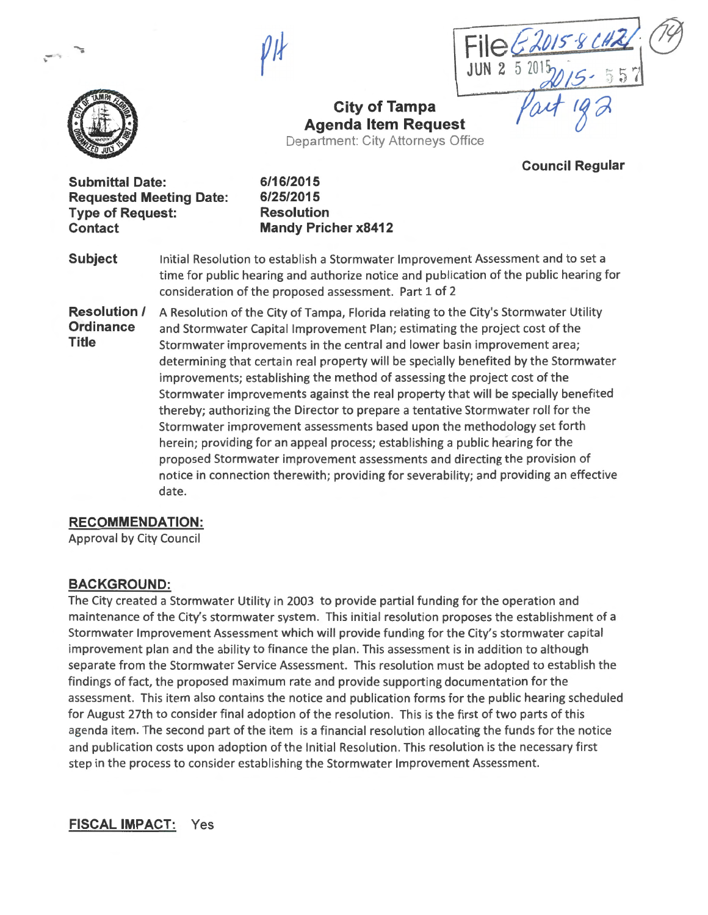*ft}* 





# **City of Tampa Agenda Item Request**

Department: City Attorneys Office

**Council Regular** 

**Submittal Date: 6/16/2015 Requested Meeting Date: 6/25/2015 Type of Request: Resolution Contact Mandy Pricher x8412** 

**Subject** Initial Resolution to establish a Stormwater Improvement Assessment and to set a time for public hearing and authorize notice and publication of the public hearing for consideration of the proposed assessment. Part 1 of 2

**Resolution /** A Resolution of the City of Tampa, Florida relating to the City's Stormwater Utility **Ordinance** and Stormwater Capital Improvement Plan; estimating the project cost of the **Title** Stormwater improvements in the central and lower basin improvement area; determining that certain real property will be specially benefited by the Stormwater improvements; establishing the method of assessing the project cost of the Stormwater improvements against the real property that will be specially benefited thereby; authorizing the Director to prepare a tentative Stormwater roll for the Stormwater improvement assessments based upon the methodology set forth herein; providing for an appeal process; establishing a public hearing for the proposed Stormwater improvement assessments and directing the provision of notice in connection therewith; providing for severability; and providing an effective date.

#### **RECOMMENDATION:**

Approval by City Council

#### **BACKGROUND:**

The City created a Stormwater Utility in 2003 to provide partial funding for the operation and maintenance of the City's stormwater system. This initial resolution proposes the establishment of a Stormwater Improvement Assessment which will provide funding for the City's stormwater capital improvement plan and the ability to finance the plan. This assessment is in addition to although separate from the Stormwater Service Assessment. This resolution must be adopted to establish the findings of fact, the proposed maximum rate and provide supporting documentation for the assessment. This item also contains the notice and publication forms for the public hearing scheduled for August 27th to consider final adoption of the resolution. This is the first of two parts of this agenda item. The second part of the item is a financial resolution allocating the funds for the notice and publication costs upon adoption of the Initial Resolution. This resolution is the necessary first step in the process to consider establishing the Stormwater Improvement Assessment.

**FISCAL IMPACT:** Yes